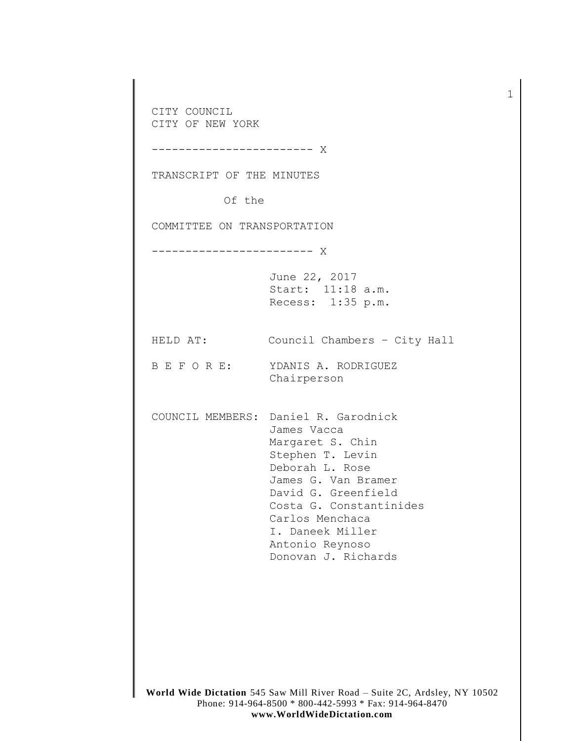CITY COUNCIL CITY OF NEW YORK ------------------------ X TRANSCRIPT OF THE MINUTES Of the COMMITTEE ON TRANSPORTATION ------------------------ X June 22, 2017 Start: 11:18 a.m. Recess: 1:35 p.m. HELD AT: Council Chambers – City Hall B E F O R E: YDANIS A. RODRIGUEZ Chairperson COUNCIL MEMBERS: Daniel R. Garodnick James Vacca Margaret S. Chin Stephen T. Levin Deborah L. Rose James G. Van Bramer David G. Greenfield Costa G. Constantinides Carlos Menchaca I. Daneek Miller Antonio Reynoso Donovan J. Richards

1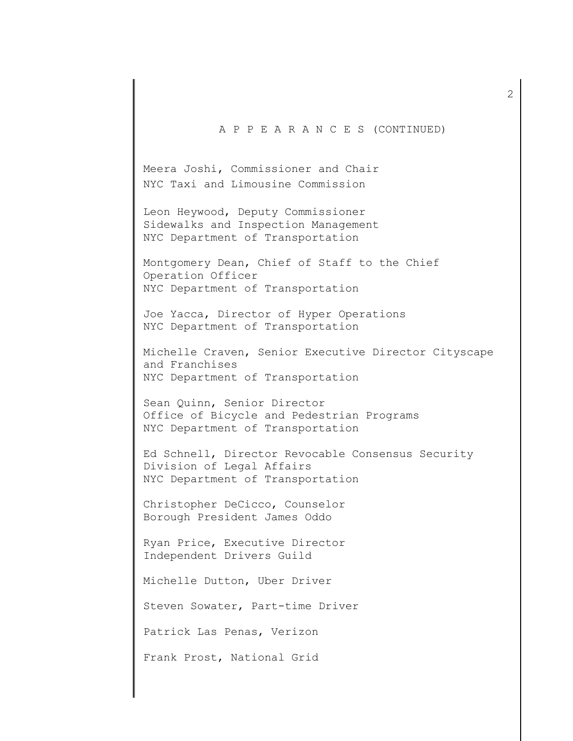A P P E A R A N C E S (CONTINUED)

Meera Joshi, Commissioner and Chair NYC Taxi and Limousine Commission

Leon Heywood, Deputy Commissioner Sidewalks and Inspection Management NYC Department of Transportation

Montgomery Dean, Chief of Staff to the Chief Operation Officer NYC Department of Transportation

Joe Yacca, Director of Hyper Operations NYC Department of Transportation

Michelle Craven, Senior Executive Director Cityscape and Franchises NYC Department of Transportation

Sean Quinn, Senior Director Office of Bicycle and Pedestrian Programs NYC Department of Transportation

Ed Schnell, Director Revocable Consensus Security Division of Legal Affairs NYC Department of Transportation

Christopher DeCicco, Counselor Borough President James Oddo

Ryan Price, Executive Director Independent Drivers Guild

Michelle Dutton, Uber Driver

Steven Sowater, Part-time Driver

Patrick Las Penas, Verizon

Frank Prost, National Grid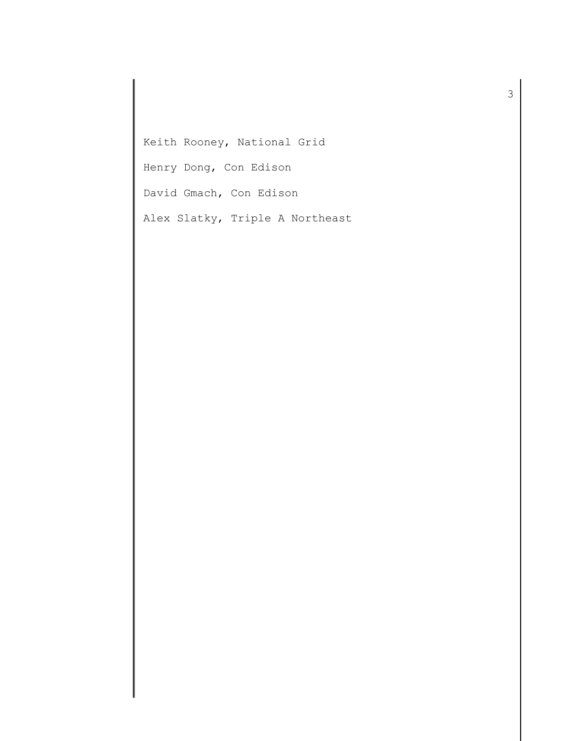Keith Rooney, National Grid

Henry Dong, Con Edison

David Gmach, Con Edison

Alex Slatky, Triple A Northeast

3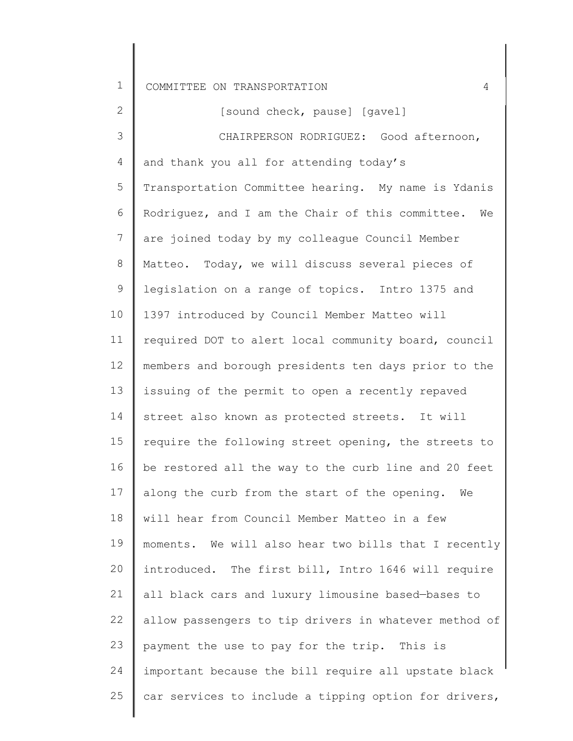2 3 4 5 6 7 8 9 10 11 12 13 14 15 16 17 18 19  $20$ 21 22 23 24 25 and thank you all for attending today's [sound check, pause] [gavel] CHAIRPERSON RODRIGUEZ: Good afternoon, Transportation Committee hearing. My name is Ydanis Rodriguez, and I am the Chair of this committee. We are joined today by my colleague Council Member Matteo. Today, we will discuss several pieces of legislation on a range of topics. Intro 1375 and 1397 introduced by Council Member Matteo will required DOT to alert local community board, council members and borough presidents ten days prior to the issuing of the permit to open a recently repaved street also known as protected streets. It will require the following street opening, the streets to be restored all the way to the curb line and 20 feet along the curb from the start of the opening. We will hear from Council Member Matteo in a few moments. We will also hear two bills that I recently introduced. The first bill, Intro 1646 will require all black cars and luxury limousine based—bases to allow passengers to tip drivers in whatever method of payment the use to pay for the trip. This is important because the bill require all upstate black car services to include a tipping option for drivers,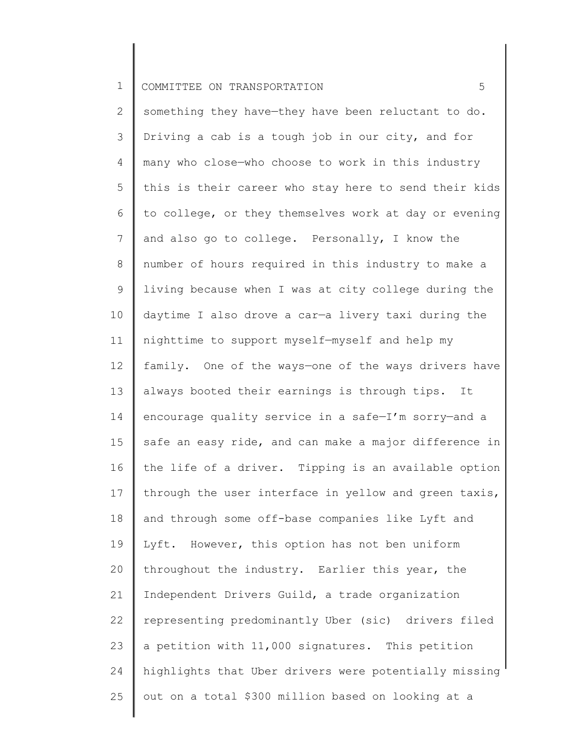2 3 4 5 6 7 8 9 10 11 12 13 14 15 16 17 18 19 20 21 22 23 24 25 something they have—they have been reluctant to do. Driving a cab is a tough job in our city, and for many who close—who choose to work in this industry this is their career who stay here to send their kids to college, or they themselves work at day or evening and also go to college. Personally, I know the number of hours required in this industry to make a living because when I was at city college during the daytime I also drove a car—a livery taxi during the nighttime to support myself—myself and help my family. One of the ways—one of the ways drivers have always booted their earnings is through tips. It encourage quality service in a safe—I'm sorry—and a safe an easy ride, and can make a major difference in the life of a driver. Tipping is an available option through the user interface in yellow and green taxis, and through some off-base companies like Lyft and Lyft. However, this option has not ben uniform throughout the industry. Earlier this year, the Independent Drivers Guild, a trade organization representing predominantly Uber (sic) drivers filed a petition with 11,000 signatures. This petition highlights that Uber drivers were potentially missing out on a total \$300 million based on looking at a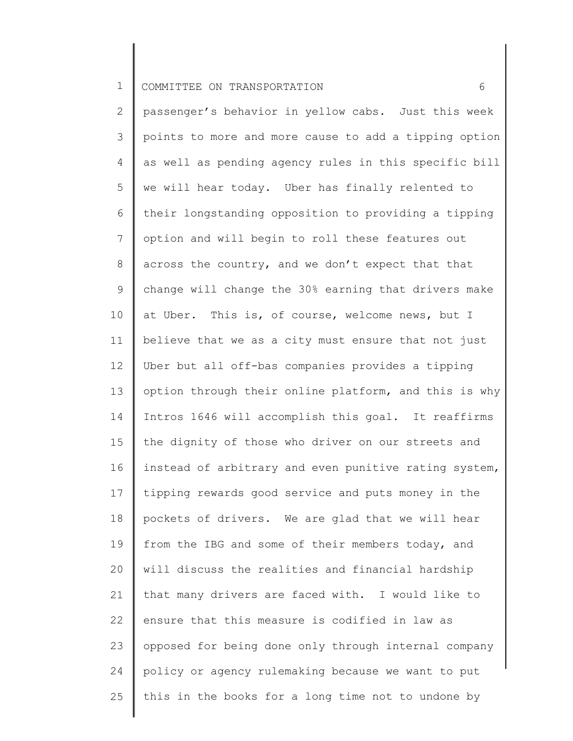2 3 4 5 6 7 8 9 10 11 12 13 14 15 16 17 18 19 20 21 22 23 24 25 passenger's behavior in yellow cabs. Just this week points to more and more cause to add a tipping option as well as pending agency rules in this specific bill we will hear today. Uber has finally relented to their longstanding opposition to providing a tipping option and will begin to roll these features out across the country, and we don't expect that that change will change the 30% earning that drivers make at Uber. This is, of course, welcome news, but I believe that we as a city must ensure that not just Uber but all off-bas companies provides a tipping option through their online platform, and this is why Intros 1646 will accomplish this goal. It reaffirms the dignity of those who driver on our streets and instead of arbitrary and even punitive rating system, tipping rewards good service and puts money in the pockets of drivers. We are glad that we will hear from the IBG and some of their members today, and will discuss the realities and financial hardship that many drivers are faced with. I would like to ensure that this measure is codified in law as opposed for being done only through internal company policy or agency rulemaking because we want to put this in the books for a long time not to undone by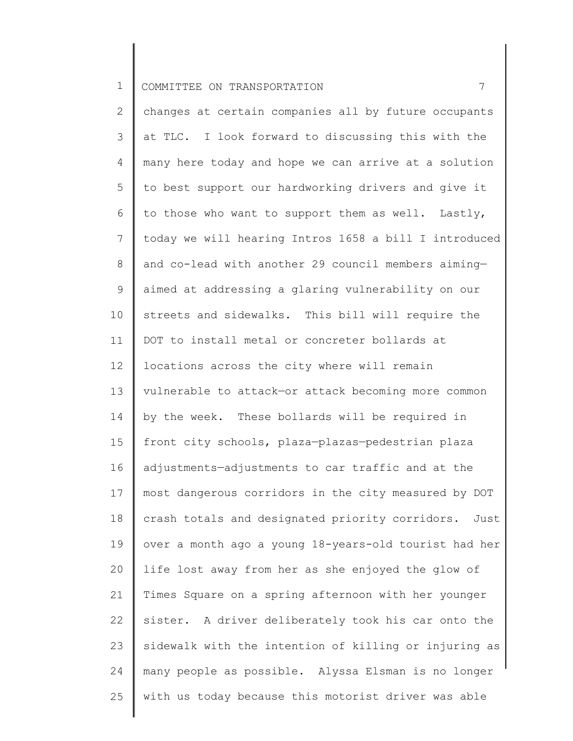2 3 4 5 6 7 8 9 10 11 12 13 14 15 16 17 18 19 20 21 22 23 24 25 changes at certain companies all by future occupants at TLC. I look forward to discussing this with the many here today and hope we can arrive at a solution to best support our hardworking drivers and give it to those who want to support them as well. Lastly, today we will hearing Intros 1658 a bill I introduced and co-lead with another 29 council members aiming aimed at addressing a glaring vulnerability on our streets and sidewalks. This bill will require the DOT to install metal or concreter bollards at locations across the city where will remain vulnerable to attack—or attack becoming more common by the week. These bollards will be required in front city schools, plaza—plazas—pedestrian plaza adjustments—adjustments to car traffic and at the most dangerous corridors in the city measured by DOT crash totals and designated priority corridors. Just over a month ago a young 18-years-old tourist had her life lost away from her as she enjoyed the glow of Times Square on a spring afternoon with her younger sister. A driver deliberately took his car onto the sidewalk with the intention of killing or injuring as many people as possible. Alyssa Elsman is no longer with us today because this motorist driver was able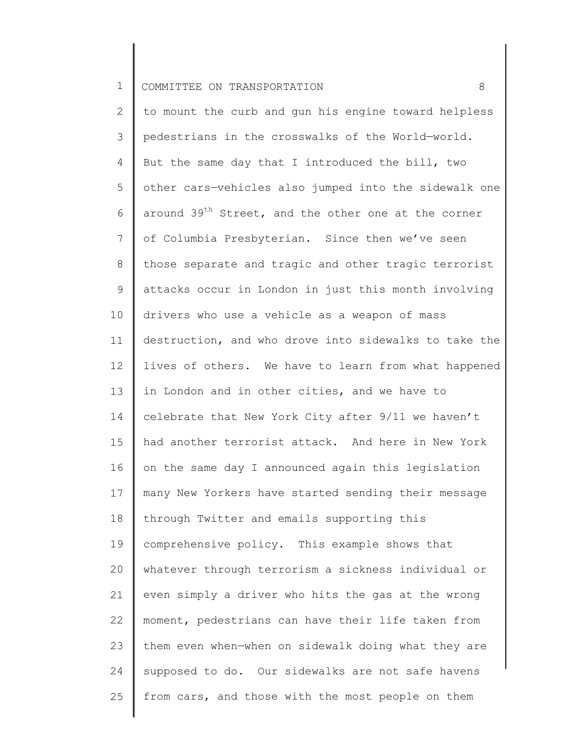2 3 4 5 6 7 8 9 10 11 12 13 14 15 16 17 18 19 20 21 22 23 24 25 to mount the curb and gun his engine toward helpless pedestrians in the crosswalks of the World—world. But the same day that I introduced the bill, two other cars—vehicles also jumped into the sidewalk one around 39<sup>th</sup> Street, and the other one at the corner of Columbia Presbyterian. Since then we've seen those separate and tragic and other tragic terrorist attacks occur in London in just this month involving drivers who use a vehicle as a weapon of mass destruction, and who drove into sidewalks to take the lives of others. We have to learn from what happened in London and in other cities, and we have to celebrate that New York City after 9/11 we haven't had another terrorist attack. And here in New York on the same day I announced again this legislation many New Yorkers have started sending their message through Twitter and emails supporting this comprehensive policy. This example shows that whatever through terrorism a sickness individual or even simply a driver who hits the gas at the wrong moment, pedestrians can have their life taken from them even when—when on sidewalk doing what they are supposed to do. Our sidewalks are not safe havens from cars, and those with the most people on them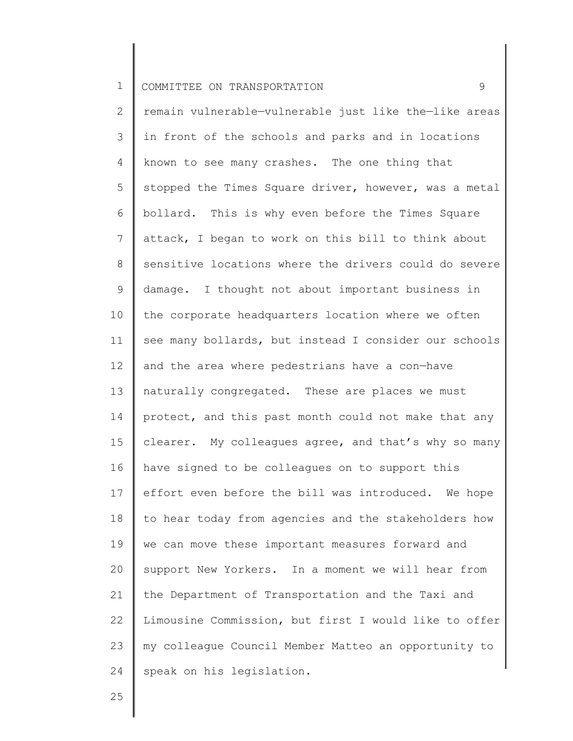2 3 4 5 6 7 8 9 10 11 12 13 14 15 16 17 18 19 20 21 22 23 24 remain vulnerable—vulnerable just like the—like areas in front of the schools and parks and in locations known to see many crashes. The one thing that stopped the Times Square driver, however, was a metal bollard. This is why even before the Times Square attack, I began to work on this bill to think about sensitive locations where the drivers could do severe damage. I thought not about important business in the corporate headquarters location where we often see many bollards, but instead I consider our schools and the area where pedestrians have a con—have naturally congregated. These are places we must protect, and this past month could not make that any clearer. My colleagues agree, and that's why so many have signed to be colleagues on to support this effort even before the bill was introduced. We hope to hear today from agencies and the stakeholders how we can move these important measures forward and support New Yorkers. In a moment we will hear from the Department of Transportation and the Taxi and Limousine Commission, but first I would like to offer my colleague Council Member Matteo an opportunity to speak on his legislation.

25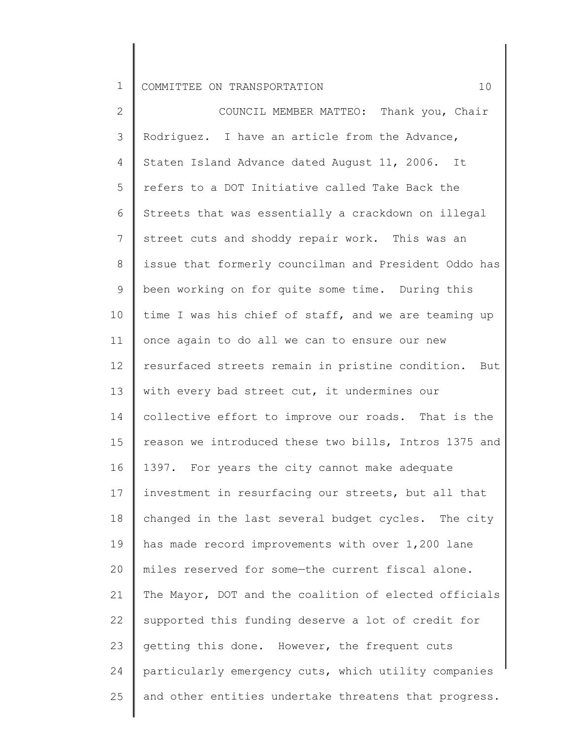2 3 4 5 6 7 8 9 10 11 12 13 14 15 16 17 18 19 20 21 22 23 24 25 COUNCIL MEMBER MATTEO: Thank you, Chair Rodriguez. I have an article from the Advance, Staten Island Advance dated August 11, 2006. It refers to a DOT Initiative called Take Back the Streets that was essentially a crackdown on illegal street cuts and shoddy repair work. This was an issue that formerly councilman and President Oddo has been working on for quite some time. During this time I was his chief of staff, and we are teaming up once again to do all we can to ensure our new resurfaced streets remain in pristine condition. But with every bad street cut, it undermines our collective effort to improve our roads. That is the reason we introduced these two bills, Intros 1375 and 1397. For years the city cannot make adequate investment in resurfacing our streets, but all that changed in the last several budget cycles. The city has made record improvements with over 1,200 lane miles reserved for some—the current fiscal alone. The Mayor, DOT and the coalition of elected officials supported this funding deserve a lot of credit for getting this done. However, the frequent cuts particularly emergency cuts, which utility companies and other entities undertake threatens that progress.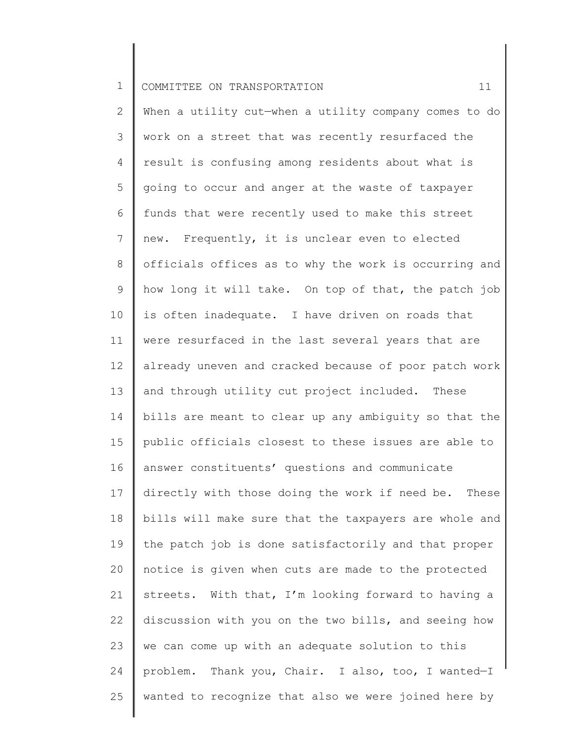2 3 4 5 6 7 8 9 10 11 12 13 14 15 16 17 18 19 20 21 22 23 24 25 When a utility cut—when a utility company comes to do work on a street that was recently resurfaced the result is confusing among residents about what is going to occur and anger at the waste of taxpayer funds that were recently used to make this street new. Frequently, it is unclear even to elected officials offices as to why the work is occurring and how long it will take. On top of that, the patch job is often inadequate. I have driven on roads that were resurfaced in the last several years that are already uneven and cracked because of poor patch work and through utility cut project included. These bills are meant to clear up any ambiguity so that the public officials closest to these issues are able to answer constituents' questions and communicate directly with those doing the work if need be. These bills will make sure that the taxpayers are whole and the patch job is done satisfactorily and that proper notice is given when cuts are made to the protected streets. With that, I'm looking forward to having a discussion with you on the two bills, and seeing how we can come up with an adequate solution to this problem. Thank you, Chair. I also, too, I wanted—I wanted to recognize that also we were joined here by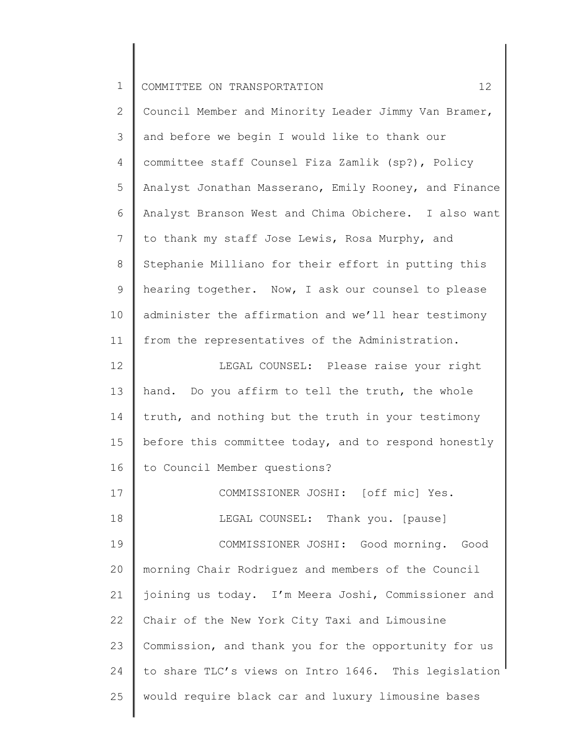24

25

2 3 4 5 6 7 8 9 10 11 12 13 14 15 16 17 18 19 20 21 22 23 Council Member and Minority Leader Jimmy Van Bramer, and before we begin I would like to thank our committee staff Counsel Fiza Zamlik (sp?), Policy Analyst Jonathan Masserano, Emily Rooney, and Finance Analyst Branson West and Chima Obichere. I also want to thank my staff Jose Lewis, Rosa Murphy, and Stephanie Milliano for their effort in putting this hearing together. Now, I ask our counsel to please administer the affirmation and we'll hear testimony from the representatives of the Administration. LEGAL COUNSEL: Please raise your right hand. Do you affirm to tell the truth, the whole truth, and nothing but the truth in your testimony before this committee today, and to respond honestly to Council Member questions? COMMISSIONER JOSHI: [off mic] Yes. LEGAL COUNSEL: Thank you. [pause] COMMISSIONER JOSHI: Good morning. Good morning Chair Rodriguez and members of the Council joining us today. I'm Meera Joshi, Commissioner and Chair of the New York City Taxi and Limousine Commission, and thank you for the opportunity for us

to share TLC's views on Intro 1646. This legislation

would require black car and luxury limousine bases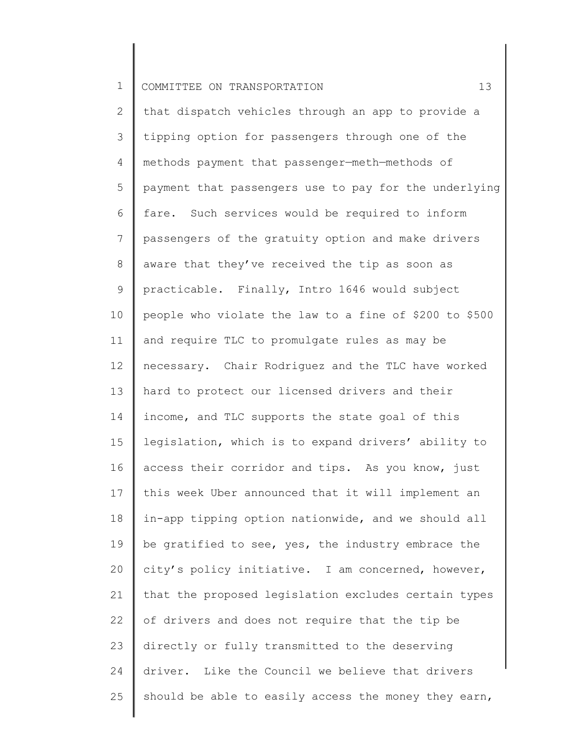2 3 4 5 6 7 8 9 10 11 12 13 14 15 16 17 18 19 20 21 22 23 24 25 that dispatch vehicles through an app to provide a tipping option for passengers through one of the methods payment that passenger—meth—methods of payment that passengers use to pay for the underlying fare. Such services would be required to inform passengers of the gratuity option and make drivers aware that they've received the tip as soon as practicable. Finally, Intro 1646 would subject people who violate the law to a fine of \$200 to \$500 and require TLC to promulgate rules as may be necessary. Chair Rodriguez and the TLC have worked hard to protect our licensed drivers and their income, and TLC supports the state goal of this legislation, which is to expand drivers' ability to access their corridor and tips. As you know, just this week Uber announced that it will implement an in-app tipping option nationwide, and we should all be gratified to see, yes, the industry embrace the city's policy initiative. I am concerned, however, that the proposed legislation excludes certain types of drivers and does not require that the tip be directly or fully transmitted to the deserving driver. Like the Council we believe that drivers should be able to easily access the money they earn,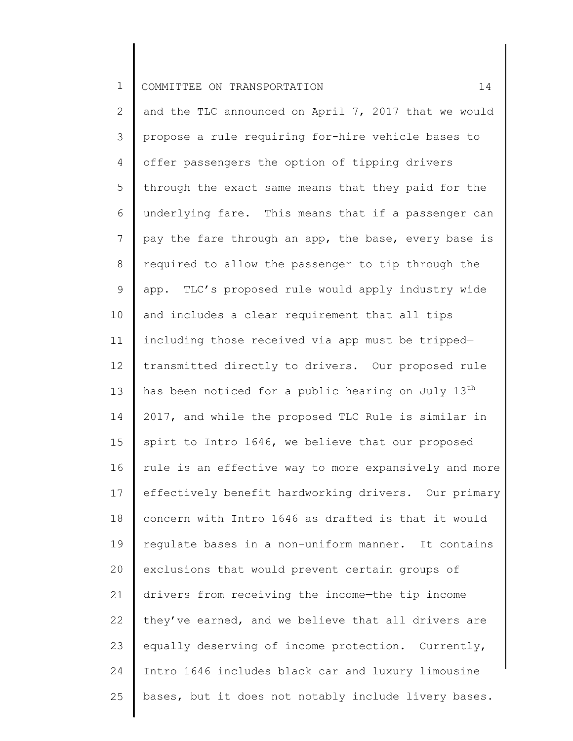2 3 4 5 6 7 8 9 10 11 12 13 14 15 16 17 18 19 20 21 22 23 24 25 and the TLC announced on April 7, 2017 that we would propose a rule requiring for-hire vehicle bases to offer passengers the option of tipping drivers through the exact same means that they paid for the underlying fare. This means that if a passenger can pay the fare through an app, the base, every base is required to allow the passenger to tip through the app. TLC's proposed rule would apply industry wide and includes a clear requirement that all tips including those received via app must be tripped transmitted directly to drivers. Our proposed rule has been noticed for a public hearing on July  $13<sup>th</sup>$ 2017, and while the proposed TLC Rule is similar in spirt to Intro 1646, we believe that our proposed rule is an effective way to more expansively and more effectively benefit hardworking drivers. Our primary concern with Intro 1646 as drafted is that it would regulate bases in a non-uniform manner. It contains exclusions that would prevent certain groups of drivers from receiving the income—the tip income they've earned, and we believe that all drivers are equally deserving of income protection. Currently, Intro 1646 includes black car and luxury limousine bases, but it does not notably include livery bases.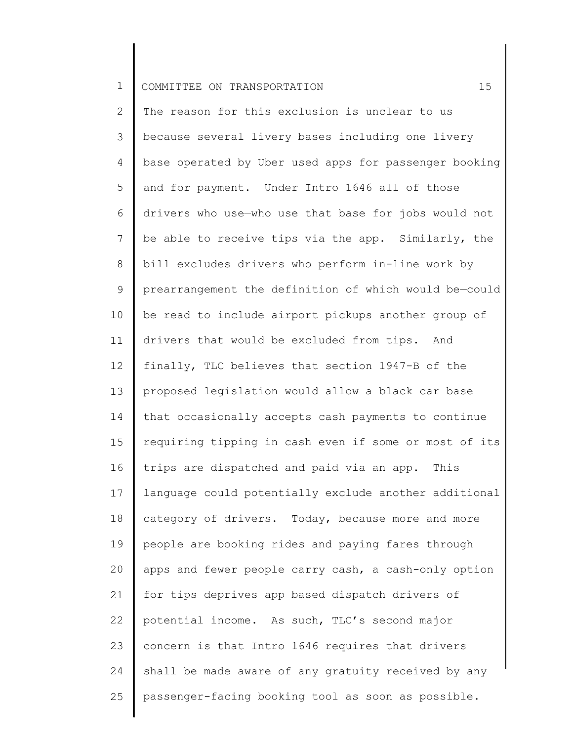2 3 4 5 6 7 8 9 10 11 12 13 14 15 16 17 18 19 20 21 22 23 24 25 The reason for this exclusion is unclear to us because several livery bases including one livery base operated by Uber used apps for passenger booking and for payment. Under Intro 1646 all of those drivers who use—who use that base for jobs would not be able to receive tips via the app. Similarly, the bill excludes drivers who perform in-line work by prearrangement the definition of which would be—could be read to include airport pickups another group of drivers that would be excluded from tips. And finally, TLC believes that section 1947-B of the proposed legislation would allow a black car base that occasionally accepts cash payments to continue requiring tipping in cash even if some or most of its trips are dispatched and paid via an app. This language could potentially exclude another additional category of drivers. Today, because more and more people are booking rides and paying fares through apps and fewer people carry cash, a cash-only option for tips deprives app based dispatch drivers of potential income. As such, TLC's second major concern is that Intro 1646 requires that drivers shall be made aware of any gratuity received by any passenger-facing booking tool as soon as possible.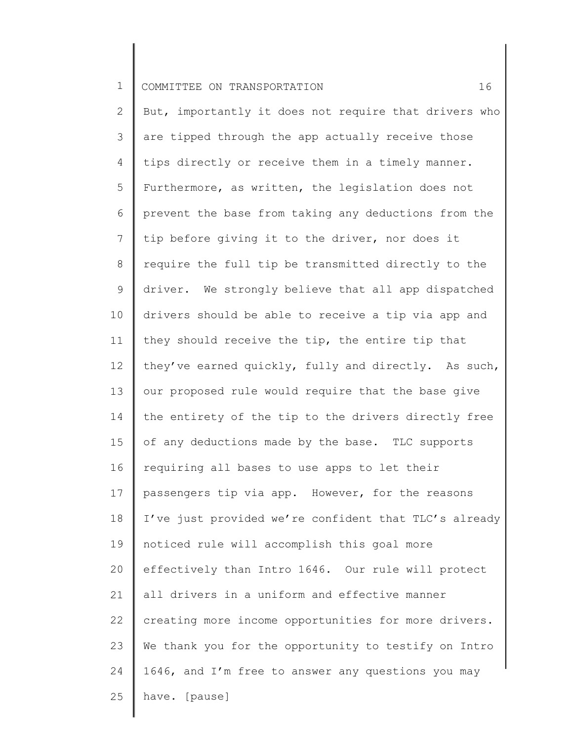2 3 4 5 6 7 8 9 10 11 12 13 14 15 16 17 18 19 20 21 22 23 24 25 But, importantly it does not require that drivers who are tipped through the app actually receive those tips directly or receive them in a timely manner. Furthermore, as written, the legislation does not prevent the base from taking any deductions from the tip before giving it to the driver, nor does it require the full tip be transmitted directly to the driver. We strongly believe that all app dispatched drivers should be able to receive a tip via app and they should receive the tip, the entire tip that they've earned quickly, fully and directly. As such, our proposed rule would require that the base give the entirety of the tip to the drivers directly free of any deductions made by the base. TLC supports requiring all bases to use apps to let their passengers tip via app. However, for the reasons I've just provided we're confident that TLC's already noticed rule will accomplish this goal more effectively than Intro 1646. Our rule will protect all drivers in a uniform and effective manner creating more income opportunities for more drivers. We thank you for the opportunity to testify on Intro 1646, and I'm free to answer any questions you may have. [pause]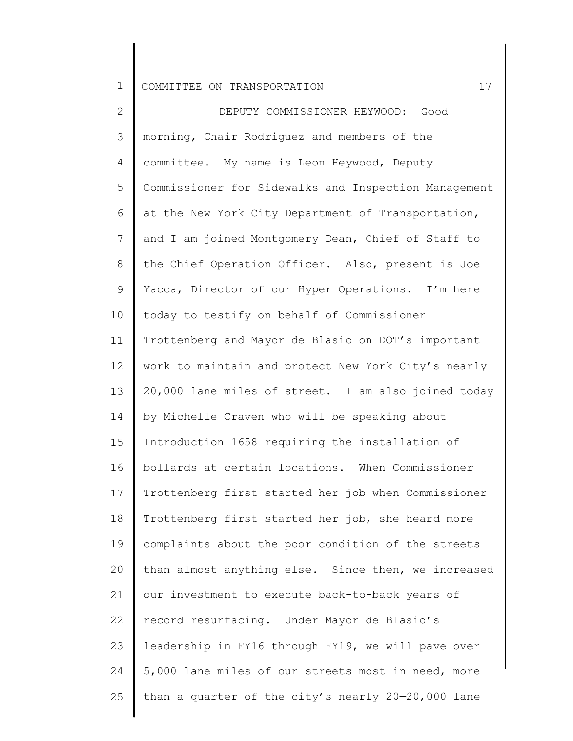2 3 4 5 6 7 8 9 10 11 12 13 14 15 16 17 18 19 20 21 22 23 24 25 DEPUTY COMMISSIONER HEYWOOD: Good morning, Chair Rodriguez and members of the committee. My name is Leon Heywood, Deputy Commissioner for Sidewalks and Inspection Management at the New York City Department of Transportation, and I am joined Montgomery Dean, Chief of Staff to the Chief Operation Officer. Also, present is Joe Yacca, Director of our Hyper Operations. I'm here today to testify on behalf of Commissioner Trottenberg and Mayor de Blasio on DOT's important work to maintain and protect New York City's nearly 20,000 lane miles of street. I am also joined today by Michelle Craven who will be speaking about Introduction 1658 requiring the installation of bollards at certain locations. When Commissioner Trottenberg first started her job—when Commissioner Trottenberg first started her job, she heard more complaints about the poor condition of the streets than almost anything else. Since then, we increased our investment to execute back-to-back years of record resurfacing. Under Mayor de Blasio's leadership in FY16 through FY19, we will pave over 5,000 lane miles of our streets most in need, more than a quarter of the city's nearly 20—20,000 lane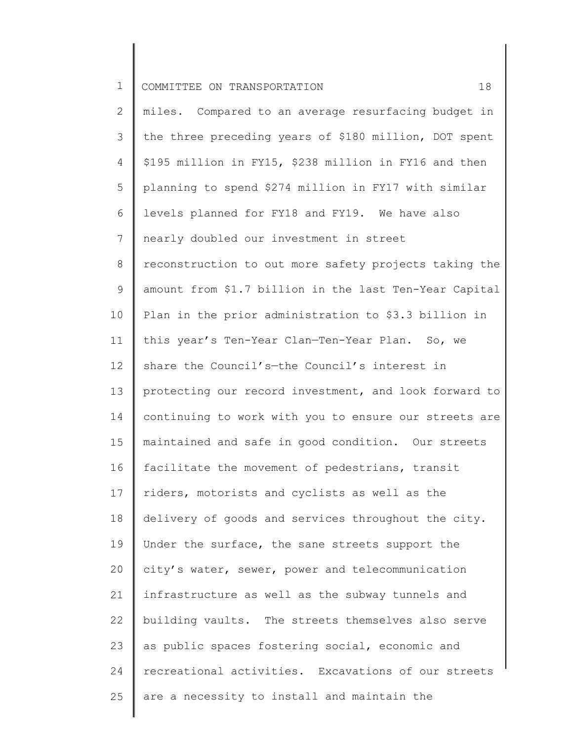2 3 4 5 6 7 8 9 10 11 12 13 14 15 16 17 18 19 20 21 22 23 24 25 miles. Compared to an average resurfacing budget in the three preceding years of \$180 million, DOT spent \$195 million in FY15, \$238 million in FY16 and then planning to spend \$274 million in FY17 with similar levels planned for FY18 and FY19. We have also nearly doubled our investment in street reconstruction to out more safety projects taking the amount from \$1.7 billion in the last Ten-Year Capital Plan in the prior administration to \$3.3 billion in this year's Ten-Year Clan—Ten-Year Plan. So, we share the Council's—the Council's interest in protecting our record investment, and look forward to continuing to work with you to ensure our streets are maintained and safe in good condition. Our streets facilitate the movement of pedestrians, transit riders, motorists and cyclists as well as the delivery of goods and services throughout the city. Under the surface, the sane streets support the city's water, sewer, power and telecommunication infrastructure as well as the subway tunnels and building vaults. The streets themselves also serve as public spaces fostering social, economic and recreational activities. Excavations of our streets are a necessity to install and maintain the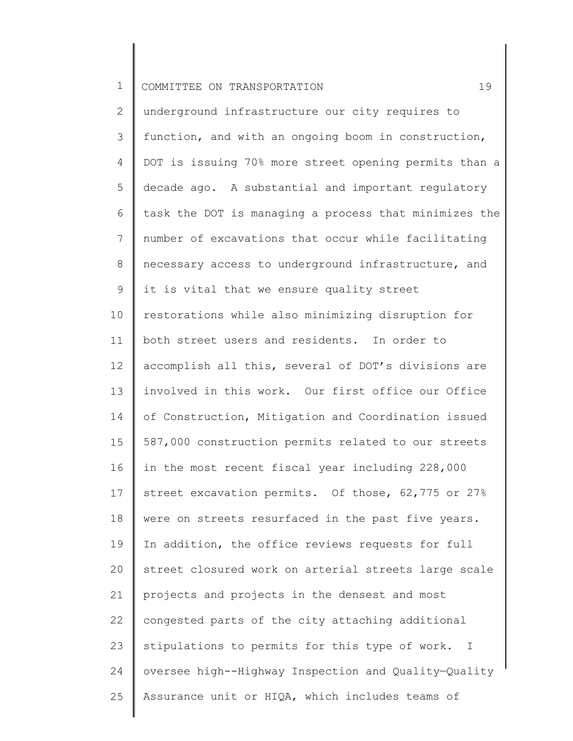2 3 4 5 6 7 8 9 10 11 12 13 14 15 16 17 18 19 20 21 22 23 24 25 underground infrastructure our city requires to function, and with an ongoing boom in construction, DOT is issuing 70% more street opening permits than a decade ago. A substantial and important regulatory task the DOT is managing a process that minimizes the number of excavations that occur while facilitating necessary access to underground infrastructure, and it is vital that we ensure quality street restorations while also minimizing disruption for both street users and residents. In order to accomplish all this, several of DOT's divisions are involved in this work. Our first office our Office of Construction, Mitigation and Coordination issued 587,000 construction permits related to our streets in the most recent fiscal year including 228,000 street excavation permits. Of those, 62,775 or 27% were on streets resurfaced in the past five years. In addition, the office reviews requests for full street closured work on arterial streets large scale projects and projects in the densest and most congested parts of the city attaching additional stipulations to permits for this type of work. I oversee high--Highway Inspection and Quality—Quality Assurance unit or HIQA, which includes teams of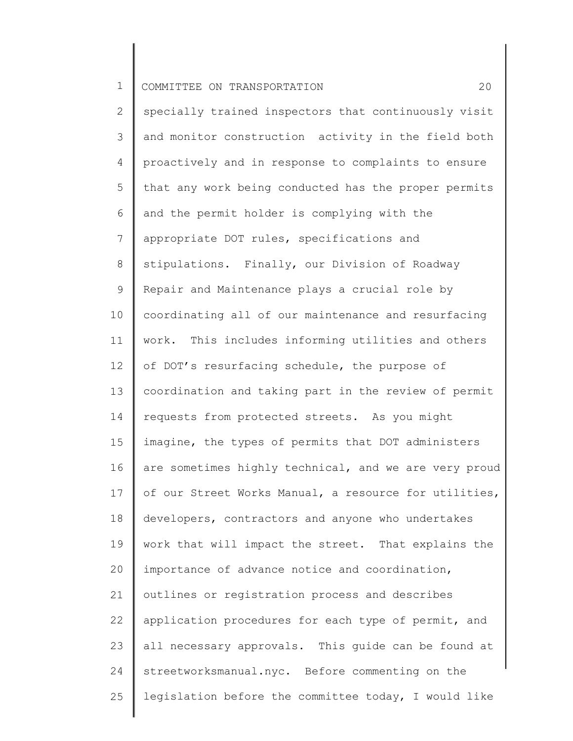2 3 4 5 6 7 8 9 10 11 12 13 14 15 16 17 18 19 20 21 22 23 24 25 specially trained inspectors that continuously visit and monitor construction activity in the field both proactively and in response to complaints to ensure that any work being conducted has the proper permits and the permit holder is complying with the appropriate DOT rules, specifications and stipulations. Finally, our Division of Roadway Repair and Maintenance plays a crucial role by coordinating all of our maintenance and resurfacing work. This includes informing utilities and others of DOT's resurfacing schedule, the purpose of coordination and taking part in the review of permit requests from protected streets. As you might imagine, the types of permits that DOT administers are sometimes highly technical, and we are very proud of our Street Works Manual, a resource for utilities, developers, contractors and anyone who undertakes work that will impact the street. That explains the importance of advance notice and coordination, outlines or registration process and describes application procedures for each type of permit, and all necessary approvals. This guide can be found at streetworksmanual.nyc. Before commenting on the legislation before the committee today, I would like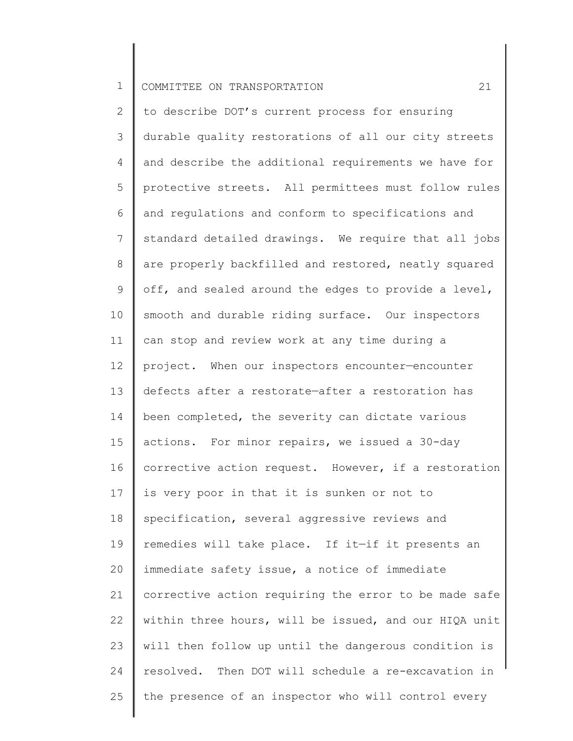2 3 4 5 6 7 8 9 10 11 12 13 14 15 16 17 18 19 20 21 22 23 24 25 to describe DOT's current process for ensuring durable quality restorations of all our city streets and describe the additional requirements we have for protective streets. All permittees must follow rules and regulations and conform to specifications and standard detailed drawings. We require that all jobs are properly backfilled and restored, neatly squared off, and sealed around the edges to provide a level, smooth and durable riding surface. Our inspectors can stop and review work at any time during a project. When our inspectors encounter—encounter defects after a restorate—after a restoration has been completed, the severity can dictate various actions. For minor repairs, we issued a 30-day corrective action request. However, if a restoration is very poor in that it is sunken or not to specification, several aggressive reviews and remedies will take place. If it—if it presents an immediate safety issue, a notice of immediate corrective action requiring the error to be made safe within three hours, will be issued, and our HIQA unit will then follow up until the dangerous condition is resolved. Then DOT will schedule a re-excavation in the presence of an inspector who will control every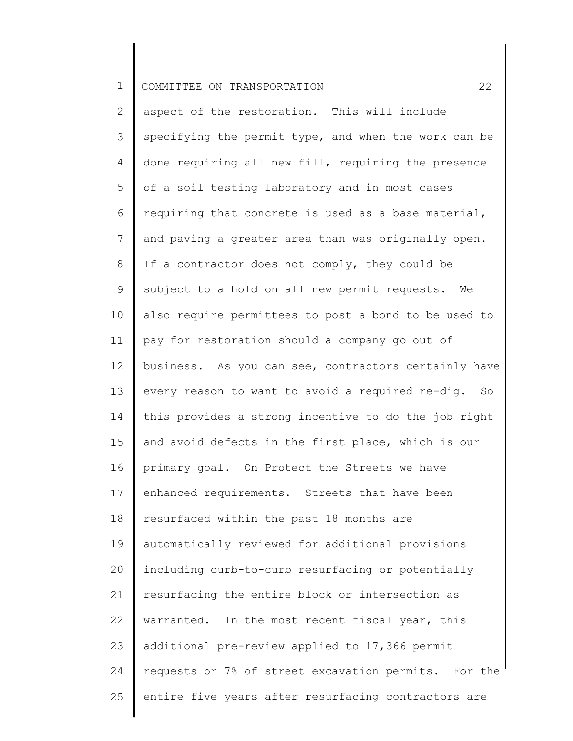2 3 4 5 6 7 8 9 10 11 12 13 14 15 16 17 18 19 20 21 22 23 24 25 aspect of the restoration. This will include specifying the permit type, and when the work can be done requiring all new fill, requiring the presence of a soil testing laboratory and in most cases requiring that concrete is used as a base material, and paving a greater area than was originally open. If a contractor does not comply, they could be subject to a hold on all new permit requests. We also require permittees to post a bond to be used to pay for restoration should a company go out of business. As you can see, contractors certainly have every reason to want to avoid a required re-dig. So this provides a strong incentive to do the job right and avoid defects in the first place, which is our primary goal. On Protect the Streets we have enhanced requirements. Streets that have been resurfaced within the past 18 months are automatically reviewed for additional provisions including curb-to-curb resurfacing or potentially resurfacing the entire block or intersection as warranted. In the most recent fiscal year, this additional pre-review applied to 17,366 permit requests or 7% of street excavation permits. For the entire five years after resurfacing contractors are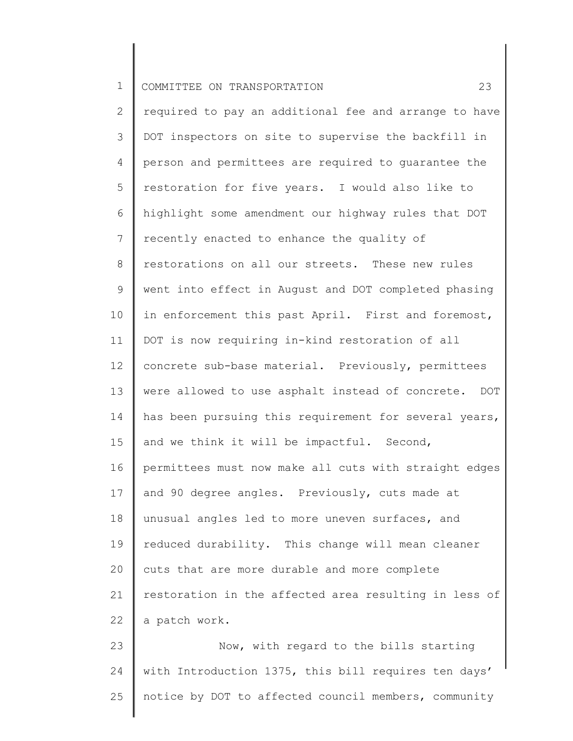2 3 4 5 6 7 8 9 10 11 12 13 14 15 16 17 18 19 20 21 22 required to pay an additional fee and arrange to have DOT inspectors on site to supervise the backfill in person and permittees are required to guarantee the restoration for five years. I would also like to highlight some amendment our highway rules that DOT recently enacted to enhance the quality of restorations on all our streets. These new rules went into effect in August and DOT completed phasing in enforcement this past April. First and foremost, DOT is now requiring in-kind restoration of all concrete sub-base material. Previously, permittees were allowed to use asphalt instead of concrete. DOT has been pursuing this requirement for several years, and we think it will be impactful. Second, permittees must now make all cuts with straight edges and 90 degree angles. Previously, cuts made at unusual angles led to more uneven surfaces, and reduced durability. This change will mean cleaner cuts that are more durable and more complete restoration in the affected area resulting in less of a patch work.

23 24 25 Now, with regard to the bills starting with Introduction 1375, this bill requires ten days' notice by DOT to affected council members, community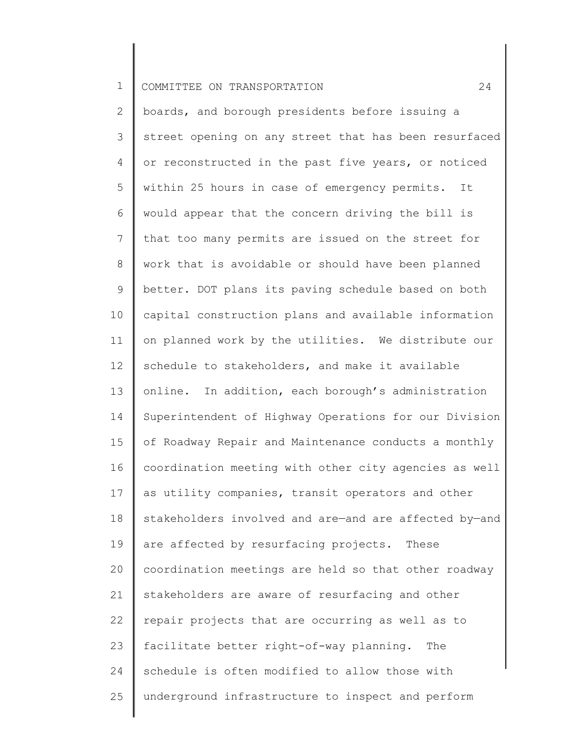2 3 4 5 6 7 8 9 10 11 12 13 14 15 16 17 18 19 20 21 22 23 24 25 boards, and borough presidents before issuing a street opening on any street that has been resurfaced or reconstructed in the past five years, or noticed within 25 hours in case of emergency permits. It would appear that the concern driving the bill is that too many permits are issued on the street for work that is avoidable or should have been planned better. DOT plans its paving schedule based on both capital construction plans and available information on planned work by the utilities. We distribute our schedule to stakeholders, and make it available online. In addition, each borough's administration Superintendent of Highway Operations for our Division of Roadway Repair and Maintenance conducts a monthly coordination meeting with other city agencies as well as utility companies, transit operators and other stakeholders involved and are—and are affected by—and are affected by resurfacing projects. These coordination meetings are held so that other roadway stakeholders are aware of resurfacing and other repair projects that are occurring as well as to facilitate better right-of-way planning. The schedule is often modified to allow those with underground infrastructure to inspect and perform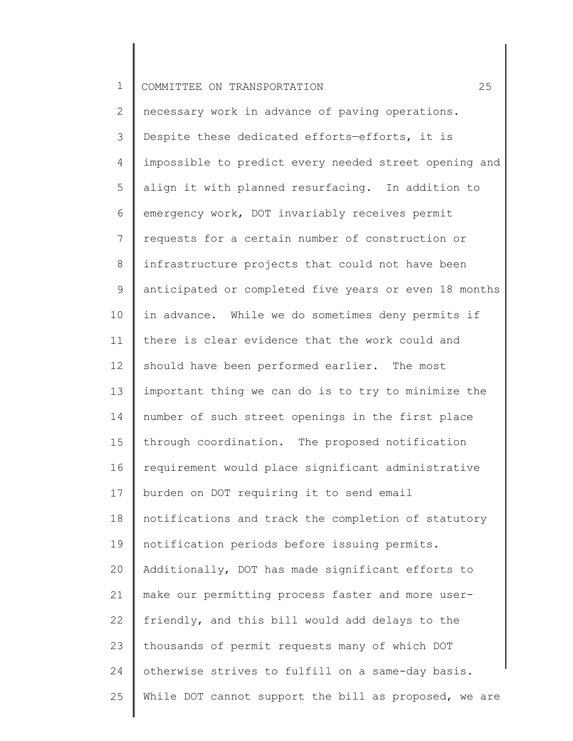2 3 4 5 6 7 8 9 10 11 12 13 14 15 16 17 18 19 20 21 22 23 24 25 necessary work in advance of paving operations. Despite these dedicated efforts—efforts, it is impossible to predict every needed street opening and align it with planned resurfacing. In addition to emergency work, DOT invariably receives permit requests for a certain number of construction or infrastructure projects that could not have been anticipated or completed five years or even 18 months in advance. While we do sometimes deny permits if there is clear evidence that the work could and should have been performed earlier. The most important thing we can do is to try to minimize the number of such street openings in the first place through coordination. The proposed notification requirement would place significant administrative burden on DOT requiring it to send email notifications and track the completion of statutory notification periods before issuing permits. Additionally, DOT has made significant efforts to make our permitting process faster and more userfriendly, and this bill would add delays to the thousands of permit requests many of which DOT otherwise strives to fulfill on a same-day basis. While DOT cannot support the bill as proposed, we are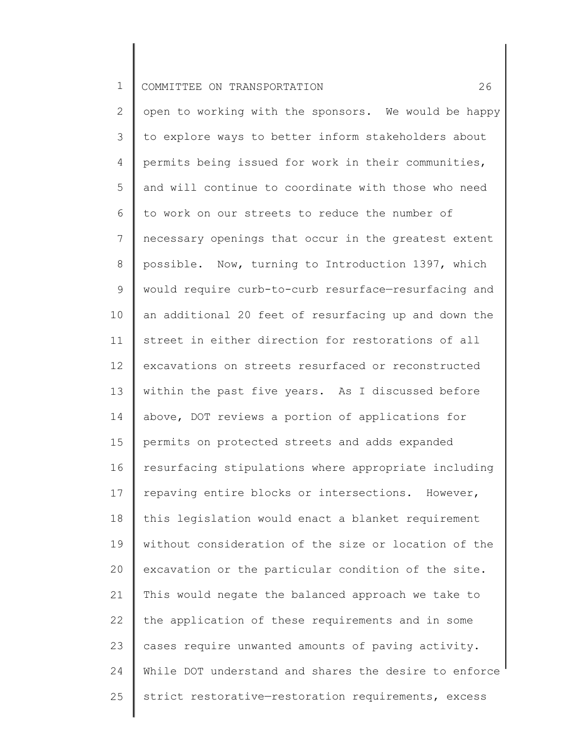2 3 4 5 6 7 8 9 10 11 12 13 14 15 16 17 18 19 20 21 22 23 24 25 open to working with the sponsors. We would be happy to explore ways to better inform stakeholders about permits being issued for work in their communities, and will continue to coordinate with those who need to work on our streets to reduce the number of necessary openings that occur in the greatest extent possible. Now, turning to Introduction 1397, which would require curb-to-curb resurface—resurfacing and an additional 20 feet of resurfacing up and down the street in either direction for restorations of all excavations on streets resurfaced or reconstructed within the past five years. As I discussed before above, DOT reviews a portion of applications for permits on protected streets and adds expanded resurfacing stipulations where appropriate including repaving entire blocks or intersections. However, this legislation would enact a blanket requirement without consideration of the size or location of the excavation or the particular condition of the site. This would negate the balanced approach we take to the application of these requirements and in some cases require unwanted amounts of paving activity. While DOT understand and shares the desire to enforce strict restorative—restoration requirements, excess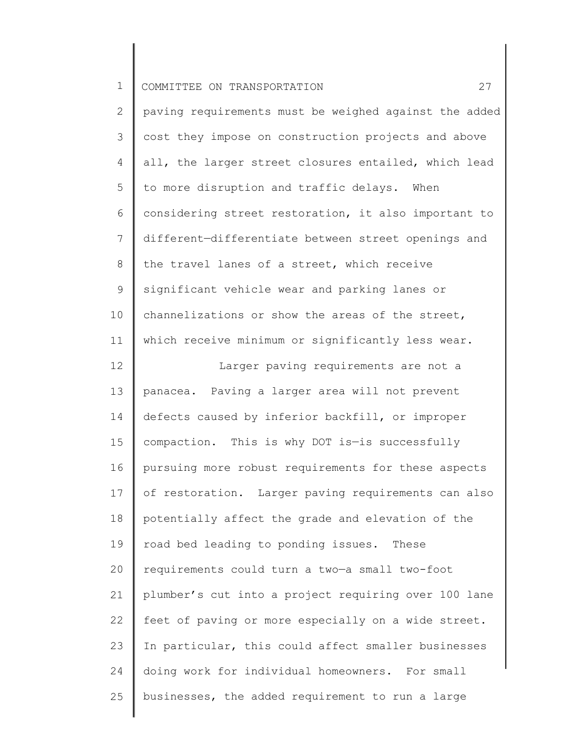2 3 4 5 6 7 8 9 10 11 12 13 14 15 16 17 18 19 20 21 22 23 24 25 paving requirements must be weighed against the added cost they impose on construction projects and above all, the larger street closures entailed, which lead to more disruption and traffic delays. When considering street restoration, it also important to different—differentiate between street openings and the travel lanes of a street, which receive significant vehicle wear and parking lanes or channelizations or show the areas of the street, which receive minimum or significantly less wear. Larger paving requirements are not a panacea. Paving a larger area will not prevent defects caused by inferior backfill, or improper compaction. This is why DOT is—is successfully pursuing more robust requirements for these aspects of restoration. Larger paving requirements can also potentially affect the grade and elevation of the road bed leading to ponding issues. These requirements could turn a two—a small two-foot plumber's cut into a project requiring over 100 lane feet of paving or more especially on a wide street. In particular, this could affect smaller businesses doing work for individual homeowners. For small businesses, the added requirement to run a large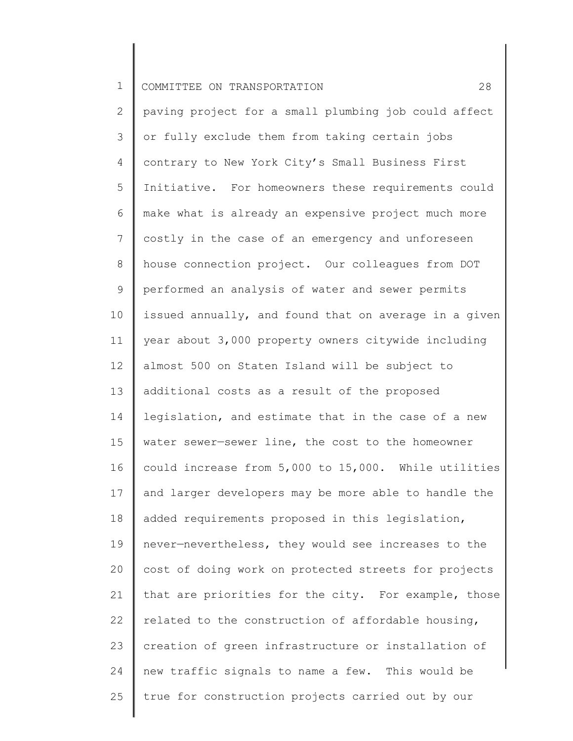2 3 4 5 6 7 8 9 10 11 12 13 14 15 16 17 18 19 20 21 22 23 24 25 paving project for a small plumbing job could affect or fully exclude them from taking certain jobs contrary to New York City's Small Business First Initiative. For homeowners these requirements could make what is already an expensive project much more costly in the case of an emergency and unforeseen house connection project. Our colleagues from DOT performed an analysis of water and sewer permits issued annually, and found that on average in a given year about 3,000 property owners citywide including almost 500 on Staten Island will be subject to additional costs as a result of the proposed legislation, and estimate that in the case of a new water sewer—sewer line, the cost to the homeowner could increase from 5,000 to 15,000. While utilities and larger developers may be more able to handle the added requirements proposed in this legislation, never—nevertheless, they would see increases to the cost of doing work on protected streets for projects that are priorities for the city. For example, those related to the construction of affordable housing, creation of green infrastructure or installation of new traffic signals to name a few. This would be true for construction projects carried out by our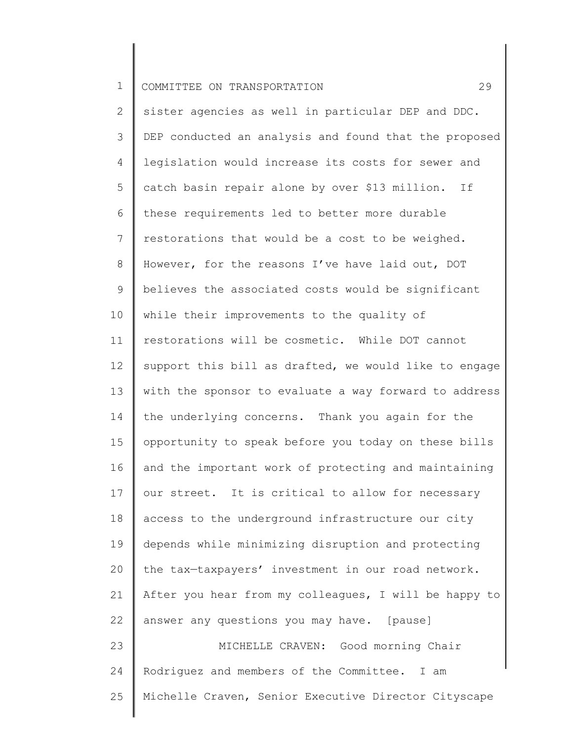2 3 4 5 6 7 8 9 10 11 12 13 14 15 16 17 18 19 20 21 22 23 24 25 sister agencies as well in particular DEP and DDC. DEP conducted an analysis and found that the proposed legislation would increase its costs for sewer and catch basin repair alone by over \$13 million. If these requirements led to better more durable restorations that would be a cost to be weighed. However, for the reasons I've have laid out, DOT believes the associated costs would be significant while their improvements to the quality of restorations will be cosmetic. While DOT cannot support this bill as drafted, we would like to engage with the sponsor to evaluate a way forward to address the underlying concerns. Thank you again for the opportunity to speak before you today on these bills and the important work of protecting and maintaining our street. It is critical to allow for necessary access to the underground infrastructure our city depends while minimizing disruption and protecting the tax—taxpayers' investment in our road network. After you hear from my colleagues, I will be happy to answer any questions you may have. [pause] MICHELLE CRAVEN: Good morning Chair Rodriguez and members of the Committee. I am Michelle Craven, Senior Executive Director Cityscape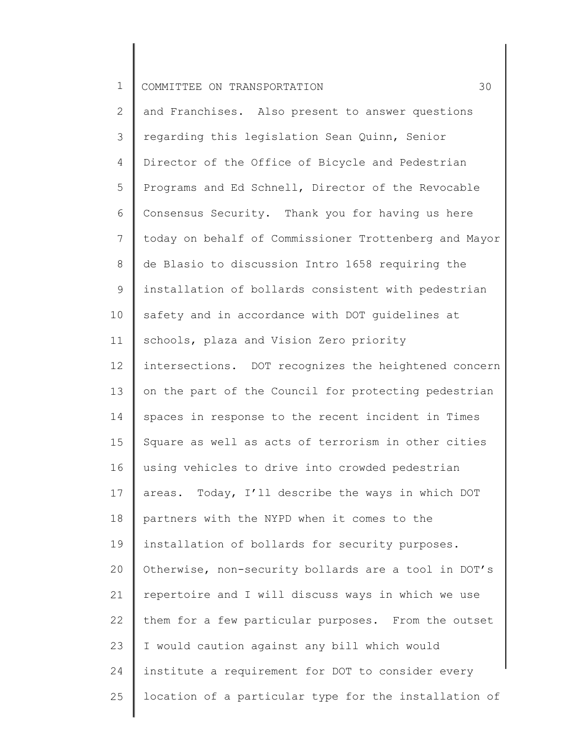2 3 4 5 6 7 8 9 10 11 12 13 14 15 16 17 18 19 20 21 22 23 24 25 and Franchises. Also present to answer questions regarding this legislation Sean Quinn, Senior Director of the Office of Bicycle and Pedestrian Programs and Ed Schnell, Director of the Revocable Consensus Security. Thank you for having us here today on behalf of Commissioner Trottenberg and Mayor de Blasio to discussion Intro 1658 requiring the installation of bollards consistent with pedestrian safety and in accordance with DOT guidelines at schools, plaza and Vision Zero priority intersections. DOT recognizes the heightened concern on the part of the Council for protecting pedestrian spaces in response to the recent incident in Times Square as well as acts of terrorism in other cities using vehicles to drive into crowded pedestrian areas. Today, I'll describe the ways in which DOT partners with the NYPD when it comes to the installation of bollards for security purposes. Otherwise, non-security bollards are a tool in DOT's repertoire and I will discuss ways in which we use them for a few particular purposes. From the outset I would caution against any bill which would institute a requirement for DOT to consider every location of a particular type for the installation of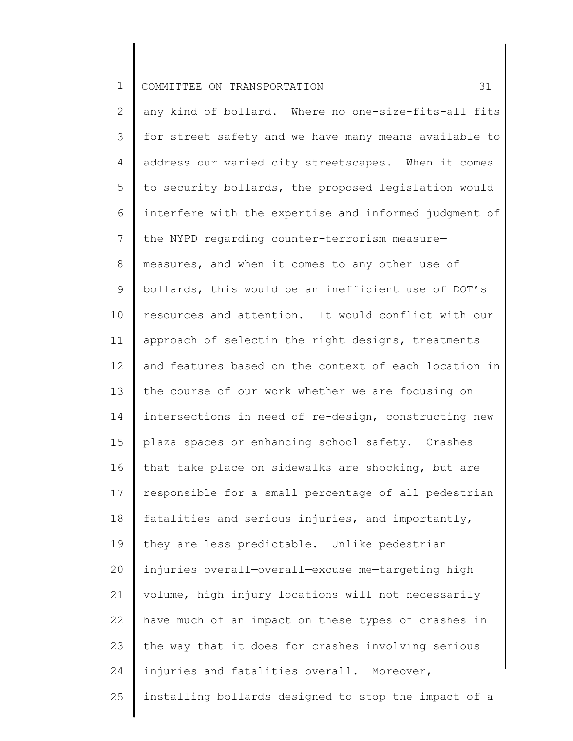2 3 4 5 6 7 8 9 10 11 12 13 14 15 16 17 18 19 20 21 22 23 24 25 any kind of bollard. Where no one-size-fits-all fits for street safety and we have many means available to address our varied city streetscapes. When it comes to security bollards, the proposed legislation would interfere with the expertise and informed judgment of the NYPD regarding counter-terrorism measure measures, and when it comes to any other use of bollards, this would be an inefficient use of DOT's resources and attention. It would conflict with our approach of selectin the right designs, treatments and features based on the context of each location in the course of our work whether we are focusing on intersections in need of re-design, constructing new plaza spaces or enhancing school safety. Crashes that take place on sidewalks are shocking, but are responsible for a small percentage of all pedestrian fatalities and serious injuries, and importantly, they are less predictable. Unlike pedestrian injuries overall—overall—excuse me—targeting high volume, high injury locations will not necessarily have much of an impact on these types of crashes in the way that it does for crashes involving serious injuries and fatalities overall. Moreover, installing bollards designed to stop the impact of a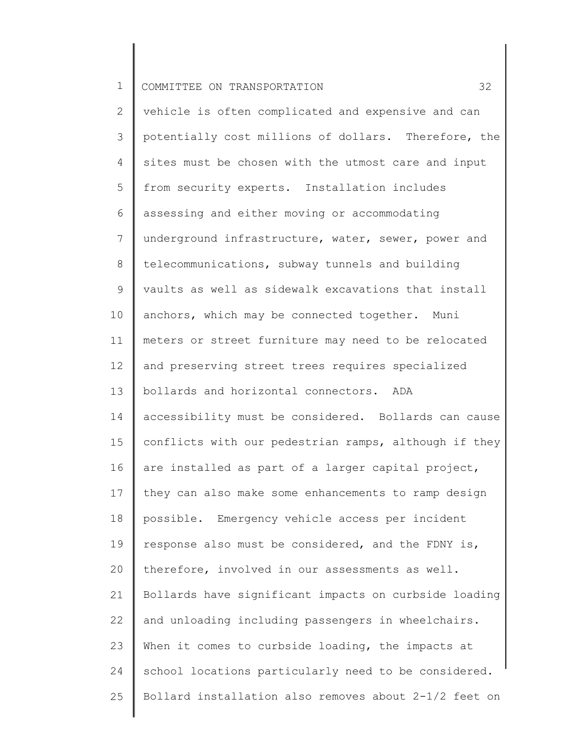2 3 4 5 6 7 8 9 10 11 12 13 14 15 16 17 18 19 20 21 22 23 24 25 vehicle is often complicated and expensive and can potentially cost millions of dollars. Therefore, the sites must be chosen with the utmost care and input from security experts. Installation includes assessing and either moving or accommodating underground infrastructure, water, sewer, power and telecommunications, subway tunnels and building vaults as well as sidewalk excavations that install anchors, which may be connected together. Muni meters or street furniture may need to be relocated and preserving street trees requires specialized bollards and horizontal connectors. ADA accessibility must be considered. Bollards can cause conflicts with our pedestrian ramps, although if they are installed as part of a larger capital project, they can also make some enhancements to ramp design possible. Emergency vehicle access per incident response also must be considered, and the FDNY is, therefore, involved in our assessments as well. Bollards have significant impacts on curbside loading and unloading including passengers in wheelchairs. When it comes to curbside loading, the impacts at school locations particularly need to be considered. Bollard installation also removes about 2-1/2 feet on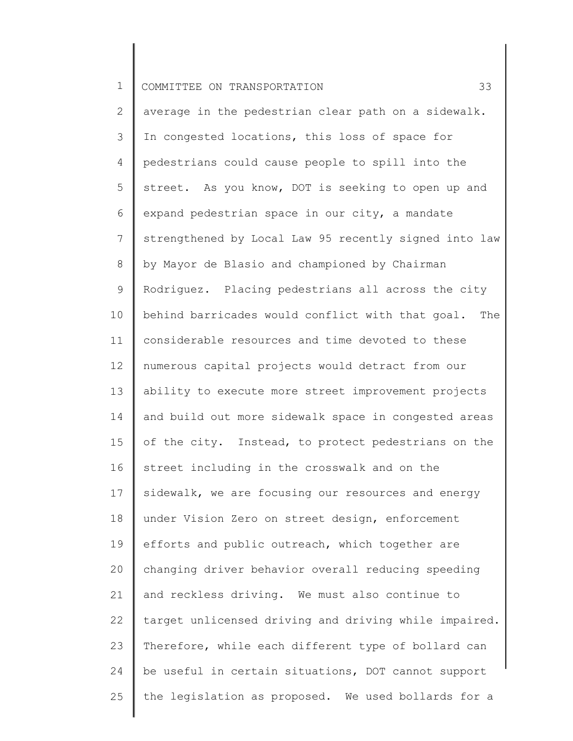2 3 4 5 6 7 8 9 10 11 12 13 14 15 16 17 18 19 20 21 22 23 24 25 average in the pedestrian clear path on a sidewalk. In congested locations, this loss of space for pedestrians could cause people to spill into the street. As you know, DOT is seeking to open up and expand pedestrian space in our city, a mandate strengthened by Local Law 95 recently signed into law by Mayor de Blasio and championed by Chairman Rodriguez. Placing pedestrians all across the city behind barricades would conflict with that goal. The considerable resources and time devoted to these numerous capital projects would detract from our ability to execute more street improvement projects and build out more sidewalk space in congested areas of the city. Instead, to protect pedestrians on the street including in the crosswalk and on the sidewalk, we are focusing our resources and energy under Vision Zero on street design, enforcement efforts and public outreach, which together are changing driver behavior overall reducing speeding and reckless driving. We must also continue to target unlicensed driving and driving while impaired. Therefore, while each different type of bollard can be useful in certain situations, DOT cannot support the legislation as proposed. We used bollards for a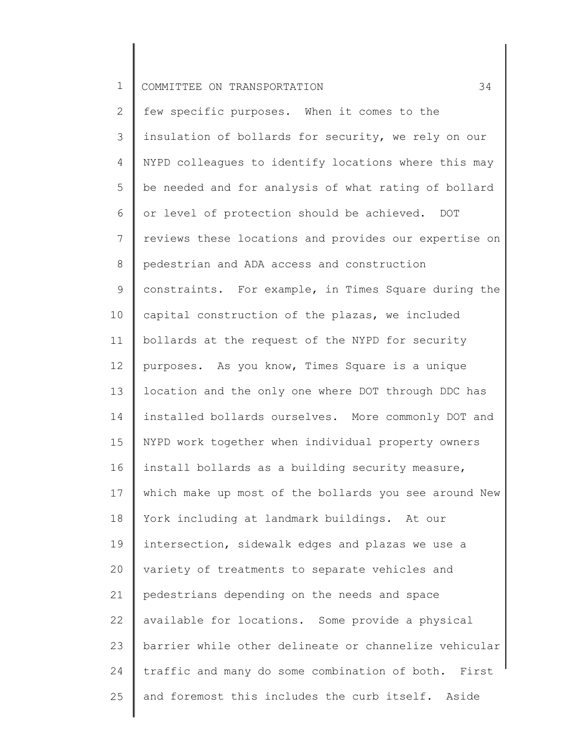2 3 4 5 6 7 8 9 10 11 12 13 14 15 16 17 18 19 20 21 22 23 24 25 few specific purposes. When it comes to the insulation of bollards for security, we rely on our NYPD colleagues to identify locations where this may be needed and for analysis of what rating of bollard or level of protection should be achieved. DOT reviews these locations and provides our expertise on pedestrian and ADA access and construction constraints. For example, in Times Square during the capital construction of the plazas, we included bollards at the request of the NYPD for security purposes. As you know, Times Square is a unique location and the only one where DOT through DDC has installed bollards ourselves. More commonly DOT and NYPD work together when individual property owners install bollards as a building security measure, which make up most of the bollards you see around New York including at landmark buildings. At our intersection, sidewalk edges and plazas we use a variety of treatments to separate vehicles and pedestrians depending on the needs and space available for locations. Some provide a physical barrier while other delineate or channelize vehicular traffic and many do some combination of both. First and foremost this includes the curb itself. Aside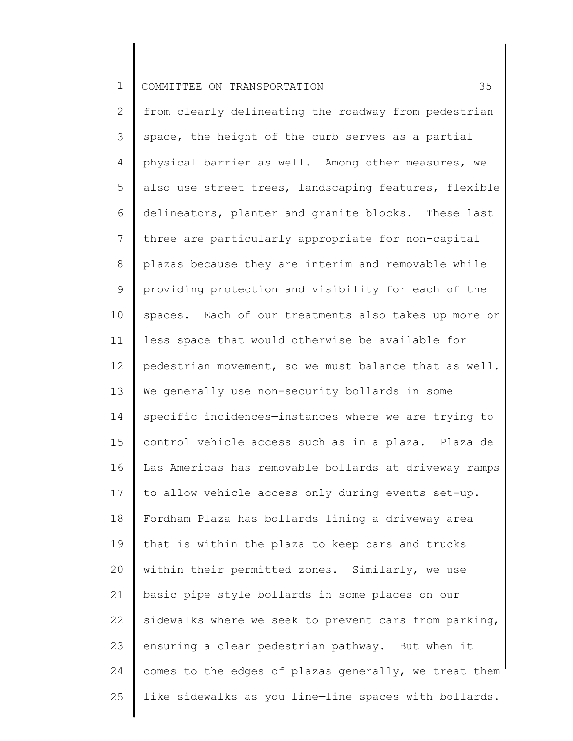2 3 4 5 6 7 8 9 10 11 12 13 14 15 16 17 18 19 20 21 22 23 24 25 from clearly delineating the roadway from pedestrian space, the height of the curb serves as a partial physical barrier as well. Among other measures, we also use street trees, landscaping features, flexible delineators, planter and granite blocks. These last three are particularly appropriate for non-capital plazas because they are interim and removable while providing protection and visibility for each of the spaces. Each of our treatments also takes up more or less space that would otherwise be available for pedestrian movement, so we must balance that as well. We generally use non-security bollards in some specific incidences—instances where we are trying to control vehicle access such as in a plaza. Plaza de Las Americas has removable bollards at driveway ramps to allow vehicle access only during events set-up. Fordham Plaza has bollards lining a driveway area that is within the plaza to keep cars and trucks within their permitted zones. Similarly, we use basic pipe style bollards in some places on our sidewalks where we seek to prevent cars from parking, ensuring a clear pedestrian pathway. But when it comes to the edges of plazas generally, we treat them like sidewalks as you line—line spaces with bollards.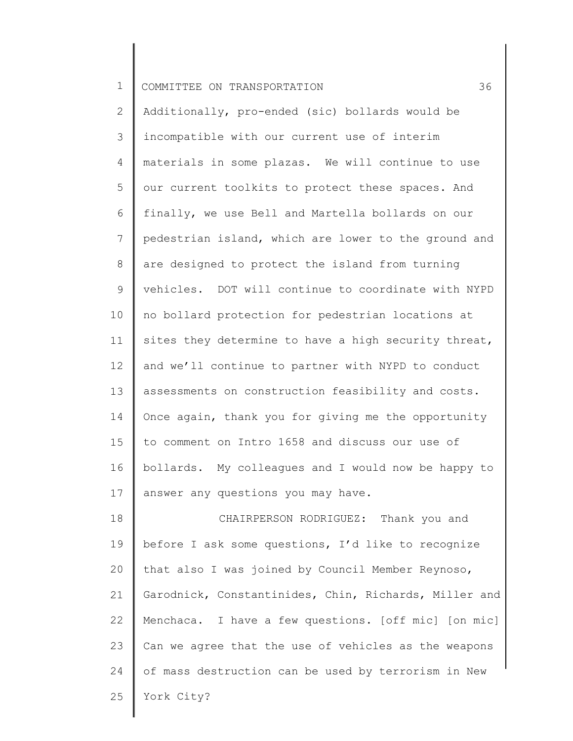2 3 4 5 6 7 8 9 10 11 12 13 14 15 16 17 Additionally, pro-ended (sic) bollards would be incompatible with our current use of interim materials in some plazas. We will continue to use our current toolkits to protect these spaces. And finally, we use Bell and Martella bollards on our pedestrian island, which are lower to the ground and are designed to protect the island from turning vehicles. DOT will continue to coordinate with NYPD no bollard protection for pedestrian locations at sites they determine to have a high security threat, and we'll continue to partner with NYPD to conduct assessments on construction feasibility and costs. Once again, thank you for giving me the opportunity to comment on Intro 1658 and discuss our use of bollards. My colleagues and I would now be happy to answer any questions you may have.

18 19 20 21 22 23 24 25 CHAIRPERSON RODRIGUEZ: Thank you and before I ask some questions, I'd like to recognize that also I was joined by Council Member Reynoso, Garodnick, Constantinides, Chin, Richards, Miller and Menchaca. I have a few questions. [off mic] [on mic] Can we agree that the use of vehicles as the weapons of mass destruction can be used by terrorism in New York City?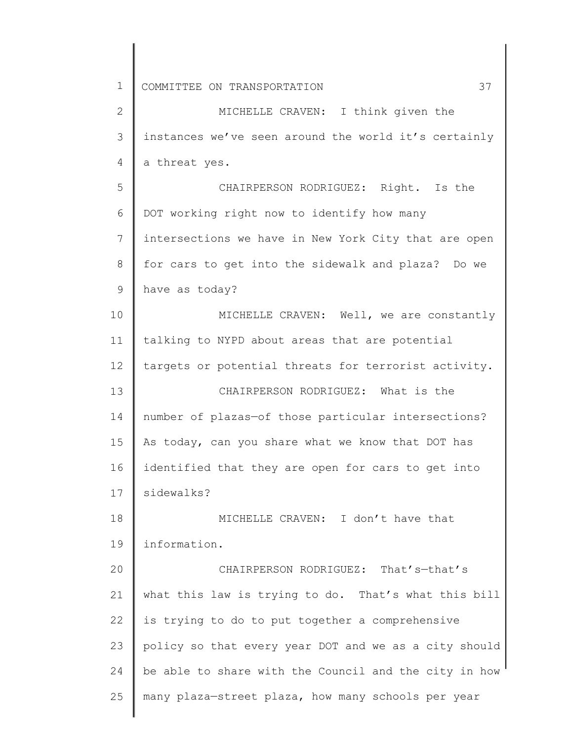1 2 3 4 5 6 7 8 9 10 11 12 13 14 15 16 17 18 19 20 21 22 23 24 25 COMMITTEE ON TRANSPORTATION 37 MICHELLE CRAVEN: I think given the instances we've seen around the world it's certainly a threat yes. CHAIRPERSON RODRIGUEZ: Right. Is the DOT working right now to identify how many intersections we have in New York City that are open for cars to get into the sidewalk and plaza? Do we have as today? MICHELLE CRAVEN: Well, we are constantly talking to NYPD about areas that are potential targets or potential threats for terrorist activity. CHAIRPERSON RODRIGUEZ: What is the number of plazas—of those particular intersections? As today, can you share what we know that DOT has identified that they are open for cars to get into sidewalks? MICHELLE CRAVEN: I don't have that information. CHAIRPERSON RODRIGUEZ: That's—that's what this law is trying to do. That's what this bill is trying to do to put together a comprehensive policy so that every year DOT and we as a city should be able to share with the Council and the city in how many plaza—street plaza, how many schools per year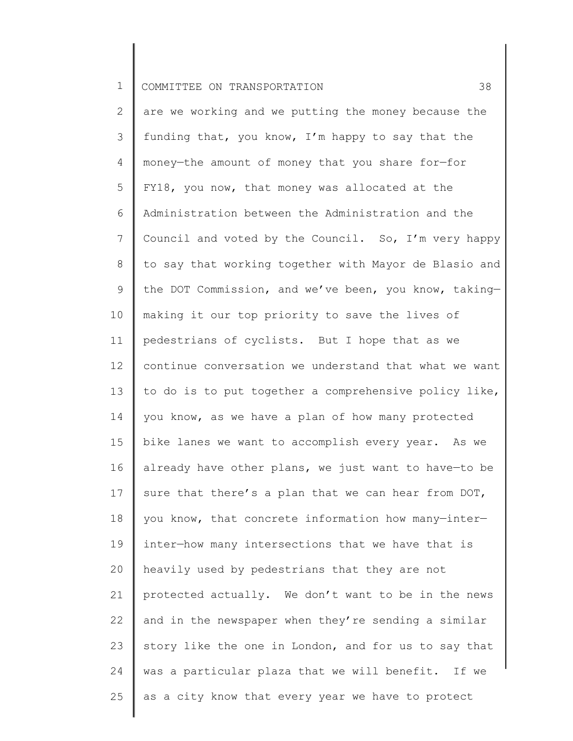2 3 4 5 6 7 8 9 10 11 12 13 14 15 16 17 18 19 20 21 22 23 24 25 are we working and we putting the money because the funding that, you know, I'm happy to say that the money—the amount of money that you share for—for FY18, you now, that money was allocated at the Administration between the Administration and the Council and voted by the Council. So, I'm very happy to say that working together with Mayor de Blasio and the DOT Commission, and we've been, you know, taking making it our top priority to save the lives of pedestrians of cyclists. But I hope that as we continue conversation we understand that what we want to do is to put together a comprehensive policy like, you know, as we have a plan of how many protected bike lanes we want to accomplish every year. As we already have other plans, we just want to have—to be sure that there's a plan that we can hear from DOT, you know, that concrete information how many—inter inter—how many intersections that we have that is heavily used by pedestrians that they are not protected actually. We don't want to be in the news and in the newspaper when they're sending a similar story like the one in London, and for us to say that was a particular plaza that we will benefit. If we as a city know that every year we have to protect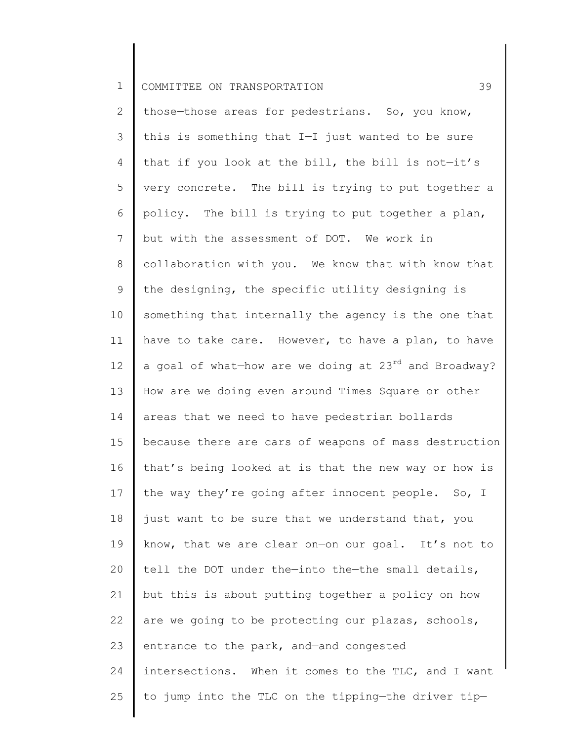2 3 4 5 6 7 8 9 10 11 12 13 14 15 16 17 18 19 20 21 22 23 24 25 those—those areas for pedestrians. So, you know, this is something that I—I just wanted to be sure that if you look at the bill, the bill is not—it's very concrete. The bill is trying to put together a policy. The bill is trying to put together a plan, but with the assessment of DOT. We work in collaboration with you. We know that with know that the designing, the specific utility designing is something that internally the agency is the one that have to take care. However, to have a plan, to have a goal of what-how are we doing at  $23^{rd}$  and Broadway? How are we doing even around Times Square or other areas that we need to have pedestrian bollards because there are cars of weapons of mass destruction that's being looked at is that the new way or how is the way they're going after innocent people. So, I just want to be sure that we understand that, you know, that we are clear on—on our goal. It's not to tell the DOT under the—into the—the small details, but this is about putting together a policy on how are we going to be protecting our plazas, schools, entrance to the park, and—and congested intersections. When it comes to the TLC, and I want to jump into the TLC on the tipping—the driver tip—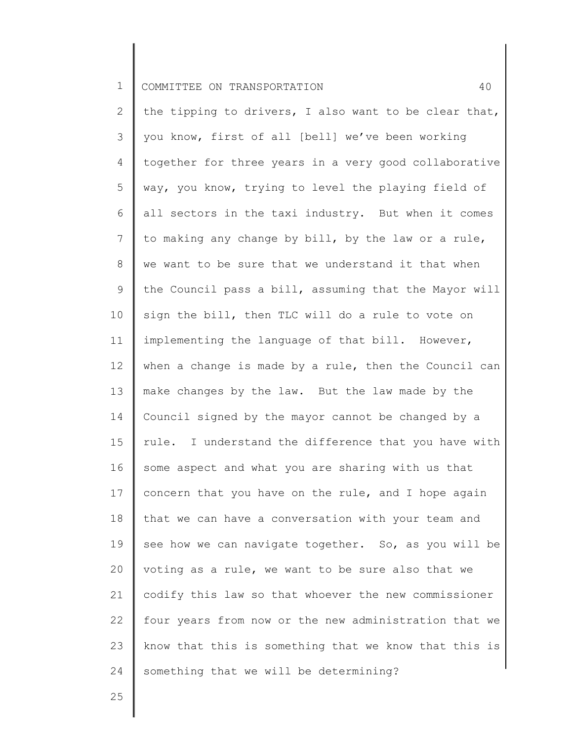2 3 4 5 6 7 8 9 10 11 12 13 14 15 16 17 18 19 20 21 22 23 24 the tipping to drivers, I also want to be clear that, you know, first of all [bell] we've been working together for three years in a very good collaborative way, you know, trying to level the playing field of all sectors in the taxi industry. But when it comes to making any change by bill, by the law or a rule, we want to be sure that we understand it that when the Council pass a bill, assuming that the Mayor will sign the bill, then TLC will do a rule to vote on implementing the language of that bill. However, when a change is made by a rule, then the Council can make changes by the law. But the law made by the Council signed by the mayor cannot be changed by a rule. I understand the difference that you have with some aspect and what you are sharing with us that concern that you have on the rule, and I hope again that we can have a conversation with your team and see how we can navigate together. So, as you will be voting as a rule, we want to be sure also that we codify this law so that whoever the new commissioner four years from now or the new administration that we know that this is something that we know that this is something that we will be determining?

25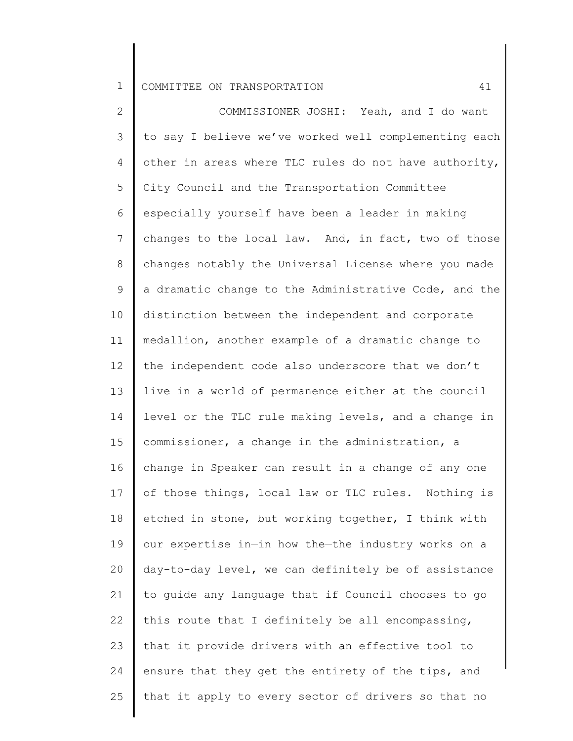2 3 4 5 6 7 8 9 10 11 12 13 14 15 16 17 18 19 20 21 22 23 24 25 COMMISSIONER JOSHI: Yeah, and I do want to say I believe we've worked well complementing each other in areas where TLC rules do not have authority, City Council and the Transportation Committee especially yourself have been a leader in making changes to the local law. And, in fact, two of those changes notably the Universal License where you made a dramatic change to the Administrative Code, and the distinction between the independent and corporate medallion, another example of a dramatic change to the independent code also underscore that we don't live in a world of permanence either at the council level or the TLC rule making levels, and a change in commissioner, a change in the administration, a change in Speaker can result in a change of any one of those things, local law or TLC rules. Nothing is etched in stone, but working together, I think with our expertise in—in how the—the industry works on a day-to-day level, we can definitely be of assistance to guide any language that if Council chooses to go this route that I definitely be all encompassing, that it provide drivers with an effective tool to ensure that they get the entirety of the tips, and that it apply to every sector of drivers so that no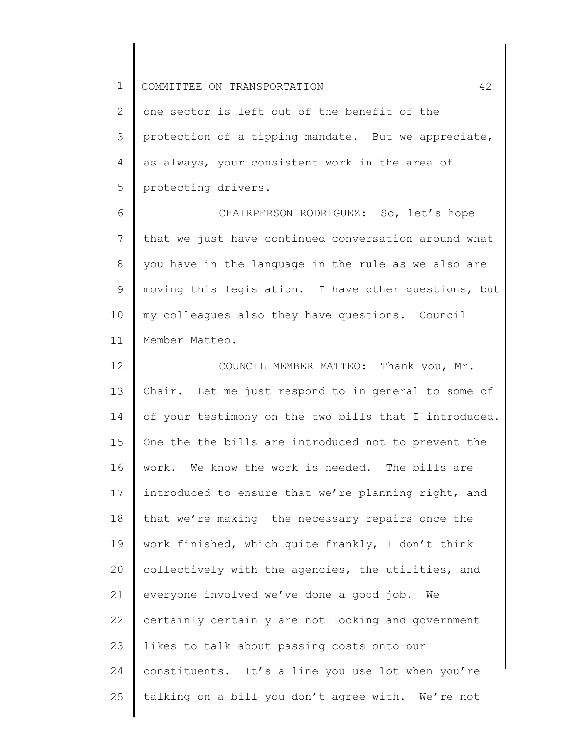2 3 4 5 one sector is left out of the benefit of the protection of a tipping mandate. But we appreciate, as always, your consistent work in the area of protecting drivers.

6 7 8 9 10 11 CHAIRPERSON RODRIGUEZ: So, let's hope that we just have continued conversation around what you have in the language in the rule as we also are moving this legislation. I have other questions, but my colleagues also they have questions. Council Member Matteo.

12 13 14 15 16 17 18 19 20 21 22 23 24 25 COUNCIL MEMBER MATTEO: Thank you, Mr. Chair. Let me just respond to—in general to some of of your testimony on the two bills that I introduced. One the—the bills are introduced not to prevent the work. We know the work is needed. The bills are introduced to ensure that we're planning right, and that we're making the necessary repairs once the work finished, which quite frankly, I don't think collectively with the agencies, the utilities, and everyone involved we've done a good job. We certainly—certainly are not looking and government likes to talk about passing costs onto our constituents. It's a line you use lot when you're talking on a bill you don't agree with. We're not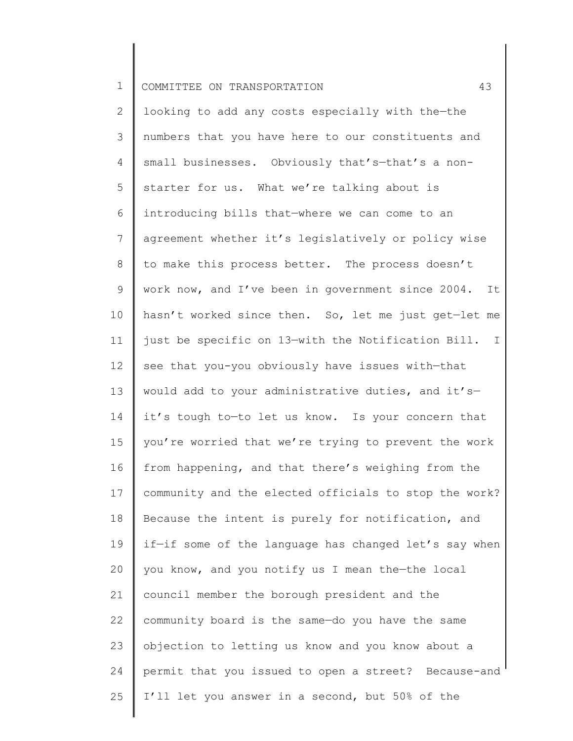2 3 4 5 6 7 8 9 10 11 12 13 14 15 16 17 18 19 20 21 22 23 24 25 looking to add any costs especially with the—the numbers that you have here to our constituents and small businesses. Obviously that's—that's a nonstarter for us. What we're talking about is introducing bills that—where we can come to an agreement whether it's legislatively or policy wise to make this process better. The process doesn't work now, and I've been in government since 2004. It hasn't worked since then. So, let me just get—let me just be specific on 13—with the Notification Bill. I see that you-you obviously have issues with—that would add to your administrative duties, and it's it's tough to—to let us know. Is your concern that you're worried that we're trying to prevent the work from happening, and that there's weighing from the community and the elected officials to stop the work? Because the intent is purely for notification, and if—if some of the language has changed let's say when you know, and you notify us I mean the—the local council member the borough president and the community board is the same—do you have the same objection to letting us know and you know about a permit that you issued to open a street? Because-and I'll let you answer in a second, but 50% of the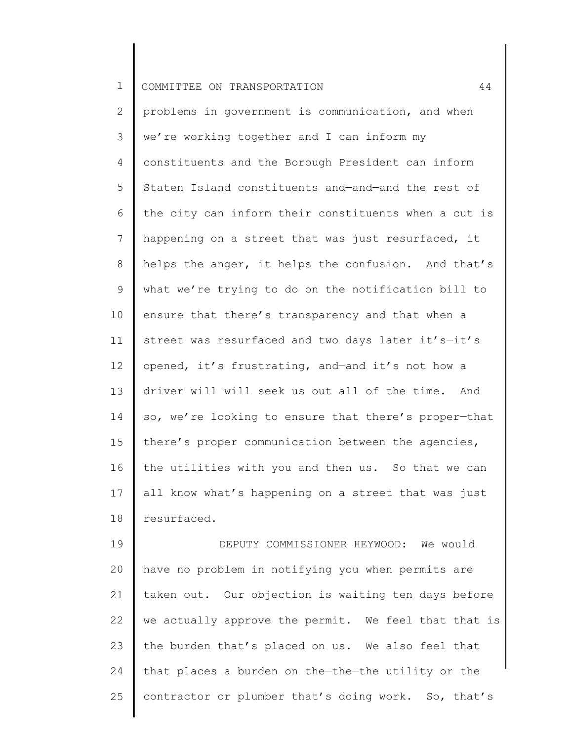2 3 4 5 6 7 8 9 10 11 12 13 14 15 16 17 18 problems in government is communication, and when we're working together and I can inform my constituents and the Borough President can inform Staten Island constituents and—and—and the rest of the city can inform their constituents when a cut is happening on a street that was just resurfaced, it helps the anger, it helps the confusion. And that's what we're trying to do on the notification bill to ensure that there's transparency and that when a street was resurfaced and two days later it's-it's opened, it's frustrating, and—and it's not how a driver will—will seek us out all of the time. And so, we're looking to ensure that there's proper—that there's proper communication between the agencies, the utilities with you and then us. So that we can all know what's happening on a street that was just resurfaced.

19 20 21 22 23 24 25 DEPUTY COMMISSIONER HEYWOOD: We would have no problem in notifying you when permits are taken out. Our objection is waiting ten days before we actually approve the permit. We feel that that is the burden that's placed on us. We also feel that that places a burden on the—the—the utility or the contractor or plumber that's doing work. So, that's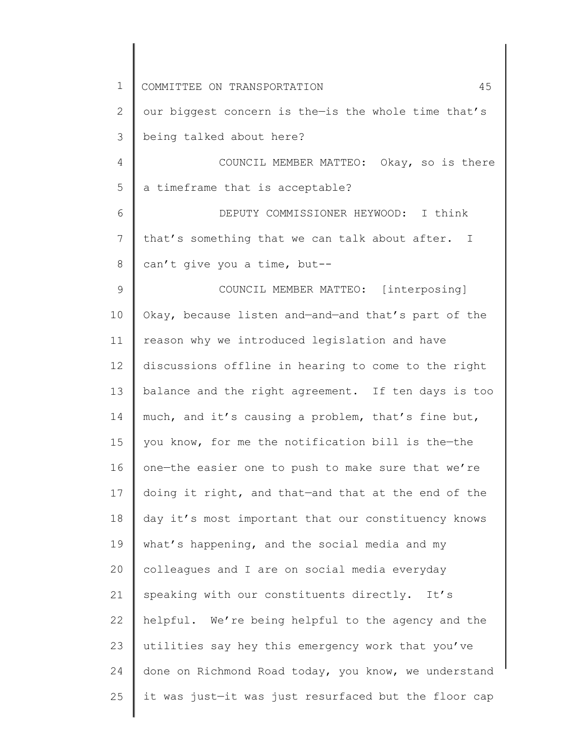1 2 3 4 5 6 7 8 9 10 11 12 13 14 15 16 17 18 19 20 21 22 23 24 25 COMMITTEE ON TRANSPORTATION 45 our biggest concern is the—is the whole time that's being talked about here? COUNCIL MEMBER MATTEO: Okay, so is there a timeframe that is acceptable? DEPUTY COMMISSIONER HEYWOOD: I think that's something that we can talk about after. I can't give you a time, but-- COUNCIL MEMBER MATTEO: [interposing] Okay, because listen and—and—and that's part of the reason why we introduced legislation and have discussions offline in hearing to come to the right balance and the right agreement. If ten days is too much, and it's causing a problem, that's fine but, you know, for me the notification bill is the—the one—the easier one to push to make sure that we're doing it right, and that—and that at the end of the day it's most important that our constituency knows what's happening, and the social media and my colleagues and I are on social media everyday speaking with our constituents directly. It's helpful. We're being helpful to the agency and the utilities say hey this emergency work that you've done on Richmond Road today, you know, we understand it was just—it was just resurfaced but the floor cap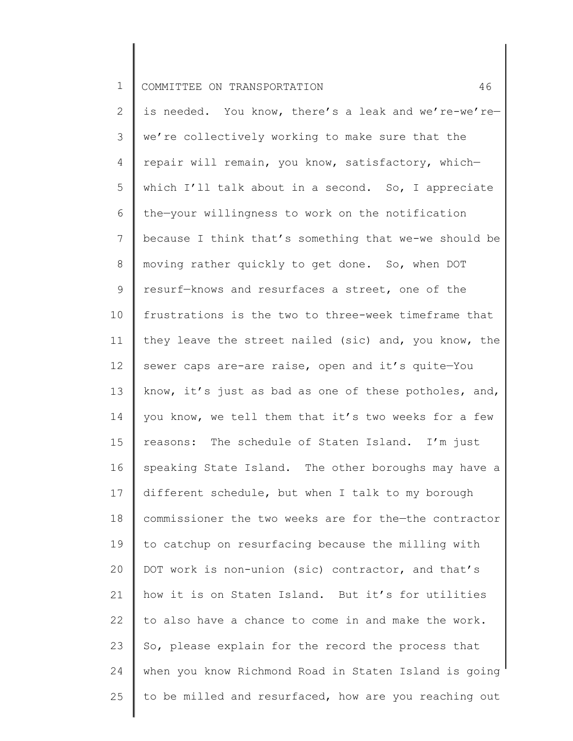2 3 4 5 6 7 8 9 10 11 12 13 14 15 16 17 18 19 20 21 22 23 24 25 is needed. You know, there's a leak and we're-we're we're collectively working to make sure that the repair will remain, you know, satisfactory, which which I'll talk about in a second. So, I appreciate the—your willingness to work on the notification because I think that's something that we-we should be moving rather quickly to get done. So, when DOT resurf—knows and resurfaces a street, one of the frustrations is the two to three-week timeframe that they leave the street nailed (sic) and, you know, the sewer caps are-are raise, open and it's quite—You know, it's just as bad as one of these potholes, and, you know, we tell them that it's two weeks for a few reasons: The schedule of Staten Island. I'm just speaking State Island. The other boroughs may have a different schedule, but when I talk to my borough commissioner the two weeks are for the—the contractor to catchup on resurfacing because the milling with DOT work is non-union (sic) contractor, and that's how it is on Staten Island. But it's for utilities to also have a chance to come in and make the work. So, please explain for the record the process that when you know Richmond Road in Staten Island is going to be milled and resurfaced, how are you reaching out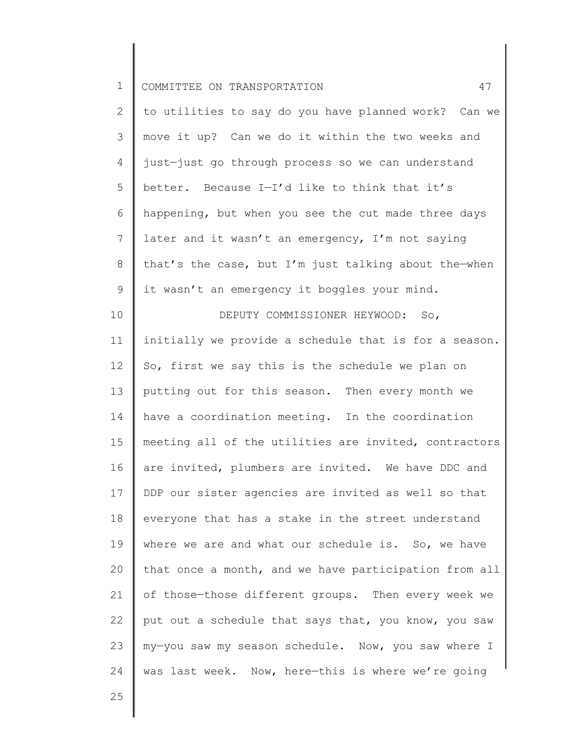| ᅩ |  |  | COMMITTEE ON TRANSPORTATION |  |
|---|--|--|-----------------------------|--|
|---|--|--|-----------------------------|--|

| $\overline{2}$ | to utilities to say do you have planned work? Can we   |
|----------------|--------------------------------------------------------|
|                | 3    move it up? Can we do it within the two weeks and |
|                | 4   just-just go through process so we can understand  |
| $5 \parallel$  | better. Because I-I'd like to think that it's          |
| 6              | happening, but when you see the cut made three days    |
| 7 <sup>7</sup> | later and it wasn't an emergency, I'm not saying       |
| 8              | that's the case, but I'm just talking about the-when   |
| 9              | it wasn't an emergency it boggles your mind.           |

10 11 12 13 14 15 16 17 18 19 20 21 22 23 24 DEPUTY COMMISSIONER HEYWOOD: So, initially we provide a schedule that is for a season. So, first we say this is the schedule we plan on putting out for this season. Then every month we have a coordination meeting. In the coordination meeting all of the utilities are invited, contractors are invited, plumbers are invited. We have DDC and DDP our sister agencies are invited as well so that everyone that has a stake in the street understand where we are and what our schedule is. So, we have that once a month, and we have participation from all of those—those different groups. Then every week we put out a schedule that says that, you know, you saw my—you saw my season schedule. Now, you saw where I was last week. Now, here—this is where we're going

25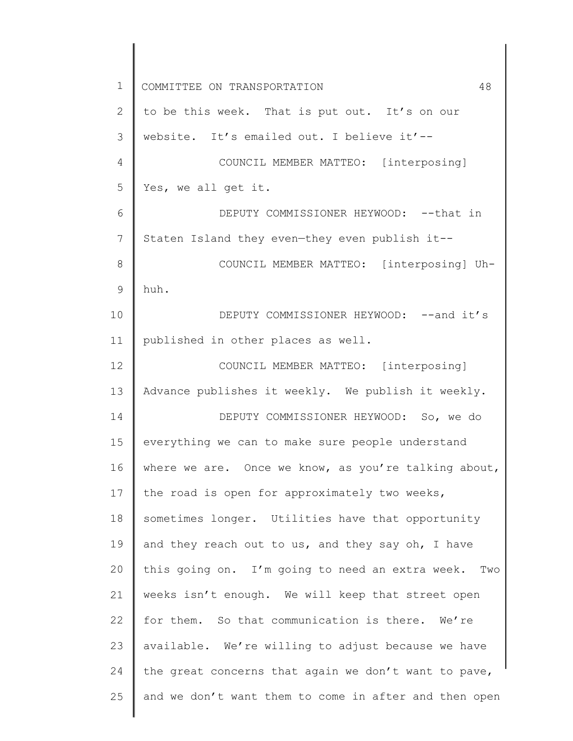1 2 3 4 5 6 7 8 9 10 11 12 13 14 15 16 17 18 19 20 21 22 23 24 25 COMMITTEE ON TRANSPORTATION 48 to be this week. That is put out. It's on our website. It's emailed out. I believe it'-- COUNCIL MEMBER MATTEO: [interposing] Yes, we all get it. DEPUTY COMMISSIONER HEYWOOD: -- that in Staten Island they even—they even publish it-- COUNCIL MEMBER MATTEO: [interposing] Uhhuh. DEPUTY COMMISSIONER HEYWOOD: -- and it's published in other places as well. COUNCIL MEMBER MATTEO: [interposing] Advance publishes it weekly. We publish it weekly. DEPUTY COMMISSIONER HEYWOOD: So, we do everything we can to make sure people understand where we are. Once we know, as you're talking about, the road is open for approximately two weeks, sometimes longer. Utilities have that opportunity and they reach out to us, and they say oh, I have this going on. I'm going to need an extra week. Two weeks isn't enough. We will keep that street open for them. So that communication is there. We're available. We're willing to adjust because we have the great concerns that again we don't want to pave, and we don't want them to come in after and then open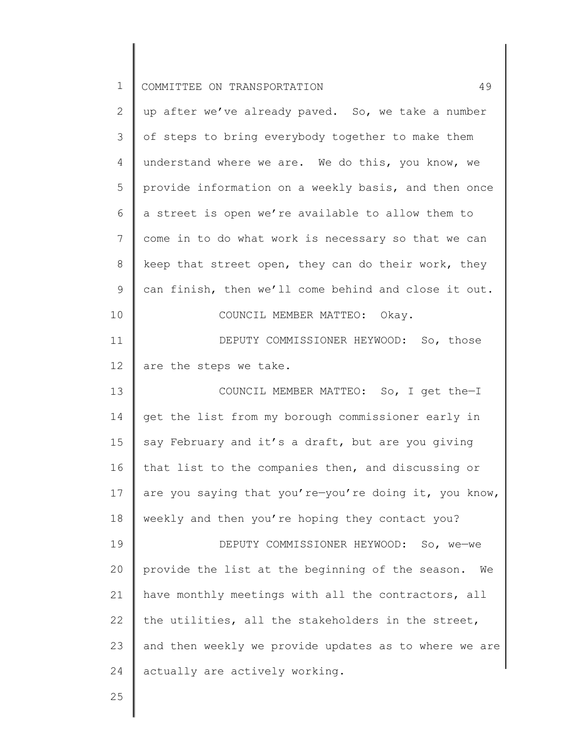| ᅩ |  |  | COMMITTEE ON TRANSPORTATION |  |  |
|---|--|--|-----------------------------|--|--|
|---|--|--|-----------------------------|--|--|

| $\overline{2}$ | up after we've already paved. So, we take a number     |
|----------------|--------------------------------------------------------|
| 3              | of steps to bring everybody together to make them      |
| 4              | understand where we are. We do this, you know, we      |
| 5              | provide information on a weekly basis, and then once   |
| 6              | a street is open we're available to allow them to      |
| 7              | come in to do what work is necessary so that we can    |
| 8              | keep that street open, they can do their work, they    |
| 9              | can finish, then we'll come behind and close it out.   |
| 10             | COUNCIL MEMBER MATTEO: Okay.                           |
| 11             | DEPUTY COMMISSIONER HEYWOOD: So, those                 |
| 12             | are the steps we take.                                 |
| 13             | COUNCIL MEMBER MATTEO: So, I get the-I                 |
| 14             | get the list from my borough commissioner early in     |
| 15             | say February and it's a draft, but are you giving      |
| 16             | that list to the companies then, and discussing or     |
| 17             | are you saying that you're-you're doing it, you know,  |
| 18             | weekly and then you're hoping they contact you?        |
| 19             | DEPUTY COMMISSIONER HEYWOOD: So, we-we                 |
| 20             | provide the list at the beginning of the season.<br>We |
| 21             | have monthly meetings with all the contractors, all    |
| 22             | the utilities, all the stakeholders in the street,     |
| 23             | and then weekly we provide updates as to where we are  |
| 24             | actually are actively working.                         |
|                |                                                        |

25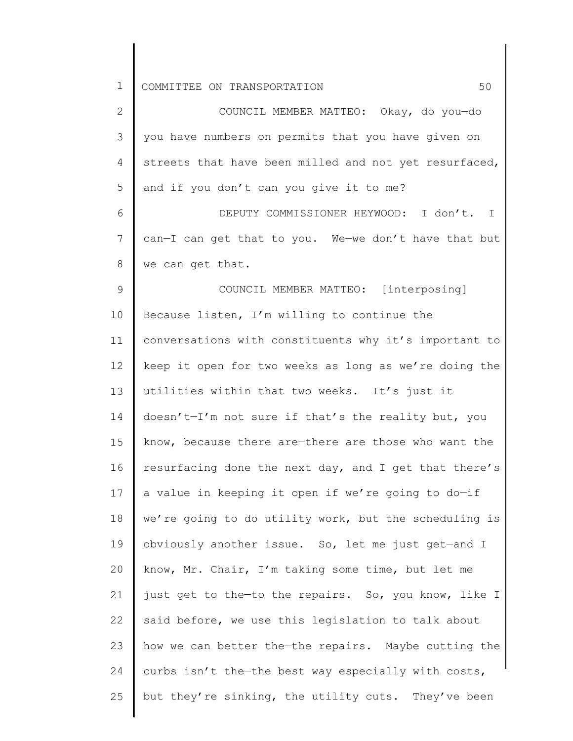| 2               | COUNCIL MEMBER MATTEO: Okay, do you-do                |
|-----------------|-------------------------------------------------------|
| 3               | you have numbers on permits that you have given on    |
| 4               | streets that have been milled and not yet resurfaced, |
| 5               | and if you don't can you give it to me?               |
| 6               | DEPUTY COMMISSIONER HEYWOOD: I don't. I               |
| $7\phantom{.0}$ | can-I can get that to you. We-we don't have that but  |
| 8               | we can get that.                                      |
| 9               | COUNCIL MEMBER MATTEO: [interposing]                  |
| 10              | Because listen, I'm willing to continue the           |
| 11              | conversations with constituents why it's important to |
| 12              | keep it open for two weeks as long as we're doing the |
| 13              | utilities within that two weeks. It's just-it         |
| 14              | doesn't-I'm not sure if that's the reality but, you   |
| 15              | know, because there are-there are those who want the  |
| 16              | resurfacing done the next day, and I get that there's |
| 17              | a value in keeping it open if we're going to do-if    |
| 18              | we're going to do utility work, but the scheduling is |
| 19              | obviously another issue. So, let me just get-and I    |
| 20              | know, Mr. Chair, I'm taking some time, but let me     |
| 21              | just get to the-to the repairs. So, you know, like I  |
| 22              | said before, we use this legislation to talk about    |
| 23              | how we can better the-the repairs. Maybe cutting the  |
| 24              | curbs isn't the-the best way especially with costs,   |
| 25              | but they're sinking, the utility cuts. They've been   |
|                 |                                                       |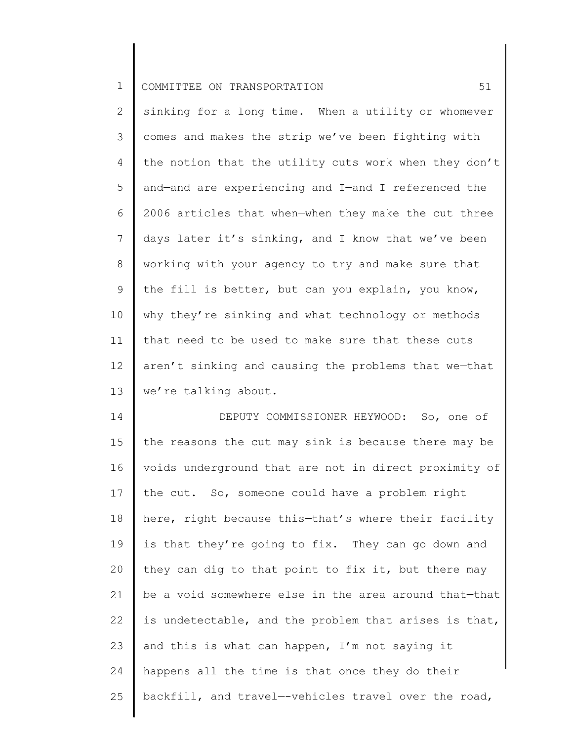2 3 4 5 6 7 8 9 10 11 12 13 sinking for a long time. When a utility or whomever comes and makes the strip we've been fighting with the notion that the utility cuts work when they don't and—and are experiencing and I—and I referenced the 2006 articles that when—when they make the cut three days later it's sinking, and I know that we've been working with your agency to try and make sure that the fill is better, but can you explain, you know, why they're sinking and what technology or methods that need to be used to make sure that these cuts aren't sinking and causing the problems that we—that we're talking about.

14 15 16 17 18 19 20 21 22 23 24 25 DEPUTY COMMISSIONER HEYWOOD: So, one of the reasons the cut may sink is because there may be voids underground that are not in direct proximity of the cut. So, someone could have a problem right here, right because this—that's where their facility is that they're going to fix. They can go down and they can dig to that point to fix it, but there may be a void somewhere else in the area around that—that is undetectable, and the problem that arises is that, and this is what can happen, I'm not saying it happens all the time is that once they do their backfill, and travel—-vehicles travel over the road,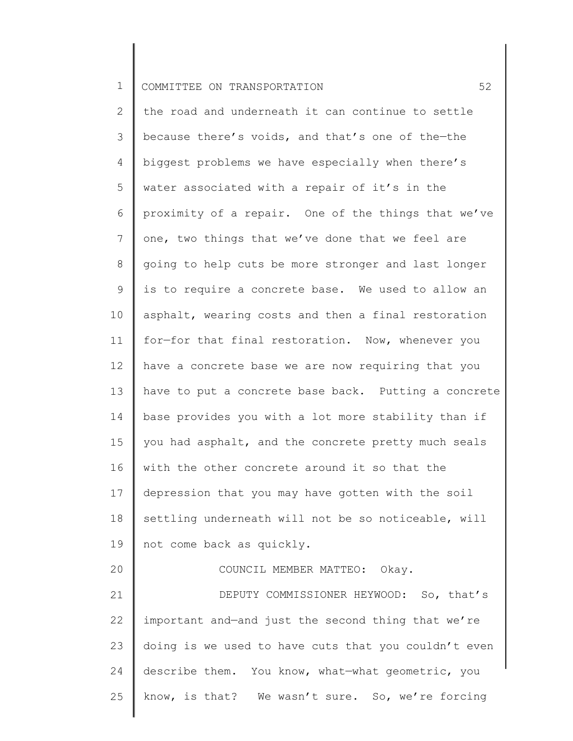2 3 4 5 6 7 8 9 10 11 12 13 14 15 16 17 18 19 20 21 22 23 24 25 the road and underneath it can continue to settle because there's voids, and that's one of the—the biggest problems we have especially when there's water associated with a repair of it's in the proximity of a repair. One of the things that we've one, two things that we've done that we feel are going to help cuts be more stronger and last longer is to require a concrete base. We used to allow an asphalt, wearing costs and then a final restoration for—for that final restoration. Now, whenever you have a concrete base we are now requiring that you have to put a concrete base back. Putting a concrete base provides you with a lot more stability than if you had asphalt, and the concrete pretty much seals with the other concrete around it so that the depression that you may have gotten with the soil settling underneath will not be so noticeable, will not come back as quickly. COUNCIL MEMBER MATTEO: Okay. DEPUTY COMMISSIONER HEYWOOD: So, that's important and—and just the second thing that we're doing is we used to have cuts that you couldn't even describe them. You know, what—what geometric, you know, is that? We wasn't sure. So, we're forcing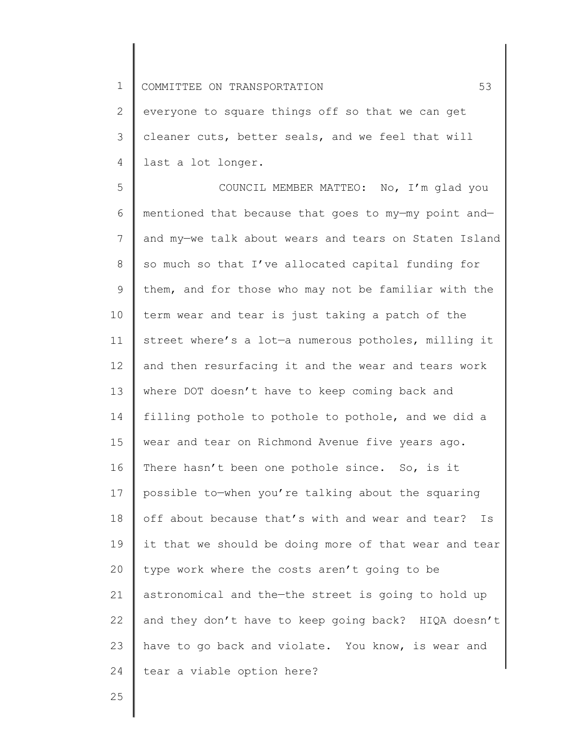2 3 4 everyone to square things off so that we can get cleaner cuts, better seals, and we feel that will last a lot longer.

5 6 7 8 9 10 11 12 13 14 15 16 17 18 19 20 21 22 23 24 COUNCIL MEMBER MATTEO: No, I'm glad you mentioned that because that goes to my—my point and and my—we talk about wears and tears on Staten Island so much so that I've allocated capital funding for them, and for those who may not be familiar with the term wear and tear is just taking a patch of the street where's a lot—a numerous potholes, milling it and then resurfacing it and the wear and tears work where DOT doesn't have to keep coming back and filling pothole to pothole to pothole, and we did a wear and tear on Richmond Avenue five years ago. There hasn't been one pothole since. So, is it possible to—when you're talking about the squaring off about because that's with and wear and tear? Is it that we should be doing more of that wear and tear type work where the costs aren't going to be astronomical and the—the street is going to hold up and they don't have to keep going back? HIQA doesn't have to go back and violate. You know, is wear and tear a viable option here?

25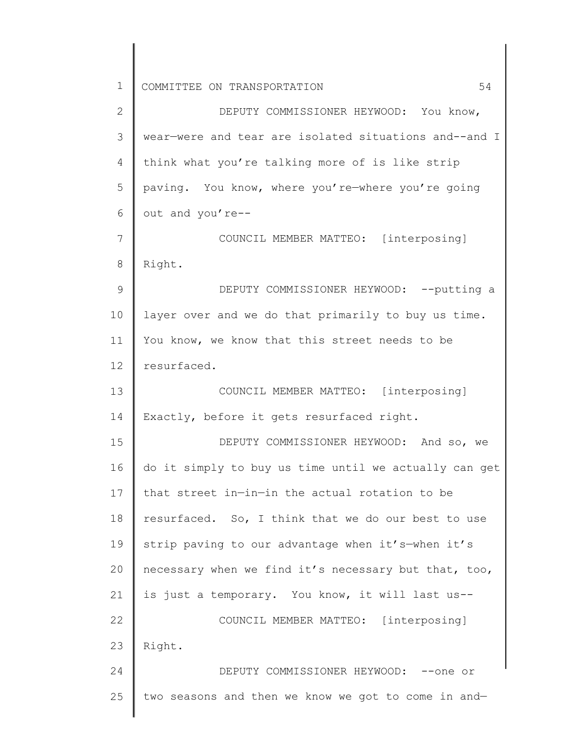2 3 4 5 6 7 8 9 10 11 12 13 14 15 16 17 18 19 20 21 22 23 24 25 DEPUTY COMMISSIONER HEYWOOD: You know, wear—were and tear are isolated situations and--and I think what you're talking more of is like strip paving. You know, where you're—where you're going out and you're-- COUNCIL MEMBER MATTEO: [interposing] Right. DEPUTY COMMISSIONER HEYWOOD: -- putting a layer over and we do that primarily to buy us time. You know, we know that this street needs to be resurfaced. COUNCIL MEMBER MATTEO: [interposing] Exactly, before it gets resurfaced right. DEPUTY COMMISSIONER HEYWOOD: And so, we do it simply to buy us time until we actually can get that street in—in—in the actual rotation to be resurfaced. So, I think that we do our best to use strip paving to our advantage when it's—when it's necessary when we find it's necessary but that, too, is just a temporary. You know, it will last us-- COUNCIL MEMBER MATTEO: [interposing] Right. DEPUTY COMMISSIONER HEYWOOD: --one or two seasons and then we know we got to come in and—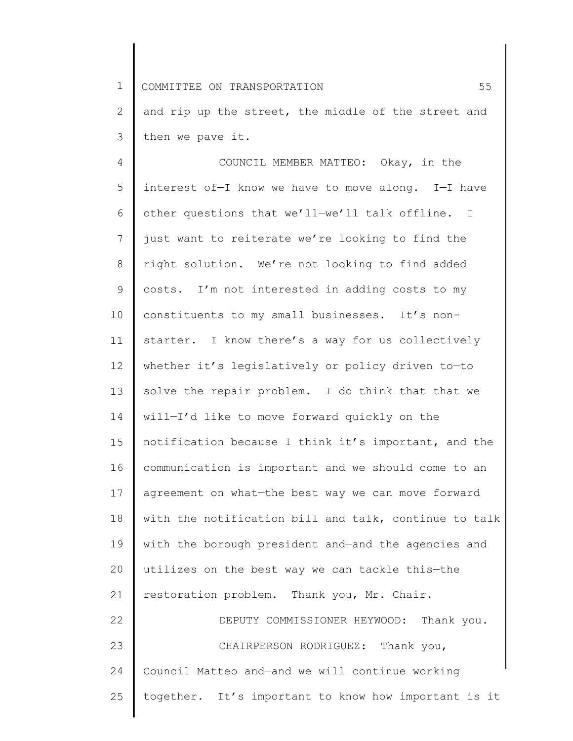2 3 and rip up the street, the middle of the street and then we pave it.

4 5 6 7 8 9 10 11 12 13 14 15 16 17 18 19 20 21 22 23 24 25 COUNCIL MEMBER MATTEO: Okay, in the interest of—I know we have to move along. I—I have other questions that we'll—we'll talk offline. I just want to reiterate we're looking to find the right solution. We're not looking to find added costs. I'm not interested in adding costs to my constituents to my small businesses. It's nonstarter. I know there's a way for us collectively whether it's legislatively or policy driven to-to solve the repair problem. I do think that that we will—I'd like to move forward quickly on the notification because I think it's important, and the communication is important and we should come to an agreement on what—the best way we can move forward with the notification bill and talk, continue to talk with the borough president and—and the agencies and utilizes on the best way we can tackle this—the restoration problem. Thank you, Mr. Chair. DEPUTY COMMISSIONER HEYWOOD: Thank you. CHAIRPERSON RODRIGUEZ: Thank you, Council Matteo and—and we will continue working together. It's important to know how important is it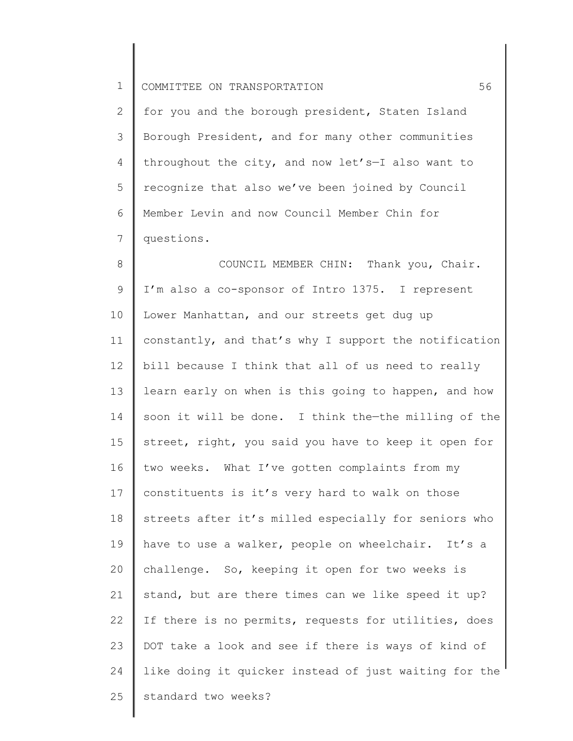2 3 4 5 6 7 for you and the borough president, Staten Island Borough President, and for many other communities throughout the city, and now let's—I also want to recognize that also we've been joined by Council Member Levin and now Council Member Chin for questions.

8 9 10 11 12 13 14 15 16 17 18 19 20 21 22 23 24 25 COUNCIL MEMBER CHIN: Thank you, Chair. I'm also a co-sponsor of Intro 1375. I represent Lower Manhattan, and our streets get dug up constantly, and that's why I support the notification bill because I think that all of us need to really learn early on when is this going to happen, and how soon it will be done. I think the—the milling of the street, right, you said you have to keep it open for two weeks. What I've gotten complaints from my constituents is it's very hard to walk on those streets after it's milled especially for seniors who have to use a walker, people on wheelchair. It's a challenge. So, keeping it open for two weeks is stand, but are there times can we like speed it up? If there is no permits, requests for utilities, does DOT take a look and see if there is ways of kind of like doing it quicker instead of just waiting for the standard two weeks?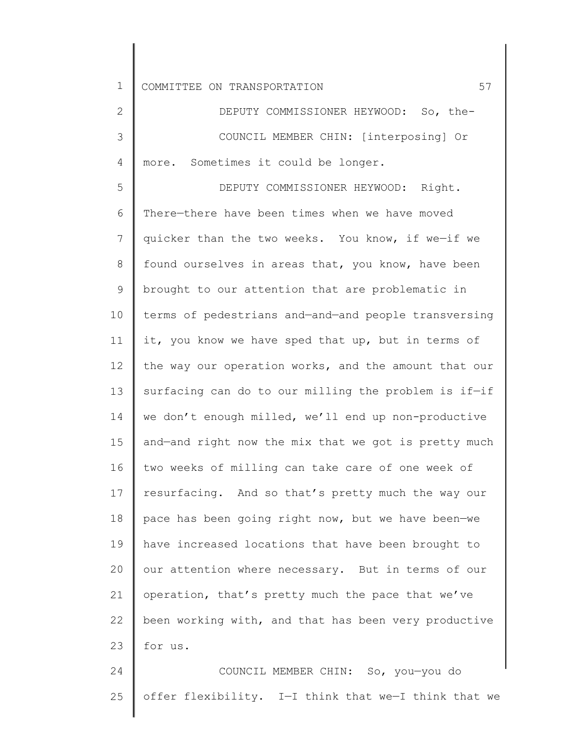2 3 4 DEPUTY COMMISSIONER HEYWOOD: So, the-COUNCIL MEMBER CHIN: [interposing] Or more. Sometimes it could be longer.

5 6 7 8 9 10 11 12 13 14 15 16 17 18 19 20 21 22 23 DEPUTY COMMISSIONER HEYWOOD: Right. There—there have been times when we have moved quicker than the two weeks. You know, if we—if we found ourselves in areas that, you know, have been brought to our attention that are problematic in terms of pedestrians and—and—and people transversing it, you know we have sped that up, but in terms of the way our operation works, and the amount that our surfacing can do to our milling the problem is if—if we don't enough milled, we'll end up non-productive and—and right now the mix that we got is pretty much two weeks of milling can take care of one week of resurfacing. And so that's pretty much the way our pace has been going right now, but we have been—we have increased locations that have been brought to our attention where necessary. But in terms of our operation, that's pretty much the pace that we've been working with, and that has been very productive for us.

24 25 COUNCIL MEMBER CHIN: So, you—you do offer flexibility. I—I think that we—I think that we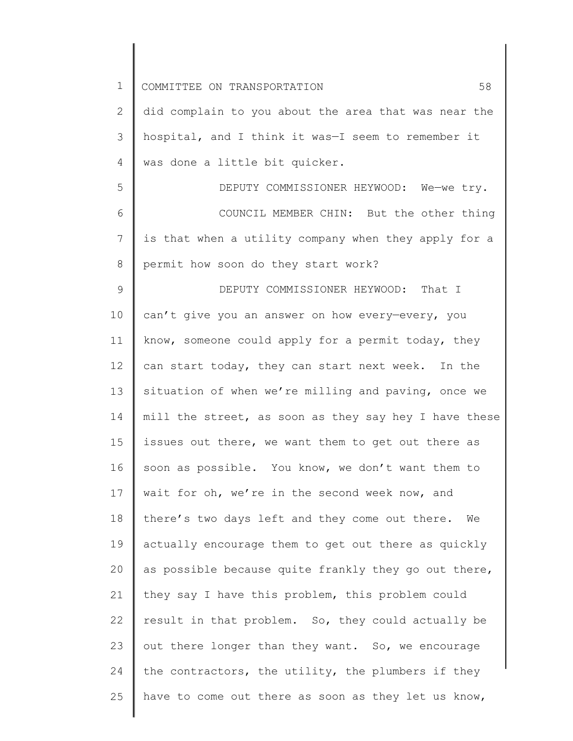| $\mathbf 1$  | 58<br>COMMITTEE ON TRANSPORTATION                     |
|--------------|-------------------------------------------------------|
| $\mathbf{2}$ | did complain to you about the area that was near the  |
| 3            | hospital, and I think it was-I seem to remember it    |
| 4            | was done a little bit quicker.                        |
| 5            | DEPUTY COMMISSIONER HEYWOOD: We-we try.               |
| 6            | COUNCIL MEMBER CHIN: But the other thing              |
| 7            | is that when a utility company when they apply for a  |
| 8            | permit how soon do they start work?                   |
| 9            | DEPUTY COMMISSIONER HEYWOOD: That I                   |
| 10           | can't give you an answer on how every-every, you      |
| 11           | know, someone could apply for a permit today, they    |
| 12           | can start today, they can start next week. In the     |
| 13           | situation of when we're milling and paving, once we   |
| 14           | mill the street, as soon as they say hey I have these |
| 15           | issues out there, we want them to get out there as    |
| 16           | soon as possible. You know, we don't want them to     |
| 17           | wait for oh, we're in the second week now, and        |
| 18           | there's two days left and they come out there. We     |
| 19           | actually encourage them to get out there as quickly   |
| 20           | as possible because quite frankly they go out there,  |
| 21           | they say I have this problem, this problem could      |
| 22           | result in that problem. So, they could actually be    |
| 23           | out there longer than they want. So, we encourage     |
| 24           | the contractors, the utility, the plumbers if they    |
| 25           | have to come out there as soon as they let us know,   |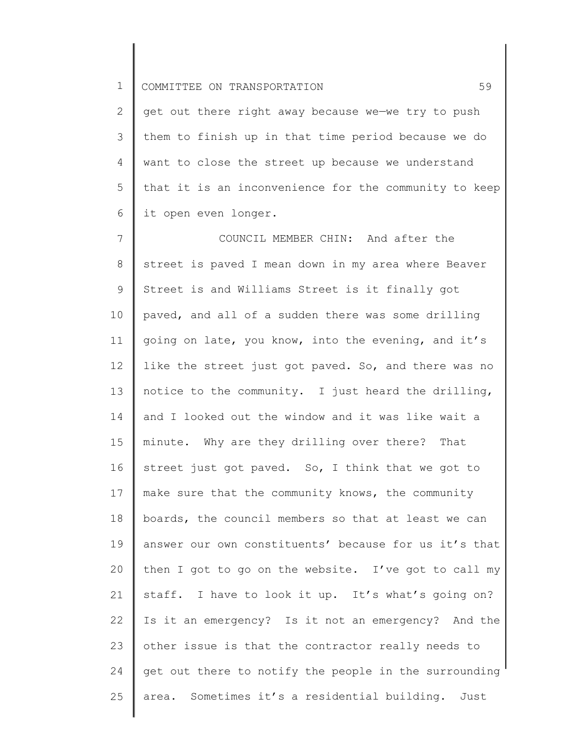2 3 4 5 6 get out there right away because we—we try to push them to finish up in that time period because we do want to close the street up because we understand that it is an inconvenience for the community to keep it open even longer.

7 8 9 10 11 12 13 14 15 16 17 18 19 20 21 22 23 24 25 COUNCIL MEMBER CHIN: And after the street is paved I mean down in my area where Beaver Street is and Williams Street is it finally got paved, and all of a sudden there was some drilling going on late, you know, into the evening, and it's like the street just got paved. So, and there was no notice to the community. I just heard the drilling, and I looked out the window and it was like wait a minute. Why are they drilling over there? That street just got paved. So, I think that we got to make sure that the community knows, the community boards, the council members so that at least we can answer our own constituents' because for us it's that then I got to go on the website. I've got to call my staff. I have to look it up. It's what's going on? Is it an emergency? Is it not an emergency? And the other issue is that the contractor really needs to get out there to notify the people in the surrounding area. Sometimes it's a residential building. Just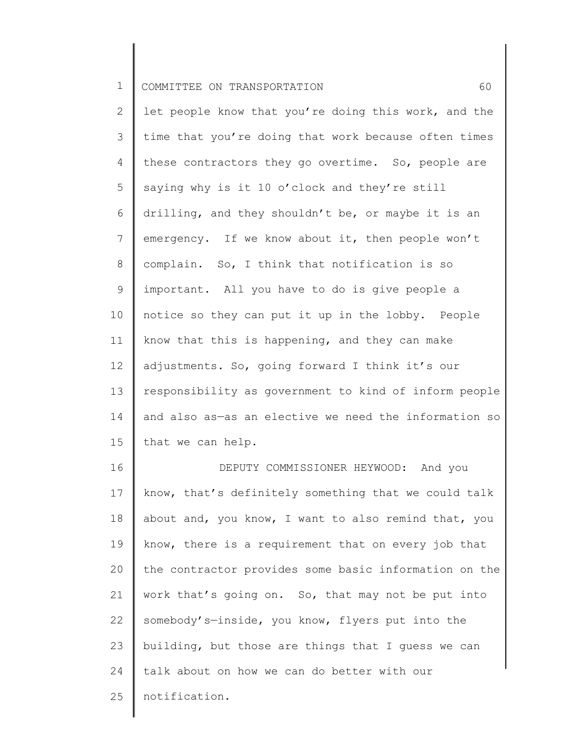2 3 4 5 6 7 8 9 10 11 12 13 14 15 let people know that you're doing this work, and the time that you're doing that work because often times these contractors they go overtime. So, people are saying why is it 10 o'clock and they're still drilling, and they shouldn't be, or maybe it is an emergency. If we know about it, then people won't complain. So, I think that notification is so important. All you have to do is give people a notice so they can put it up in the lobby. People know that this is happening, and they can make adjustments. So, going forward I think it's our responsibility as government to kind of inform people and also as—as an elective we need the information so that we can help.

16 17 18 19 20 21 22 23 24 25 DEPUTY COMMISSIONER HEYWOOD: And you know, that's definitely something that we could talk about and, you know, I want to also remind that, you know, there is a requirement that on every job that the contractor provides some basic information on the work that's going on. So, that may not be put into somebody's—inside, you know, flyers put into the building, but those are things that I guess we can talk about on how we can do better with our notification.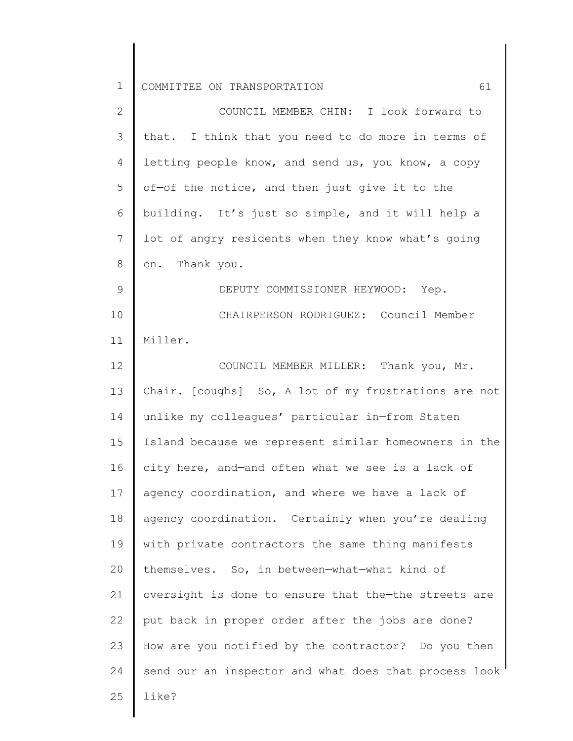| $\overline{2}$ | COUNCIL MEMBER CHIN: I look forward to                |
|----------------|-------------------------------------------------------|
| $\mathcal{S}$  | that. I think that you need to do more in terms of    |
| 4              | letting people know, and send us, you know, a copy    |
| 5              | of-of the notice, and then just give it to the        |
| 6              | building. It's just so simple, and it will help a     |
| 7              | lot of angry residents when they know what's going    |
| 8              | on. Thank you.                                        |
| 9              | DEPUTY COMMISSIONER HEYWOOD: Yep.                     |
| 10             | CHAIRPERSON RODRIGUEZ: Council Member                 |
| 11             | Miller.                                               |
| 12             | COUNCIL MEMBER MILLER: Thank you, Mr.                 |
| 13             | Chair. [coughs] So, A lot of my frustrations are not  |
| 14             | unlike my colleagues' particular in-from Staten       |
| 15             | Island because we represent similar homeowners in the |
| 16             | city here, and-and often what we see is a lack of     |
| 17             | agency coordination, and where we have a lack of      |
| 18             | agency coordination. Certainly when you're dealing    |
| 19             | with private contractors the same thing manifests     |
| 20             | themselves. So, in between-what-what kind of          |
| 21             | oversight is done to ensure that the-the streets are  |
| 22             | put back in proper order after the jobs are done?     |
| 23             | How are you notified by the contractor? Do you then   |
| 24             | send our an inspector and what does that process look |
| 25             | like?                                                 |
|                |                                                       |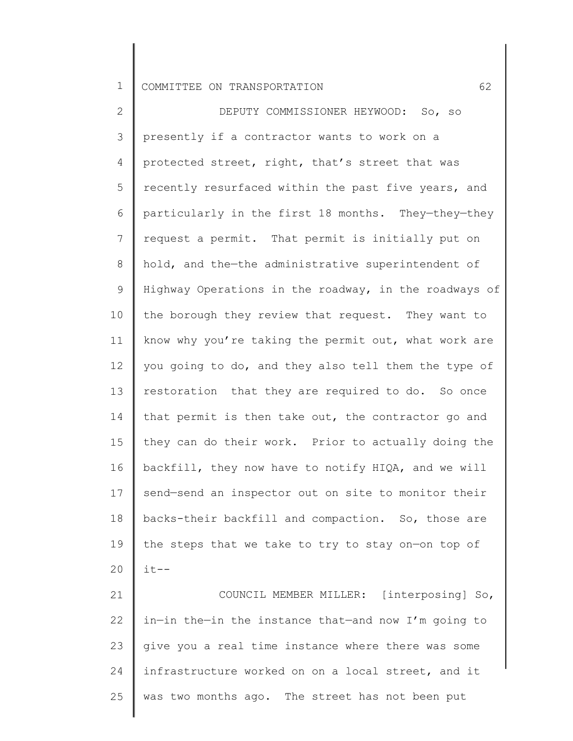2 3 4 5 6 7 8 9 10 11 12 13 14 15 16 17 18 19 20 DEPUTY COMMISSIONER HEYWOOD: So, so presently if a contractor wants to work on a protected street, right, that's street that was recently resurfaced within the past five years, and particularly in the first 18 months. They—they—they request a permit. That permit is initially put on hold, and the—the administrative superintendent of Highway Operations in the roadway, in the roadways of the borough they review that request. They want to know why you're taking the permit out, what work are you going to do, and they also tell them the type of restoration that they are required to do. So once that permit is then take out, the contractor go and they can do their work. Prior to actually doing the backfill, they now have to notify HIQA, and we will send—send an inspector out on site to monitor their backs-their backfill and compaction. So, those are the steps that we take to try to stay on—on top of  $it--$ 

21 22 23 24 25 COUNCIL MEMBER MILLER: [interposing] So, in—in the—in the instance that—and now I'm going to give you a real time instance where there was some infrastructure worked on on a local street, and it was two months ago. The street has not been put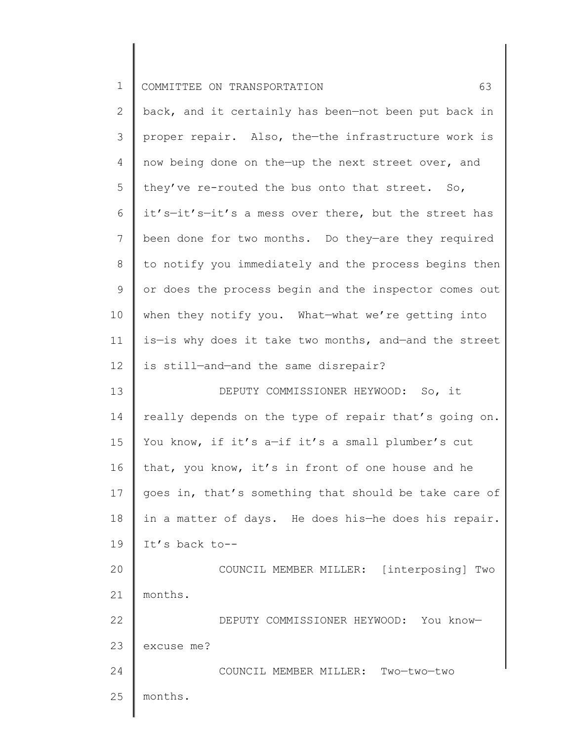| ᆠ | Ш |  | COMMITTEE ON TRANSPORTATION |  |  |
|---|---|--|-----------------------------|--|--|
|---|---|--|-----------------------------|--|--|

| $\mathbf{2}$   | back, and it certainly has been-not been put back in  |
|----------------|-------------------------------------------------------|
| 3              | proper repair. Also, the-the infrastructure work is   |
| 4              | now being done on the-up the next street over, and    |
| 5              | they've re-routed the bus onto that street. So,       |
| 6              | it's-it's-it's a mess over there, but the street has  |
| $7\phantom{.}$ | been done for two months. Do they-are they required   |
| 8              | to notify you immediately and the process begins then |
| 9              | or does the process begin and the inspector comes out |
| 10             | when they notify you. What-what we're getting into    |
| 11             | is-is why does it take two months, and-and the street |
| 12             | is still-and-and the same disrepair?                  |
| 13             | DEPUTY COMMISSIONER HEYWOOD: So, it                   |
| 14             | really depends on the type of repair that's going on. |
| 15             | You know, if it's a-if it's a small plumber's cut     |
| 16             | that, you know, it's in front of one house and he     |
| 17             | goes in, that's something that should be take care of |
| 18             | in a matter of days. He does his-he does his repair.  |
| 19             | It's back to--                                        |
| 20             | COUNCIL MEMBER MILLER: [interposing] Two              |
| 21             | months.                                               |
| 22             | DEPUTY COMMISSIONER HEYWOOD: You know-                |
| 23             | excuse me?                                            |
| 24             | COUNCIL MEMBER MILLER: Two-two-two                    |
| 25             | months.                                               |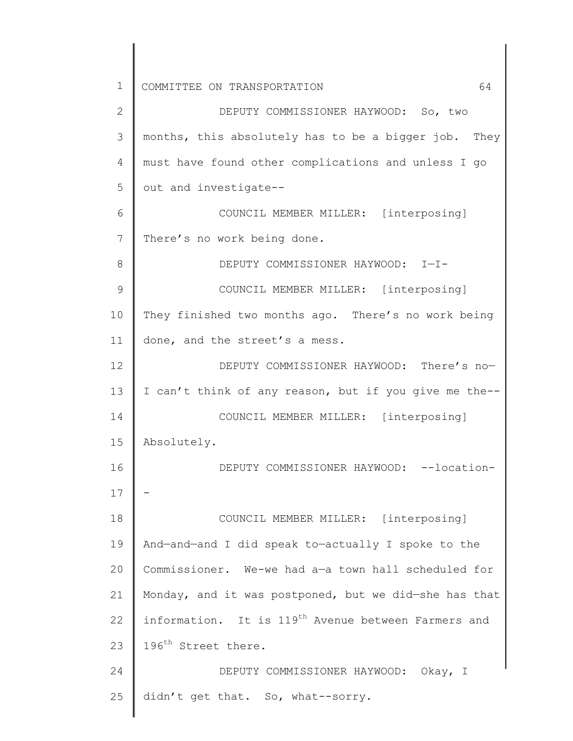1 2 3 4 5 6 7 8 9 10 11 12 13 14 15 COMMITTEE ON TRANSPORTATION 64 DEPUTY COMMISSIONER HAYWOOD: So, two months, this absolutely has to be a bigger job. They must have found other complications and unless I go out and investigate-- COUNCIL MEMBER MILLER: [interposing] There's no work being done. DEPUTY COMMISSIONER HAYWOOD: I—I-COUNCIL MEMBER MILLER: [interposing] They finished two months ago. There's no work being done, and the street's a mess. DEPUTY COMMISSIONER HAYWOOD: There's no— I can't think of any reason, but if you give me the-- COUNCIL MEMBER MILLER: [interposing] Absolutely.

16 17 18 19 20 21 22 23 DEPUTY COMMISSIONER HAYWOOD: --location-- COUNCIL MEMBER MILLER: [interposing] And—and—and I did speak to—actually I spoke to the Commissioner. We-we had a—a town hall scheduled for Monday, and it was postponed, but we did—she has that information. It is 119<sup>th</sup> Avenue between Farmers and 196<sup>th</sup> Street there.

24 25 DEPUTY COMMISSIONER HAYWOOD: Okay, I didn't get that. So, what--sorry.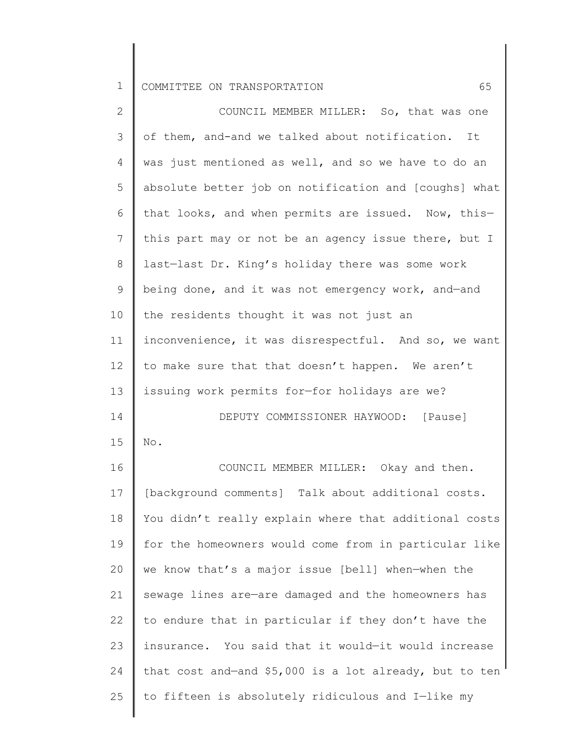| 2               | COUNCIL MEMBER MILLER: So, that was one                |
|-----------------|--------------------------------------------------------|
| 3               | of them, and-and we talked about notification. It      |
| 4               | was just mentioned as well, and so we have to do an    |
| 5               | absolute better job on notification and [coughs] what  |
| 6               | that looks, and when permits are issued. Now, this-    |
| $7\phantom{.0}$ | this part may or not be an agency issue there, but I   |
| $8\,$           | last-last Dr. King's holiday there was some work       |
| $\mathsf 9$     | being done, and it was not emergency work, and-and     |
| 10              | the residents thought it was not just an               |
| 11              | inconvenience, it was disrespectful. And so, we want   |
| 12              | to make sure that that doesn't happen. We aren't       |
| 13              | issuing work permits for-for holidays are we?          |
| 14              | DEPUTY COMMISSIONER HAYWOOD: [Pause]                   |
| 15              | $\mathrm{No}$ .                                        |
| 16              | COUNCIL MEMBER MILLER: Okay and then.                  |
| 17              | [background comments] Talk about additional costs.     |
| 18              | You didn't really explain where that additional costs  |
| 19              | for the homeowners would come from in particular like  |
| 20              | we know that's a major issue [bell] when-when the      |
| 21              | sewage lines are-are damaged and the homeowners has    |
| 22              | to endure that in particular if they don't have the    |
| 23              | insurance. You said that it would-it would increase    |
| 24              | that cost and-and \$5,000 is a lot already, but to ten |
| 25              | to fifteen is absolutely ridiculous and I-like my      |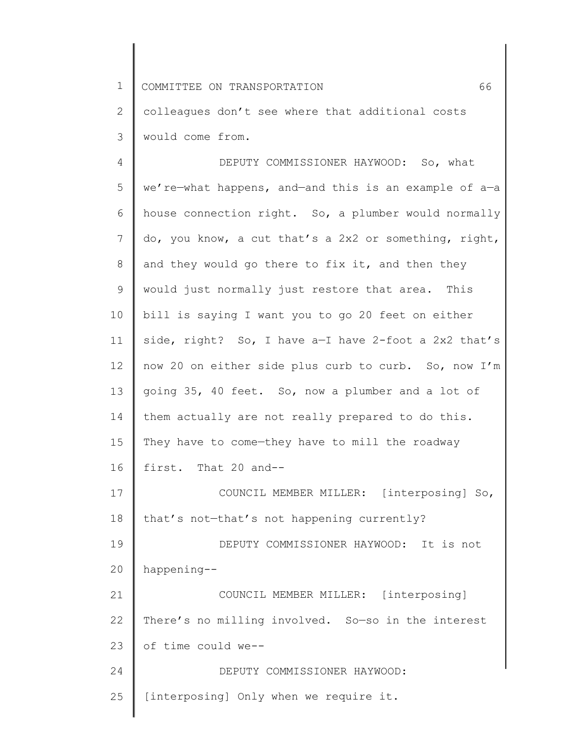2 3 colleagues don't see where that additional costs would come from.

4 5 6 7 8 9 10 11 12 13 14 15 16 17 18 19 20 21 22 23 24 25 DEPUTY COMMISSIONER HAYWOOD: So, what we're—what happens, and—and this is an example of a—a house connection right. So, a plumber would normally do, you know, a cut that's a 2x2 or something, right, and they would go there to fix it, and then they would just normally just restore that area. This bill is saying I want you to go 20 feet on either side, right? So, I have a—I have 2-foot a 2x2 that's now 20 on either side plus curb to curb. So, now I'm going 35, 40 feet. So, now a plumber and a lot of them actually are not really prepared to do this. They have to come—they have to mill the roadway first. That 20 and-- COUNCIL MEMBER MILLER: [interposing] So, that's not—that's not happening currently? DEPUTY COMMISSIONER HAYWOOD: It is not happening-- COUNCIL MEMBER MILLER: [interposing] There's no milling involved. So—so in the interest of time could we-- DEPUTY COMMISSIONER HAYWOOD: [interposing] Only when we require it.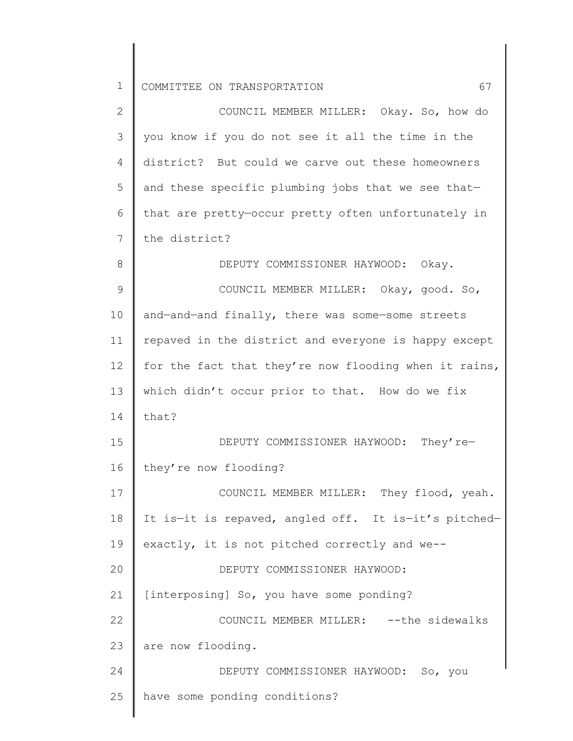| $\overline{2}$ | COUNCIL MEMBER MILLER: Okay. So, how do               |
|----------------|-------------------------------------------------------|
| 3              | you know if you do not see it all the time in the     |
| 4              | district? But could we carve out these homeowners     |
| 5              | and these specific plumbing jobs that we see that-    |
| 6              | that are pretty-occur pretty often unfortunately in   |
| 7              | the district?                                         |
| 8              | DEPUTY COMMISSIONER HAYWOOD: Okay.                    |
| $\mathsf 9$    | COUNCIL MEMBER MILLER: Okay, good. So,                |
| 10             | and-and-and finally, there was some-some streets      |
| 11             | repaved in the district and everyone is happy except  |
| 12             | for the fact that they're now flooding when it rains, |
| 13             | which didn't occur prior to that. How do we fix       |
| 14             | that?                                                 |
| 15             | DEPUTY COMMISSIONER HAYWOOD: They're-                 |
| 16             | they're now flooding?                                 |
| 17             | COUNCIL MEMBER MILLER: They flood, yeah.              |
| 18             | It is-it is repaved, angled off. It is-it's pitched-  |
| 19             | exactly, it is not pitched correctly and we--         |
| 20             | DEPUTY COMMISSIONER HAYWOOD:                          |
| 21             | [interposing] So, you have some ponding?              |
| 22             | COUNCIL MEMBER MILLER: -- the sidewalks               |
| 23             | are now flooding.                                     |
| 24             | DEPUTY COMMISSIONER HAYWOOD: So, you                  |
| 25             | have some ponding conditions?                         |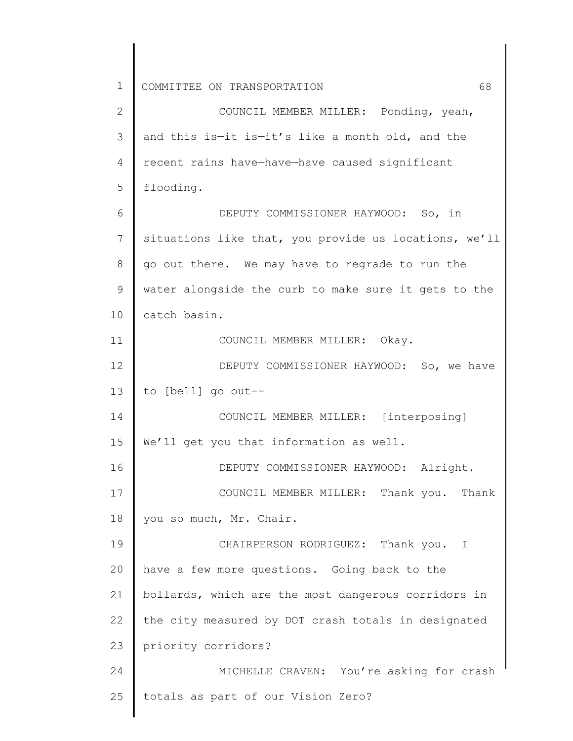2 3 4 5 6 7 8 9 10 11 12 13 14 15 16 17 18 19 20 21 22 23 24 25 COUNCIL MEMBER MILLER: Ponding, yeah, and this is—it is—it's like a month old, and the recent rains have—have—have caused significant flooding. DEPUTY COMMISSIONER HAYWOOD: So, in situations like that, you provide us locations, we'll go out there. We may have to regrade to run the water alongside the curb to make sure it gets to the catch basin. COUNCIL MEMBER MILLER: Okay. DEPUTY COMMISSIONER HAYWOOD: So, we have to [bell] go out-- COUNCIL MEMBER MILLER: [interposing] We'll get you that information as well. DEPUTY COMMISSIONER HAYWOOD: Alright. COUNCIL MEMBER MILLER: Thank you. Thank you so much, Mr. Chair. CHAIRPERSON RODRIGUEZ: Thank you. I have a few more questions. Going back to the bollards, which are the most dangerous corridors in the city measured by DOT crash totals in designated priority corridors? MICHELLE CRAVEN: You're asking for crash totals as part of our Vision Zero?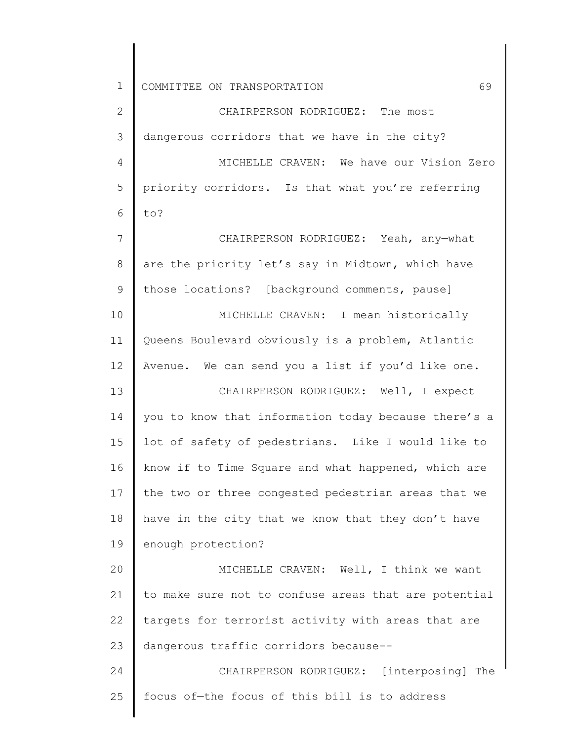1 2 3 4 5 6 7 8 9 10 11 12 13 14 15 16 17 18 19 20 21 22 23 24 25 COMMITTEE ON TRANSPORTATION 69 CHAIRPERSON RODRIGUEZ: The most dangerous corridors that we have in the city? MICHELLE CRAVEN: We have our Vision Zero priority corridors. Is that what you're referring to? CHAIRPERSON RODRIGUEZ: Yeah, any—what are the priority let's say in Midtown, which have those locations? [background comments, pause] MICHELLE CRAVEN: I mean historically Queens Boulevard obviously is a problem, Atlantic Avenue. We can send you a list if you'd like one. CHAIRPERSON RODRIGUEZ: Well, I expect you to know that information today because there's a lot of safety of pedestrians. Like I would like to know if to Time Square and what happened, which are the two or three congested pedestrian areas that we have in the city that we know that they don't have enough protection? MICHELLE CRAVEN: Well, I think we want to make sure not to confuse areas that are potential targets for terrorist activity with areas that are dangerous traffic corridors because-- CHAIRPERSON RODRIGUEZ: [interposing] The focus of—the focus of this bill is to address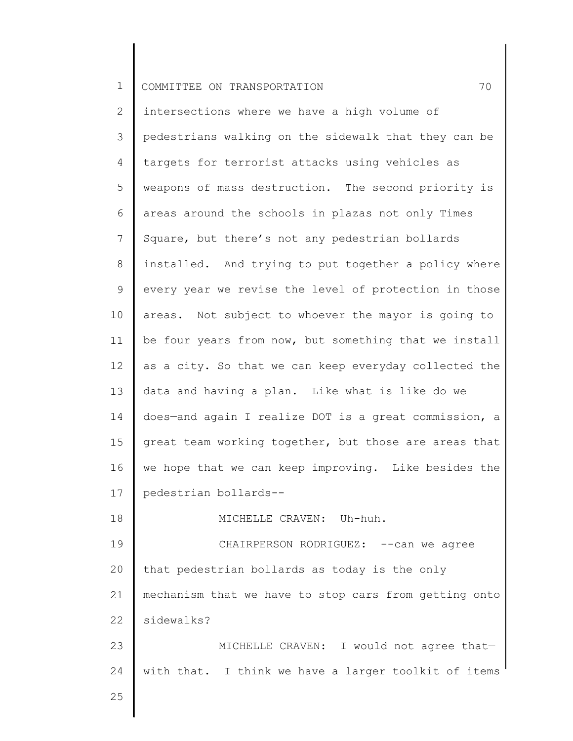2 3 4 5 6 7 8 9 10 11 12 13 14 15 16 17 18 intersections where we have a high volume of pedestrians walking on the sidewalk that they can be targets for terrorist attacks using vehicles as weapons of mass destruction. The second priority is areas around the schools in plazas not only Times Square, but there's not any pedestrian bollards installed. And trying to put together a policy where every year we revise the level of protection in those areas. Not subject to whoever the mayor is going to be four years from now, but something that we install as a city. So that we can keep everyday collected the data and having a plan. Like what is like—do we does—and again I realize DOT is a great commission, a great team working together, but those are areas that we hope that we can keep improving. Like besides the pedestrian bollards-- MICHELLE CRAVEN: Uh-huh.

19 20 21 22 CHAIRPERSON RODRIGUEZ: -- can we agree that pedestrian bollards as today is the only mechanism that we have to stop cars from getting onto sidewalks?

23 24 MICHELLE CRAVEN: I would not agree that with that. I think we have a larger toolkit of items

25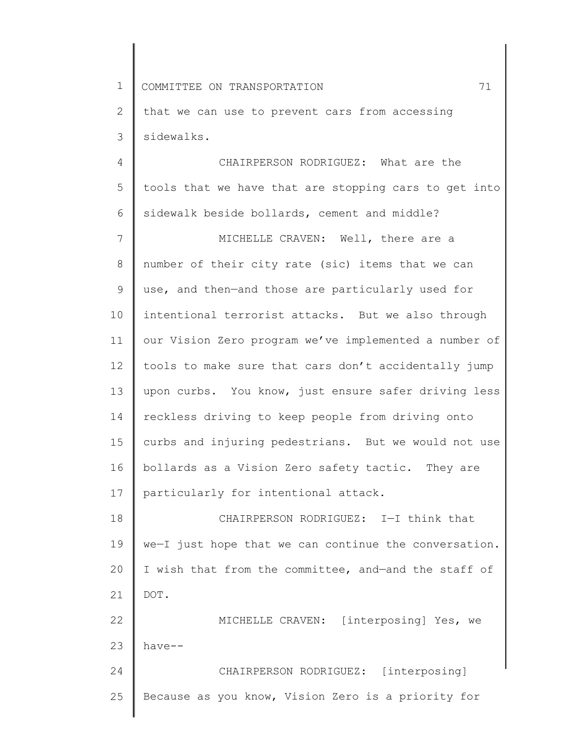2 3 that we can use to prevent cars from accessing sidewalks.

4 5 6 CHAIRPERSON RODRIGUEZ: What are the tools that we have that are stopping cars to get into sidewalk beside bollards, cement and middle?

7 8 9 10 11 12 13 14 15 16 17 MICHELLE CRAVEN: Well, there are a number of their city rate (sic) items that we can use, and then—and those are particularly used for intentional terrorist attacks. But we also through our Vision Zero program we've implemented a number of tools to make sure that cars don't accidentally jump upon curbs. You know, just ensure safer driving less reckless driving to keep people from driving onto curbs and injuring pedestrians. But we would not use bollards as a Vision Zero safety tactic. They are particularly for intentional attack.

18 19 20 21 22 CHAIRPERSON RODRIGUEZ: I—I think that we—I just hope that we can continue the conversation. I wish that from the committee, and—and the staff of DOT. MICHELLE CRAVEN: [interposing] Yes, we

23 24 25 have-- CHAIRPERSON RODRIGUEZ: [interposing] Because as you know, Vision Zero is a priority for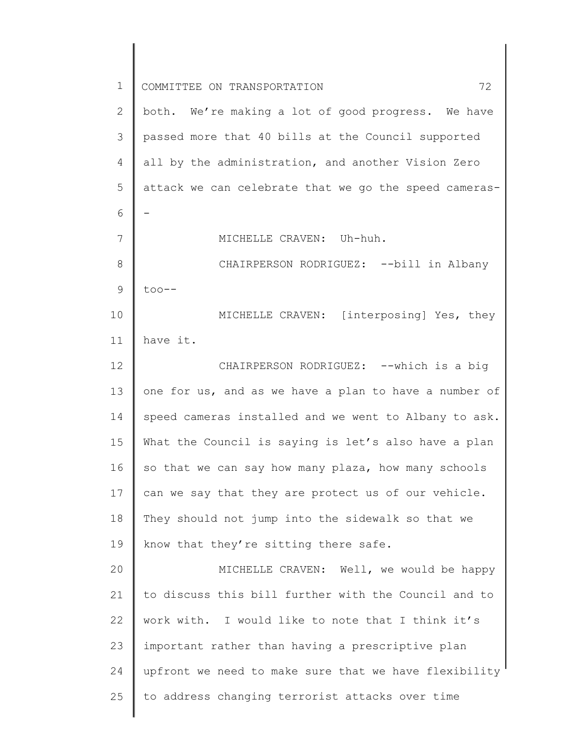| $\mathbf 1$ | 72<br>COMMITTEE ON TRANSPORTATION                     |
|-------------|-------------------------------------------------------|
| 2           | both. We're making a lot of good progress. We have    |
| 3           | passed more that 40 bills at the Council supported    |
| 4           | all by the administration, and another Vision Zero    |
| 5           | attack we can celebrate that we go the speed cameras- |
| 6           |                                                       |
| 7           | MICHELLE CRAVEN: Uh-huh.                              |
| 8           | CHAIRPERSON RODRIGUEZ: --bill in Albany               |
| $\mathsf 9$ | $\text{too--}$                                        |
| 10          | MICHELLE CRAVEN: [interposing] Yes, they              |
| 11          | have it.                                              |
| 12          | CHAIRPERSON RODRIGUEZ: -- which is a big              |
| 13          | one for us, and as we have a plan to have a number of |
| 14          | speed cameras installed and we went to Albany to ask. |
| 15          | What the Council is saying is let's also have a plan  |
| 16          | so that we can say how many plaza, how many schools   |
| 17          | can we say that they are protect us of our vehicle.   |
| 18          | They should not jump into the sidewalk so that we     |
| 19          | know that they're sitting there safe.                 |
| 20          | MICHELLE CRAVEN: Well, we would be happy              |
| 21          | to discuss this bill further with the Council and to  |
| 22          | work with. I would like to note that I think it's     |
| 23          | important rather than having a prescriptive plan      |
| 24          | upfront we need to make sure that we have flexibility |
| 25          | to address changing terrorist attacks over time       |
|             |                                                       |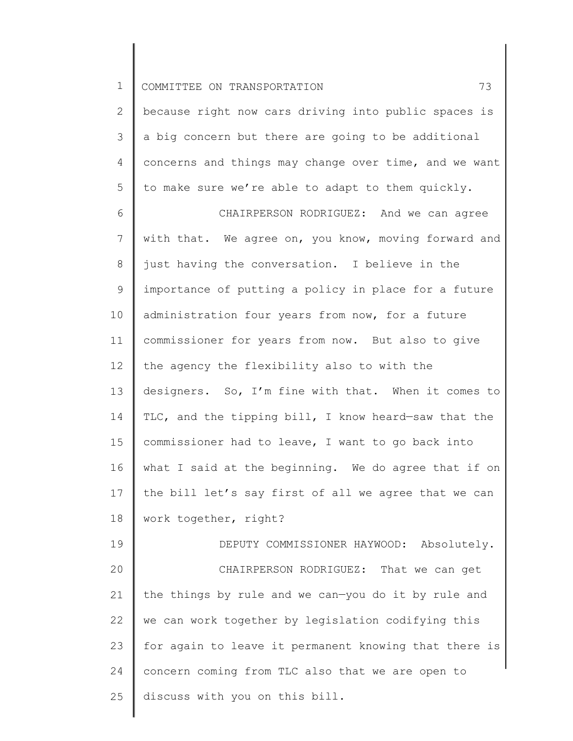2 3 4 5 because right now cars driving into public spaces is a big concern but there are going to be additional concerns and things may change over time, and we want to make sure we're able to adapt to them quickly.

6 7 8 9 10 11 12 13 14 15 16 17 18 CHAIRPERSON RODRIGUEZ: And we can agree with that. We agree on, you know, moving forward and just having the conversation. I believe in the importance of putting a policy in place for a future administration four years from now, for a future commissioner for years from now. But also to give the agency the flexibility also to with the designers. So, I'm fine with that. When it comes to TLC, and the tipping bill, I know heard—saw that the commissioner had to leave, I want to go back into what I said at the beginning. We do agree that if on the bill let's say first of all we agree that we can work together, right?

19 20 21 22 23 24 25 DEPUTY COMMISSIONER HAYWOOD: Absolutely. CHAIRPERSON RODRIGUEZ: That we can get the things by rule and we can—you do it by rule and we can work together by legislation codifying this for again to leave it permanent knowing that there is concern coming from TLC also that we are open to discuss with you on this bill.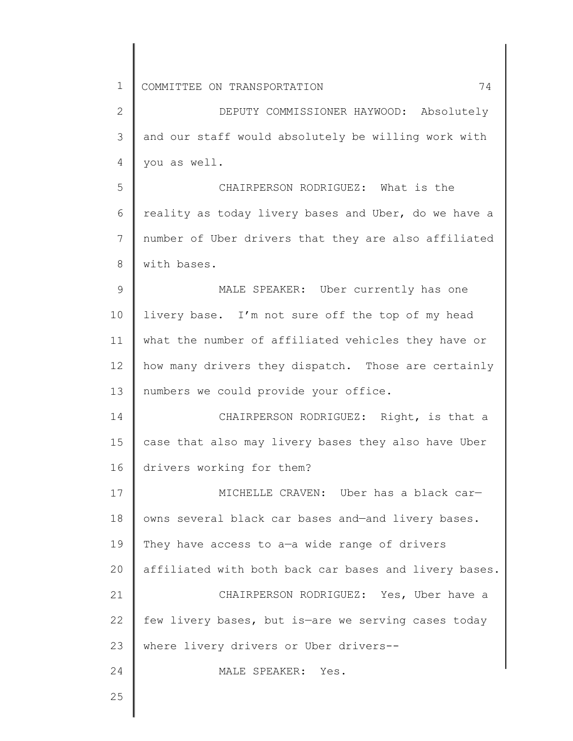| $\mathbf{2}$  | DEPUTY COMMISSIONER HAYWOOD: Absolutely               |
|---------------|-------------------------------------------------------|
| 3             | and our staff would absolutely be willing work with   |
| 4             | you as well.                                          |
| 5             | CHAIRPERSON RODRIGUEZ: What is the                    |
| 6             | reality as today livery bases and Uber, do we have a  |
| 7             | number of Uber drivers that they are also affiliated  |
| $8\,$         | with bases.                                           |
| $\mathcal{G}$ | MALE SPEAKER: Uber currently has one                  |
| 10            | livery base. I'm not sure off the top of my head      |
| 11            | what the number of affiliated vehicles they have or   |
| 12            | how many drivers they dispatch. Those are certainly   |
| 13            | numbers we could provide your office.                 |
| 14            | CHAIRPERSON RODRIGUEZ: Right, is that a               |
| 15            | case that also may livery bases they also have Uber   |
| 16            | drivers working for them?                             |
| 17            | MICHELLE CRAVEN: Uber has a black car-                |
| 18            | owns several black car bases and-and livery bases.    |
| 19            | They have access to a-a wide range of drivers         |
| 20            | affiliated with both back car bases and livery bases. |
| 21            | CHAIRPERSON RODRIGUEZ: Yes, Uber have a               |
| 22            | few livery bases, but is-are we serving cases today   |
| 23            | where livery drivers or Uber drivers--                |
| 24            | MALE SPEAKER: Yes.                                    |
| 25            |                                                       |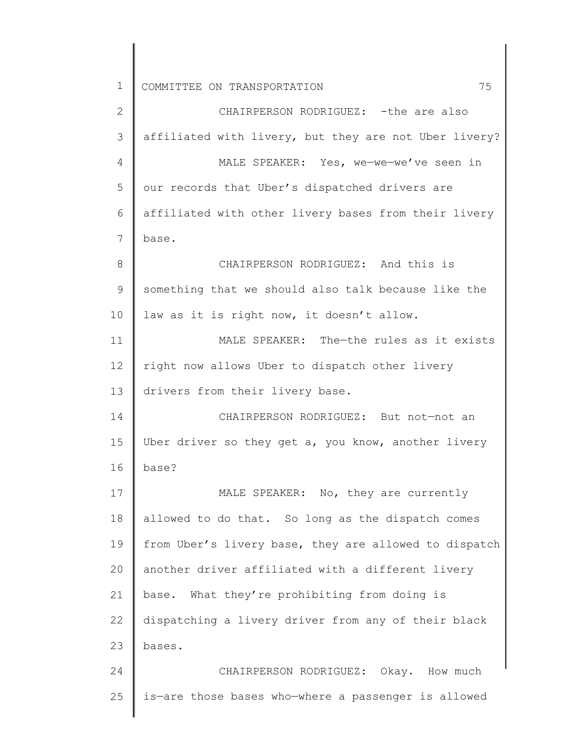1 2 3 4 5 6 7 8 9 10 11 12 13 14 15 16 17 18 19 20 21 22 23 24 25 COMMITTEE ON TRANSPORTATION 75 CHAIRPERSON RODRIGUEZ: - the are also affiliated with livery, but they are not Uber livery? MALE SPEAKER: Yes, we—we—we've seen in our records that Uber's dispatched drivers are affiliated with other livery bases from their livery base. CHAIRPERSON RODRIGUEZ: And this is something that we should also talk because like the law as it is right now, it doesn't allow. MALE SPEAKER: The—the rules as it exists right now allows Uber to dispatch other livery drivers from their livery base. CHAIRPERSON RODRIGUEZ: But not—not an Uber driver so they get a, you know, another livery base? MALE SPEAKER: No, they are currently allowed to do that. So long as the dispatch comes from Uber's livery base, they are allowed to dispatch another driver affiliated with a different livery base. What they're prohibiting from doing is dispatching a livery driver from any of their black bases. CHAIRPERSON RODRIGUEZ: Okay. How much is—are those bases who—where a passenger is allowed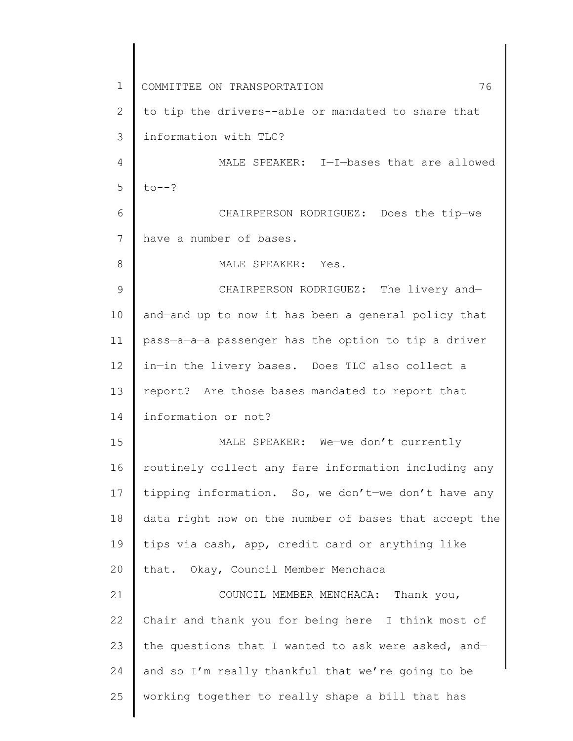1 2 3 4 5 6 7 8 9 10 11 12 13 14 15 16 17 18 19 20 21 22 23 24 25 COMMITTEE ON TRANSPORTATION 76 to tip the drivers--able or mandated to share that information with TLC? MALE SPEAKER: I—I—bases that are allowed  $to--?$ CHAIRPERSON RODRIGUEZ: Does the tip—we have a number of bases. MALE SPEAKER: Yes. CHAIRPERSON RODRIGUEZ: The livery and and—and up to now it has been a general policy that pass—a—a—a passenger has the option to tip a driver in—in the livery bases. Does TLC also collect a report? Are those bases mandated to report that information or not? MALE SPEAKER: We—we don't currently routinely collect any fare information including any tipping information. So, we don't—we don't have any data right now on the number of bases that accept the tips via cash, app, credit card or anything like that. Okay, Council Member Menchaca COUNCIL MEMBER MENCHACA: Thank you, Chair and thank you for being here I think most of the questions that I wanted to ask were asked, and and so I'm really thankful that we're going to be working together to really shape a bill that has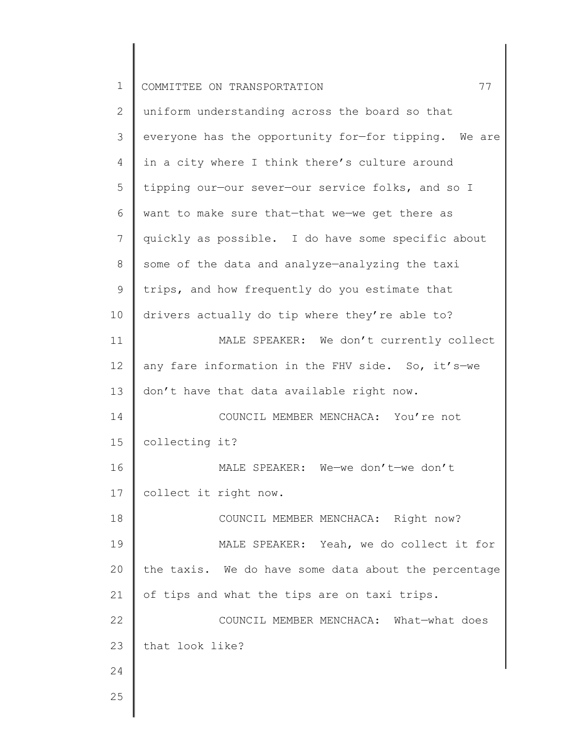| $\mathbf 1$    | 77<br>COMMITTEE ON TRANSPORTATION                    |
|----------------|------------------------------------------------------|
| $\overline{2}$ | uniform understanding across the board so that       |
| 3              | everyone has the opportunity for-for tipping. We are |
| 4              | in a city where I think there's culture around       |
| 5              | tipping our-our sever-our service folks, and so I    |
| 6              | want to make sure that-that we-we get there as       |
| 7              | quickly as possible. I do have some specific about   |
| 8              | some of the data and analyze-analyzing the taxi      |
| $\mathsf 9$    | trips, and how frequently do you estimate that       |
| 10             | drivers actually do tip where they're able to?       |
| 11             | MALE SPEAKER: We don't currently collect             |
| 12             | any fare information in the FHV side. So, it's-we    |
| 13             | don't have that data available right now.            |
| 14             | COUNCIL MEMBER MENCHACA: You're not                  |
| 15             | collecting it?                                       |
| 16             | MALE SPEAKER: We-we don't-we don't                   |
| 17             | collect it right now.                                |
| 18             | COUNCIL MEMBER MENCHACA: Right now?                  |
| 19             | MALE SPEAKER: Yeah, we do collect it for             |
| 20             | the taxis. We do have some data about the percentage |
| 21             | of tips and what the tips are on taxi trips.         |
| 22             | COUNCIL MEMBER MENCHACA: What-what does              |
| 23             | that look like?                                      |
| 24             |                                                      |
| 25             |                                                      |
|                |                                                      |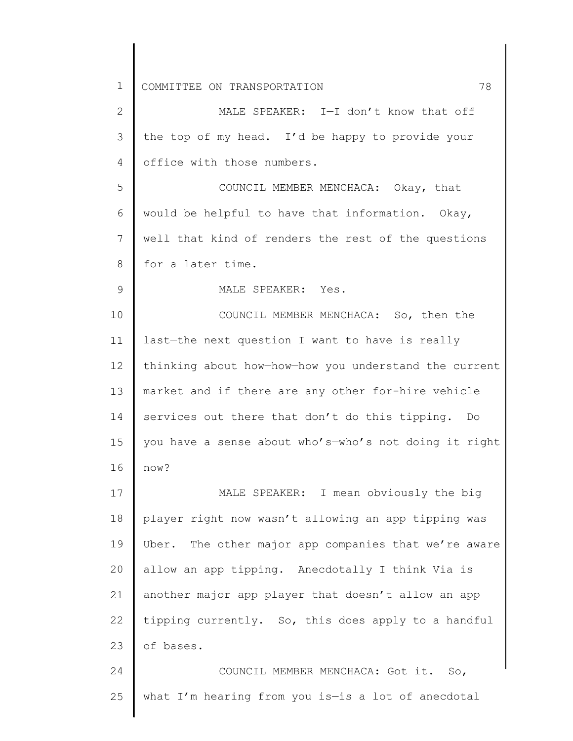| $\mathbf{2}$ | MALE SPEAKER: I-I don't know that off                 |
|--------------|-------------------------------------------------------|
| 3            | the top of my head. I'd be happy to provide your      |
| 4            | office with those numbers.                            |
| 5            | COUNCIL MEMBER MENCHACA: Okay, that                   |
| 6            | would be helpful to have that information. Okay,      |
| 7            | well that kind of renders the rest of the questions   |
| 8            | for a later time.                                     |
| 9            | MALE SPEAKER: Yes.                                    |
| 10           | COUNCIL MEMBER MENCHACA: So, then the                 |
| 11           | last-the next question I want to have is really       |
| 12           | thinking about how-how-how you understand the current |
| 13           | market and if there are any other for-hire vehicle    |
| 14           | services out there that don't do this tipping. Do     |
| 15           | you have a sense about who's-who's not doing it right |
| 16           | now?                                                  |
| 17           | MALE SPEAKER: I mean obviously the big                |
| 18           | player right now wasn't allowing an app tipping was   |
| 19           | Uber. The other major app companies that we're aware  |
| 20           | allow an app tipping. Anecdotally I think Via is      |
| 21           | another major app player that doesn't allow an app    |
| 22           | tipping currently. So, this does apply to a handful   |
| 23           | of bases.                                             |
| 24           | COUNCIL MEMBER MENCHACA: Got it.<br>So,               |
| 25           | what I'm hearing from you is-is a lot of anecdotal    |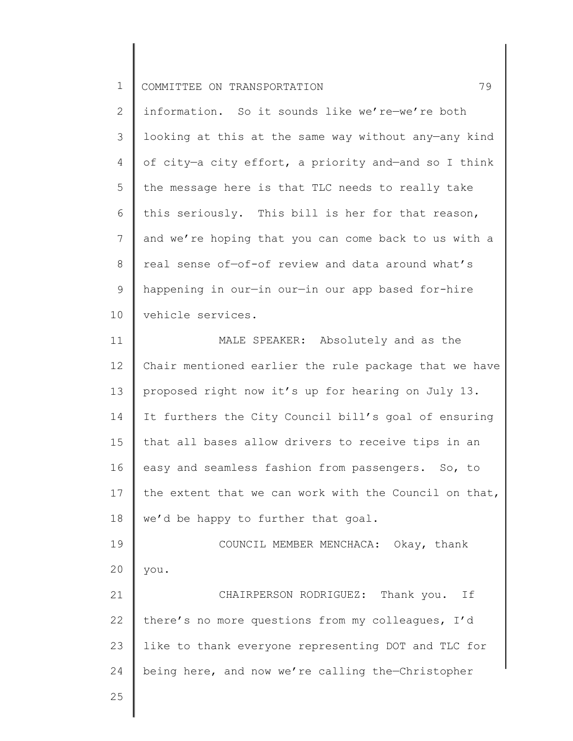2 3 4 5 6 7 8 9 10 information. So it sounds like we're—we're both looking at this at the same way without any—any kind of city—a city effort, a priority and—and so I think the message here is that TLC needs to really take this seriously. This bill is her for that reason, and we're hoping that you can come back to us with a real sense of—of-of review and data around what's happening in our—in our—in our app based for-hire vehicle services.

11 12 13 14 15 16 17 18 19 MALE SPEAKER: Absolutely and as the Chair mentioned earlier the rule package that we have proposed right now it's up for hearing on July 13. It furthers the City Council bill's goal of ensuring that all bases allow drivers to receive tips in an easy and seamless fashion from passengers. So, to the extent that we can work with the Council on that, we'd be happy to further that goal. COUNCIL MEMBER MENCHACA: Okay, thank

20 you.

21 22 23 24 CHAIRPERSON RODRIGUEZ: Thank you. If there's no more questions from my colleagues, I'd like to thank everyone representing DOT and TLC for being here, and now we're calling the—Christopher

25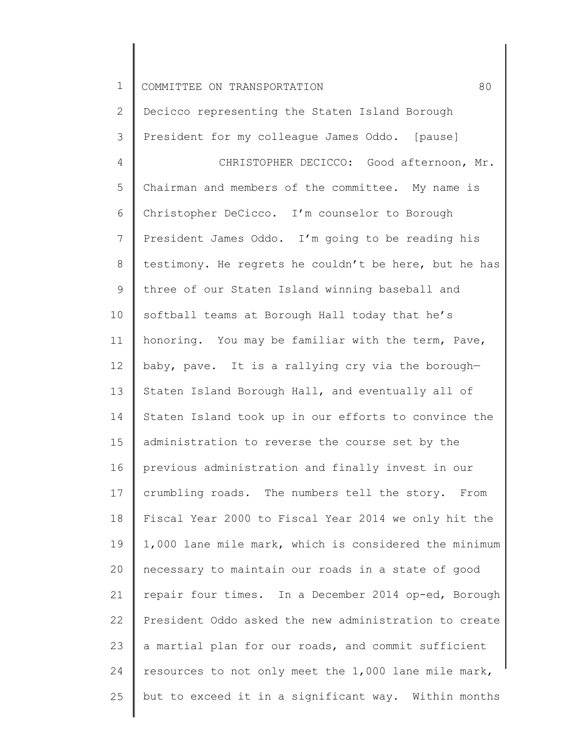1 2 3 4 5 6 7 8 9 10 11 12 13 14 15 16 17 18 19 20 21 22 23 24 25 COMMITTEE ON TRANSPORTATION 60 Decicco representing the Staten Island Borough President for my colleague James Oddo. [pause] CHRISTOPHER DECICCO: Good afternoon, Mr. Chairman and members of the committee. My name is Christopher DeCicco. I'm counselor to Borough President James Oddo. I'm going to be reading his testimony. He regrets he couldn't be here, but he has three of our Staten Island winning baseball and softball teams at Borough Hall today that he's honoring. You may be familiar with the term, Pave, baby, pave. It is a rallying cry via the borough— Staten Island Borough Hall, and eventually all of Staten Island took up in our efforts to convince the administration to reverse the course set by the previous administration and finally invest in our crumbling roads. The numbers tell the story. From Fiscal Year 2000 to Fiscal Year 2014 we only hit the 1,000 lane mile mark, which is considered the minimum necessary to maintain our roads in a state of good repair four times. In a December 2014 op-ed, Borough President Oddo asked the new administration to create a martial plan for our roads, and commit sufficient resources to not only meet the 1,000 lane mile mark, but to exceed it in a significant way. Within months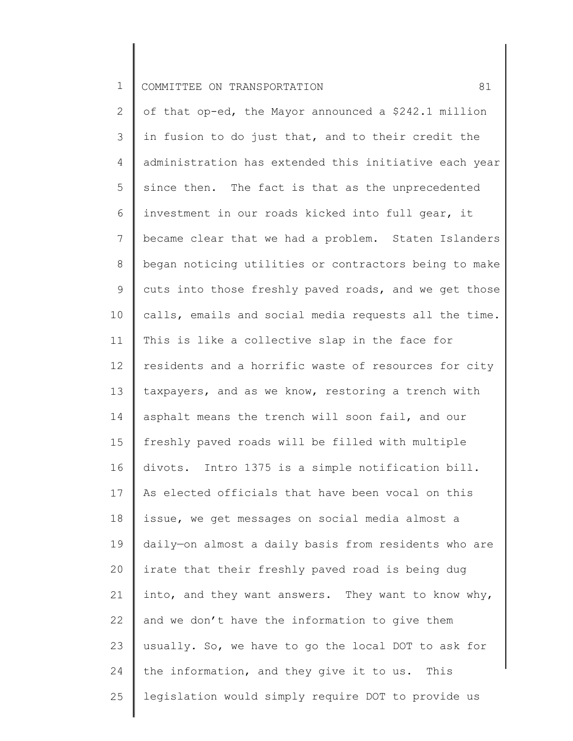2 3 4 5 6 7 8 9 10 11 12 13 14 15 16 17 18 19 20 21 22 23 24 25 of that op-ed, the Mayor announced a \$242.1 million in fusion to do just that, and to their credit the administration has extended this initiative each year since then. The fact is that as the unprecedented investment in our roads kicked into full gear, it became clear that we had a problem. Staten Islanders began noticing utilities or contractors being to make cuts into those freshly paved roads, and we get those calls, emails and social media requests all the time. This is like a collective slap in the face for residents and a horrific waste of resources for city taxpayers, and as we know, restoring a trench with asphalt means the trench will soon fail, and our freshly paved roads will be filled with multiple divots. Intro 1375 is a simple notification bill. As elected officials that have been vocal on this issue, we get messages on social media almost a daily—on almost a daily basis from residents who are irate that their freshly paved road is being dug into, and they want answers. They want to know why, and we don't have the information to give them usually. So, we have to go the local DOT to ask for the information, and they give it to us. This legislation would simply require DOT to provide us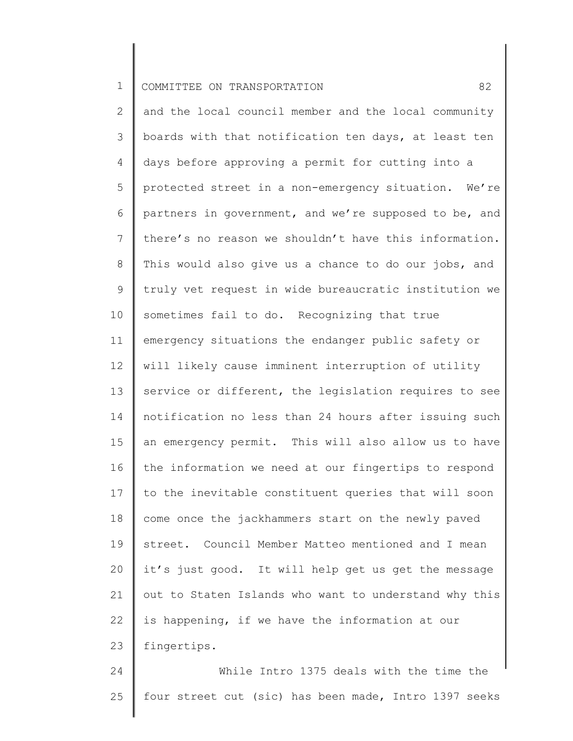2 3 4 5 6 7 8 9 10 11 12 13 14 15 16 17 18 19 20 21 22 23 and the local council member and the local community boards with that notification ten days, at least ten days before approving a permit for cutting into a protected street in a non-emergency situation. We're partners in government, and we're supposed to be, and there's no reason we shouldn't have this information. This would also give us a chance to do our jobs, and truly vet request in wide bureaucratic institution we sometimes fail to do. Recognizing that true emergency situations the endanger public safety or will likely cause imminent interruption of utility service or different, the legislation requires to see notification no less than 24 hours after issuing such an emergency permit. This will also allow us to have the information we need at our fingertips to respond to the inevitable constituent queries that will soon come once the jackhammers start on the newly paved street. Council Member Matteo mentioned and I mean it's just good. It will help get us get the message out to Staten Islands who want to understand why this is happening, if we have the information at our fingertips.

24 25 While Intro 1375 deals with the time the four street cut (sic) has been made, Intro 1397 seeks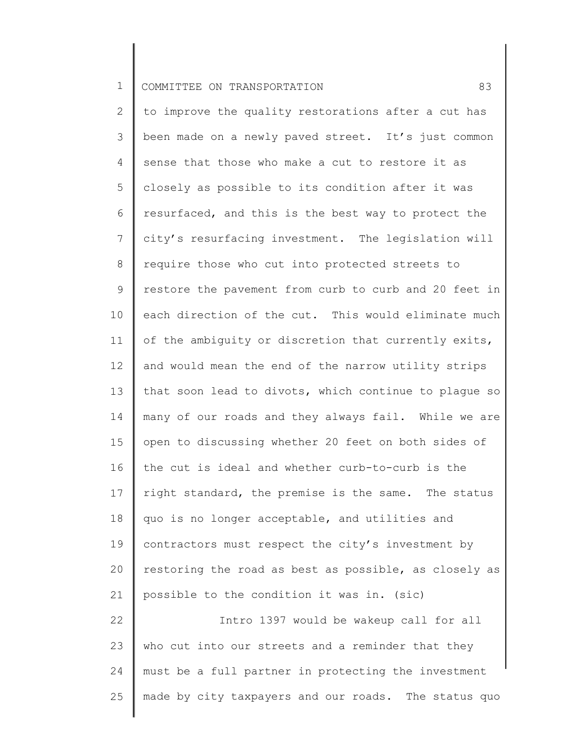2 3 4 5 6 7 8 9 10 11 12 13 14 15 16 17 18 19 20 21 22 23 24 25 to improve the quality restorations after a cut has been made on a newly paved street. It's just common sense that those who make a cut to restore it as closely as possible to its condition after it was resurfaced, and this is the best way to protect the city's resurfacing investment. The legislation will require those who cut into protected streets to restore the pavement from curb to curb and 20 feet in each direction of the cut. This would eliminate much of the ambiguity or discretion that currently exits, and would mean the end of the narrow utility strips that soon lead to divots, which continue to plague so many of our roads and they always fail. While we are open to discussing whether 20 feet on both sides of the cut is ideal and whether curb-to-curb is the right standard, the premise is the same. The status quo is no longer acceptable, and utilities and contractors must respect the city's investment by restoring the road as best as possible, as closely as possible to the condition it was in. (sic) Intro 1397 would be wakeup call for all who cut into our streets and a reminder that they must be a full partner in protecting the investment made by city taxpayers and our roads. The status quo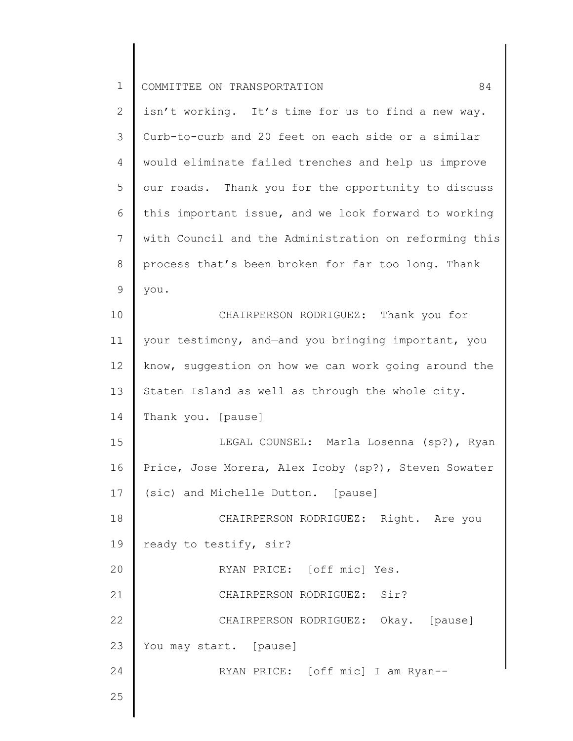| $\overline{2}$ | isn't working. It's time for us to find a new way.    |
|----------------|-------------------------------------------------------|
| 3              | Curb-to-curb and 20 feet on each side or a similar    |
| 4              | would eliminate failed trenches and help us improve   |
| 5              | our roads. Thank you for the opportunity to discuss   |
| 6              | this important issue, and we look forward to working  |
| 7              | with Council and the Administration on reforming this |
| $\,8\,$        | process that's been broken for far too long. Thank    |
| 9              | you.                                                  |
| 10             | CHAIRPERSON RODRIGUEZ: Thank you for                  |
| 11             | your testimony, and-and you bringing important, you   |
| 12             | know, suggestion on how we can work going around the  |
| 13             | Staten Island as well as through the whole city.      |
| 14             | Thank you. [pause]                                    |
| 15             | LEGAL COUNSEL: Marla Losenna (sp?), Ryan              |
| 16             | Price, Jose Morera, Alex Icoby (sp?), Steven Sowater  |
| 17             | (sic) and Michelle Dutton. [pause]                    |
| 18             | CHAIRPERSON RODRIGUEZ: Right. Are you                 |
| 19             | ready to testify, sir?                                |
| 20             | RYAN PRICE: [off mic] Yes.                            |
| 21             | CHAIRPERSON RODRIGUEZ: Sir?                           |
| 22             | CHAIRPERSON RODRIGUEZ: Okay. [pause]                  |
| 23             | You may start. [pause]                                |
| 24             | RYAN PRICE: [off mic] I am Ryan--                     |
| 25             |                                                       |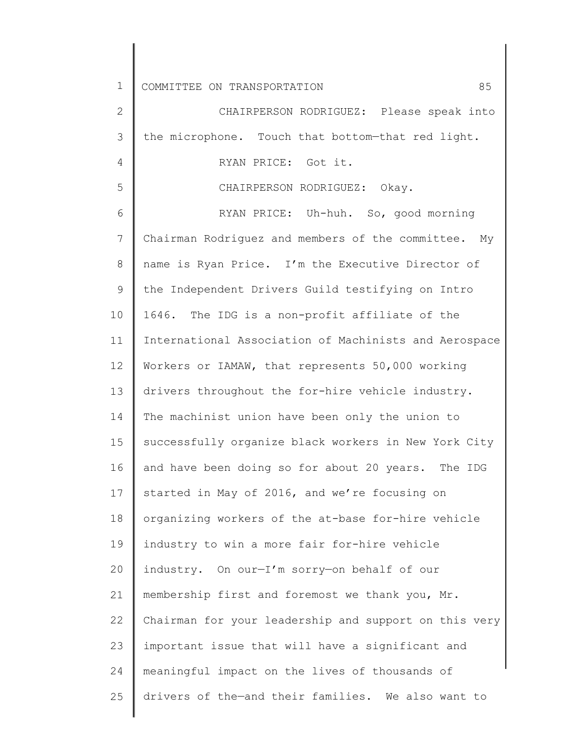| $\mathbf 1$    | 85<br>COMMITTEE ON TRANSPORTATION                      |
|----------------|--------------------------------------------------------|
| $\mathbf{2}$   | CHAIRPERSON RODRIGUEZ: Please speak into               |
| 3              | the microphone. Touch that bottom-that red light.      |
| 4              | RYAN PRICE: Got it.                                    |
| 5              | CHAIRPERSON RODRIGUEZ: Okay.                           |
| 6              | RYAN PRICE: Uh-huh. So, good morning                   |
| $\overline{7}$ | Chairman Rodriguez and members of the committee.<br>Мy |
| 8              | name is Ryan Price. I'm the Executive Director of      |
| $\mathsf 9$    | the Independent Drivers Guild testifying on Intro      |
| 10             | 1646. The IDG is a non-profit affiliate of the         |
| 11             | International Association of Machinists and Aerospace  |
| 12             | Workers or IAMAW, that represents 50,000 working       |
| 13             | drivers throughout the for-hire vehicle industry.      |
| 14             | The machinist union have been only the union to        |
| 15             | successfully organize black workers in New York City   |
| 16             | and have been doing so for about 20 years. The IDG     |
| 17             | started in May of 2016, and we're focusing on          |
| 18             | organizing workers of the at-base for-hire vehicle     |
| 19             | industry to win a more fair for-hire vehicle           |
| 20             | industry. On our-I'm sorry-on behalf of our            |
| 21             | membership first and foremost we thank you, Mr.        |
| 22             | Chairman for your leadership and support on this very  |
| 23             | important issue that will have a significant and       |
| 24             | meaningful impact on the lives of thousands of         |
| 25             | drivers of the-and their families. We also want to     |
|                |                                                        |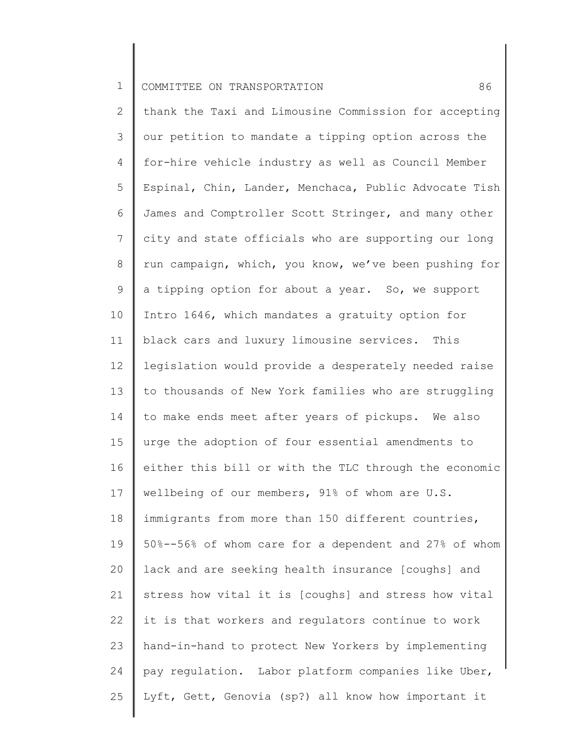2 3 4 5 6 7 8 9 10 11 12 13 14 15 16 17 18 19 20 21 22 23 24 25 thank the Taxi and Limousine Commission for accepting our petition to mandate a tipping option across the for-hire vehicle industry as well as Council Member Espinal, Chin, Lander, Menchaca, Public Advocate Tish James and Comptroller Scott Stringer, and many other city and state officials who are supporting our long run campaign, which, you know, we've been pushing for a tipping option for about a year. So, we support Intro 1646, which mandates a gratuity option for black cars and luxury limousine services. This legislation would provide a desperately needed raise to thousands of New York families who are struggling to make ends meet after years of pickups. We also urge the adoption of four essential amendments to either this bill or with the TLC through the economic wellbeing of our members, 91% of whom are U.S. immigrants from more than 150 different countries, 50%--56% of whom care for a dependent and 27% of whom lack and are seeking health insurance [coughs] and stress how vital it is [coughs] and stress how vital it is that workers and regulators continue to work hand-in-hand to protect New Yorkers by implementing pay regulation. Labor platform companies like Uber, Lyft, Gett, Genovia (sp?) all know how important it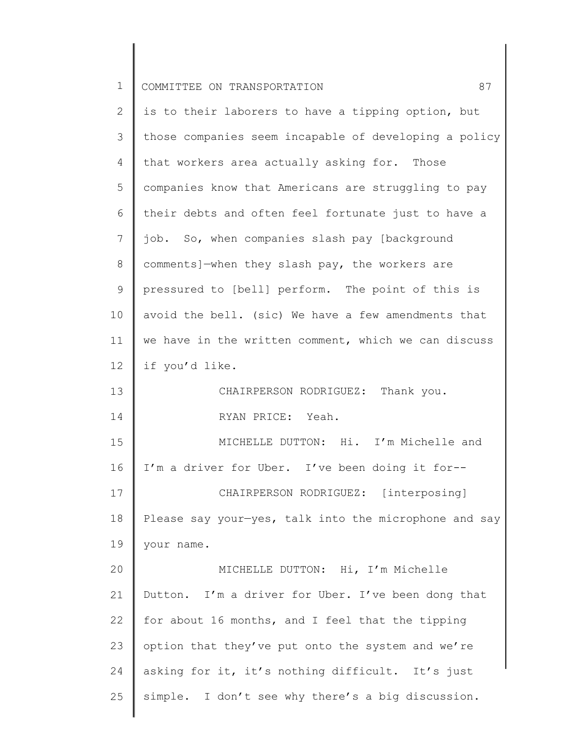| $\mathbf 1$    | COMMITTEE ON TRANSPORTATION<br>87                     |
|----------------|-------------------------------------------------------|
| $\overline{2}$ | is to their laborers to have a tipping option, but    |
| 3              | those companies seem incapable of developing a policy |
| $\overline{4}$ | that workers area actually asking for. Those          |
| 5              | companies know that Americans are struggling to pay   |
| 6              | their debts and often feel fortunate just to have a   |
| 7              | job. So, when companies slash pay [background         |
| $8\,$          | comments]-when they slash pay, the workers are        |
| $\mathsf 9$    | pressured to [bell] perform. The point of this is     |
| 10             | avoid the bell. (sic) We have a few amendments that   |
| 11             | we have in the written comment, which we can discuss  |
| 12             | if you'd like.                                        |
| 13             | CHAIRPERSON RODRIGUEZ: Thank you.                     |
| 14             | RYAN PRICE: Yeah.                                     |
| 15             | MICHELLE DUTTON: Hi. I'm Michelle and                 |
| 16             | I'm a driver for Uber. I've been doing it for--       |
| 17             | CHAIRPERSON RODRIGUEZ: [interposing]                  |
| 18             | Please say your-yes, talk into the microphone and say |
| 19             | your name.                                            |
| 20             | MICHELLE DUTTON: Hi, I'm Michelle                     |
| 21             | Dutton. I'm a driver for Uber. I've been dong that    |
| 22             | for about 16 months, and I feel that the tipping      |
| 23             | option that they've put onto the system and we're     |
| 24             | asking for it, it's nothing difficult. It's just      |
| 25             | simple. I don't see why there's a big discussion.     |
|                |                                                       |

 $\begin{array}{c} \hline \end{array}$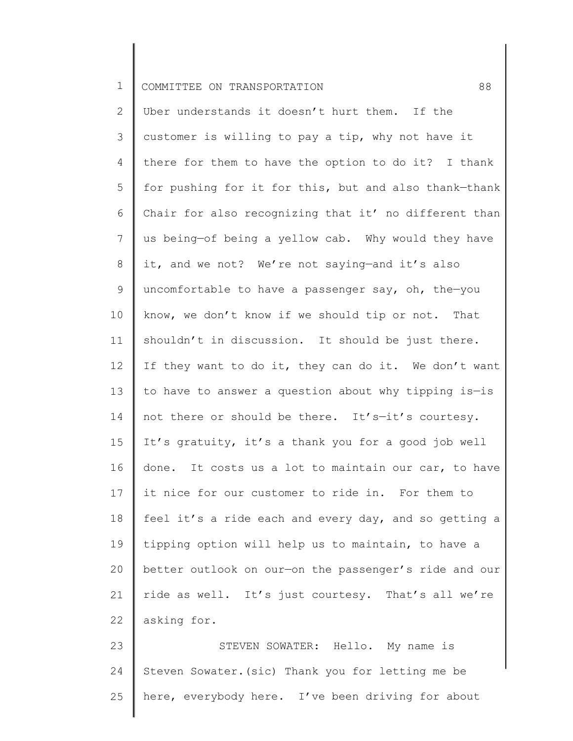2 3 4 5 6 7 8 9 10 11 12 13 14 15 16 17 18 19 20 21 22 Uber understands it doesn't hurt them. If the customer is willing to pay a tip, why not have it there for them to have the option to do it? I thank for pushing for it for this, but and also thank—thank Chair for also recognizing that it' no different than us being—of being a yellow cab. Why would they have it, and we not? We're not saying—and it's also uncomfortable to have a passenger say, oh, the—you know, we don't know if we should tip or not. That shouldn't in discussion. It should be just there. If they want to do it, they can do it. We don't want to have to answer a question about why tipping is—is not there or should be there. It's—it's courtesy. It's gratuity, it's a thank you for a good job well done. It costs us a lot to maintain our car, to have it nice for our customer to ride in. For them to feel it's a ride each and every day, and so getting a tipping option will help us to maintain, to have a better outlook on our—on the passenger's ride and our ride as well. It's just courtesy. That's all we're asking for.

23 24 25 STEVEN SOWATER: Hello. My name is Steven Sowater.(sic) Thank you for letting me be here, everybody here. I've been driving for about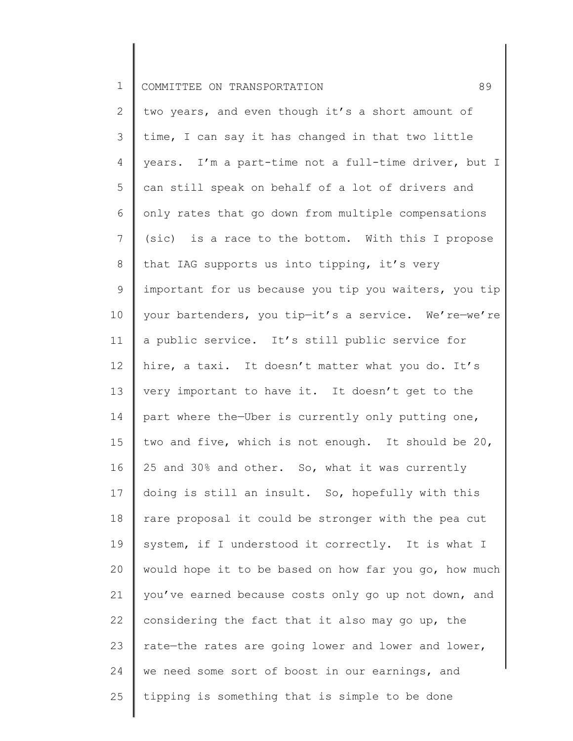2 3 4 5 6 7 8 9 10 11 12 13 14 15 16 17 18 19 20 21 22 23 24 25 two years, and even though it's a short amount of time, I can say it has changed in that two little years. I'm a part-time not a full-time driver, but I can still speak on behalf of a lot of drivers and only rates that go down from multiple compensations (sic) is a race to the bottom. With this I propose that IAG supports us into tipping, it's very important for us because you tip you waiters, you tip your bartenders, you tip—it's a service. We're—we're a public service. It's still public service for hire, a taxi. It doesn't matter what you do. It's very important to have it. It doesn't get to the part where the—Uber is currently only putting one, two and five, which is not enough. It should be 20, 25 and 30% and other. So, what it was currently doing is still an insult. So, hopefully with this rare proposal it could be stronger with the pea cut system, if I understood it correctly. It is what I would hope it to be based on how far you go, how much you've earned because costs only go up not down, and considering the fact that it also may go up, the rate—the rates are going lower and lower and lower, we need some sort of boost in our earnings, and tipping is something that is simple to be done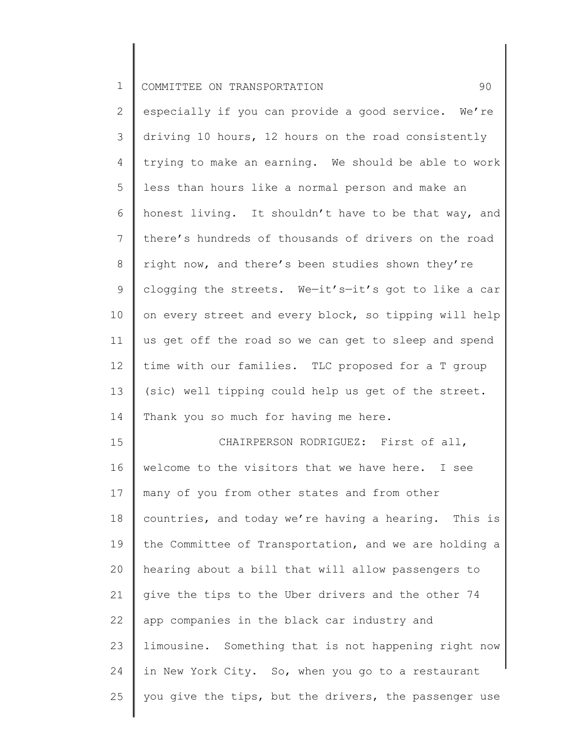2 3 4 5 6 7 8 9 10 11 12 13 14 especially if you can provide a good service. We're driving 10 hours, 12 hours on the road consistently trying to make an earning. We should be able to work less than hours like a normal person and make an honest living. It shouldn't have to be that way, and there's hundreds of thousands of drivers on the road right now, and there's been studies shown they're clogging the streets. We—it's—it's got to like a car on every street and every block, so tipping will help us get off the road so we can get to sleep and spend time with our families. TLC proposed for a T group (sic) well tipping could help us get of the street. Thank you so much for having me here.

15 16 17 18 19 20 21 22 23 24 25 CHAIRPERSON RODRIGUEZ: First of all, welcome to the visitors that we have here. I see many of you from other states and from other countries, and today we're having a hearing. This is the Committee of Transportation, and we are holding a hearing about a bill that will allow passengers to give the tips to the Uber drivers and the other 74 app companies in the black car industry and limousine. Something that is not happening right now in New York City. So, when you go to a restaurant you give the tips, but the drivers, the passenger use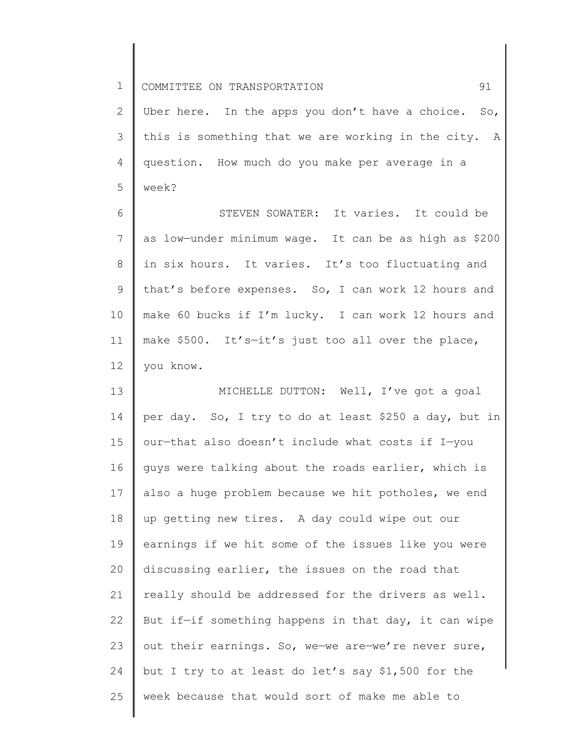2 3 4 5 Uber here. In the apps you don't have a choice. So, this is something that we are working in the city. A question. How much do you make per average in a week?

6 7 8 9 10 11 12 STEVEN SOWATER: It varies. It could be as low—under minimum wage. It can be as high as \$200 in six hours. It varies. It's too fluctuating and that's before expenses. So, I can work 12 hours and make 60 bucks if I'm lucky. I can work 12 hours and make \$500. It's—it's just too all over the place, you know.

13 14 15 16 17 18 19 20 21 22 23 24 25 MICHELLE DUTTON: Well, I've got a goal per day. So, I try to do at least \$250 a day, but in our—that also doesn't include what costs if I—you guys were talking about the roads earlier, which is also a huge problem because we hit potholes, we end up getting new tires. A day could wipe out our earnings if we hit some of the issues like you were discussing earlier, the issues on the road that really should be addressed for the drivers as well. But if—if something happens in that day, it can wipe out their earnings. So, we—we are—we're never sure, but I try to at least do let's say \$1,500 for the week because that would sort of make me able to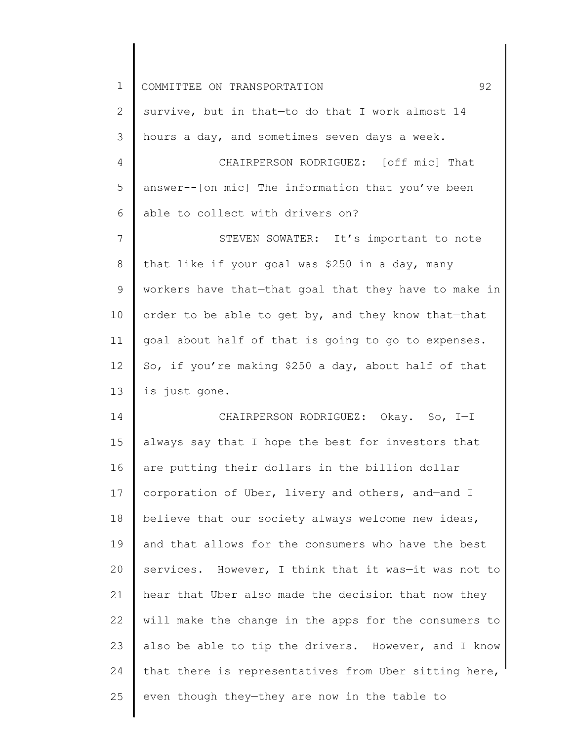| $\mathbf 1$ | 92<br>COMMITTEE ON TRANSPORTATION                     |
|-------------|-------------------------------------------------------|
| 2           | survive, but in that-to do that I work almost 14      |
| 3           | hours a day, and sometimes seven days a week.         |
| 4           | CHAIRPERSON RODRIGUEZ: [off mic] That                 |
| 5           | answer--[on mic] The information that you've been     |
| 6           | able to collect with drivers on?                      |
| 7           | STEVEN SOWATER: It's important to note                |
| 8           | that like if your goal was \$250 in a day, many       |
| 9           | workers have that-that goal that they have to make in |
| 10          | order to be able to get by, and they know that-that   |
| 11          | goal about half of that is going to go to expenses.   |
| 12          | So, if you're making \$250 a day, about half of that  |
| 13          | is just gone.                                         |
| 14          | CHAIRPERSON RODRIGUEZ: Okay. So, I-I                  |
| 15          | always say that I hope the best for investors that    |
| 16          | are putting their dollars in the billion dollar       |
| 17          | corporation of Uber, livery and others, and-and I     |
| 18          | believe that our society always welcome new ideas,    |
| 19          | and that allows for the consumers who have the best   |
| 20          | services. However, I think that it was-it was not to  |
| 21          | hear that Uber also made the decision that now they   |
| 22          | will make the change in the apps for the consumers to |
| 23          | also be able to tip the drivers. However, and I know  |
| 24          | that there is representatives from Uber sitting here, |
| 25          | even though they-they are now in the table to         |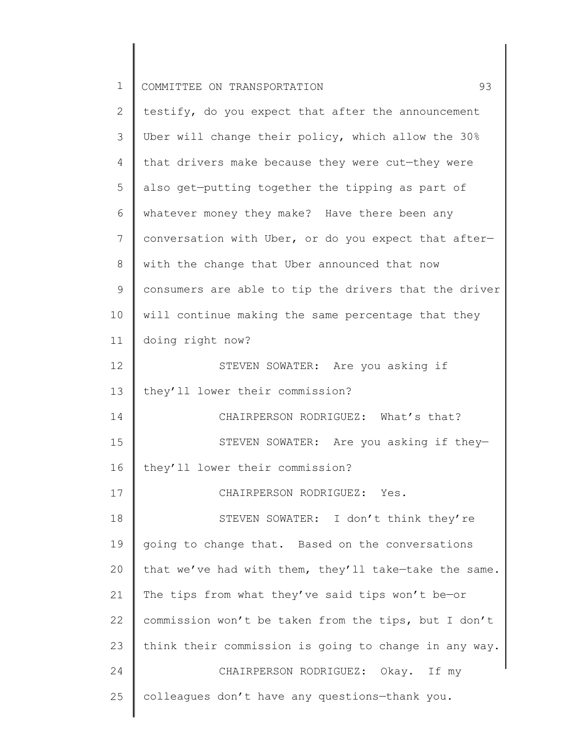| $\mathbf 1$    | 93<br>COMMITTEE ON TRANSPORTATION                     |
|----------------|-------------------------------------------------------|
| $\mathbf{2}$   | testify, do you expect that after the announcement    |
| 3              | Uber will change their policy, which allow the 30%    |
| 4              | that drivers make because they were cut-they were     |
| 5              | also get-putting together the tipping as part of      |
| 6              | whatever money they make? Have there been any         |
| $7\phantom{.}$ | conversation with Uber, or do you expect that after-  |
| 8              | with the change that Uber announced that now          |
| $\mathsf 9$    | consumers are able to tip the drivers that the driver |
| 10             | will continue making the same percentage that they    |
| 11             | doing right now?                                      |
| 12             | STEVEN SOWATER: Are you asking if                     |
| 13             | they'll lower their commission?                       |
| 14             | CHAIRPERSON RODRIGUEZ: What's that?                   |
| 15             | STEVEN SOWATER: Are you asking if they-               |
| 16             | they'll lower their commission?                       |
| 17             | CHAIRPERSON RODRIGUEZ: Yes.                           |
| 18             | STEVEN SOWATER: I don't think they're                 |
| 19             | going to change that. Based on the conversations      |
| 20             | that we've had with them, they'll take-take the same. |
| 21             | The tips from what they've said tips won't be-or      |
| 22             | commission won't be taken from the tips, but I don't  |
| 23             | think their commission is going to change in any way. |
| 24             | CHAIRPERSON RODRIGUEZ: Okay. If my                    |
| 25             | colleagues don't have any questions-thank you.        |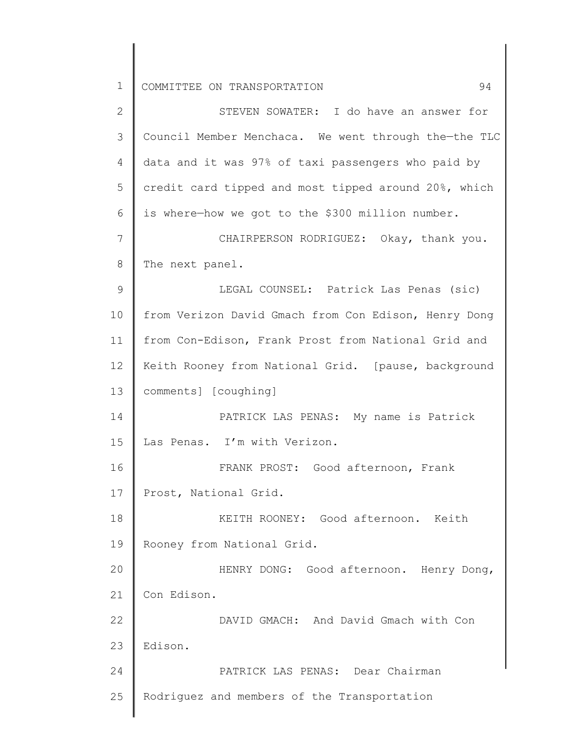1 2 3 4 5 6 7 8 9 10 11 12 13 14 15 16 17 18 19 20 21 22 23 24 25 COMMITTEE ON TRANSPORTATION 94 STEVEN SOWATER: I do have an answer for Council Member Menchaca. We went through the—the TLC data and it was 97% of taxi passengers who paid by credit card tipped and most tipped around 20%, which is where—how we got to the \$300 million number. CHAIRPERSON RODRIGUEZ: Okay, thank you. The next panel. LEGAL COUNSEL: Patrick Las Penas (sic) from Verizon David Gmach from Con Edison, Henry Dong from Con-Edison, Frank Prost from National Grid and Keith Rooney from National Grid. [pause, background comments] [coughing] PATRICK LAS PENAS: My name is Patrick Las Penas. I'm with Verizon. FRANK PROST: Good afternoon, Frank Prost, National Grid. KEITH ROONEY: Good afternoon. Keith Rooney from National Grid. HENRY DONG: Good afternoon. Henry Dong, Con Edison. DAVID GMACH: And David Gmach with Con Edison. PATRICK LAS PENAS: Dear Chairman Rodriguez and members of the Transportation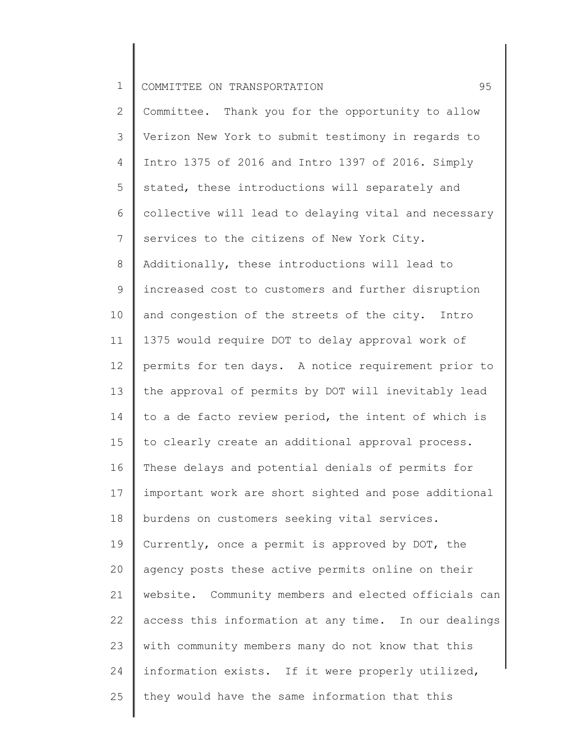2 3 4 5 6 7 8 9 10 11 12 13 14 15 16 17 18 19 20 21 22 23 24 25 Committee. Thank you for the opportunity to allow Verizon New York to submit testimony in regards to Intro 1375 of 2016 and Intro 1397 of 2016. Simply stated, these introductions will separately and collective will lead to delaying vital and necessary services to the citizens of New York City. Additionally, these introductions will lead to increased cost to customers and further disruption and congestion of the streets of the city. Intro 1375 would require DOT to delay approval work of permits for ten days. A notice requirement prior to the approval of permits by DOT will inevitably lead to a de facto review period, the intent of which is to clearly create an additional approval process. These delays and potential denials of permits for important work are short sighted and pose additional burdens on customers seeking vital services. Currently, once a permit is approved by DOT, the agency posts these active permits online on their website. Community members and elected officials can access this information at any time. In our dealings with community members many do not know that this information exists. If it were properly utilized, they would have the same information that this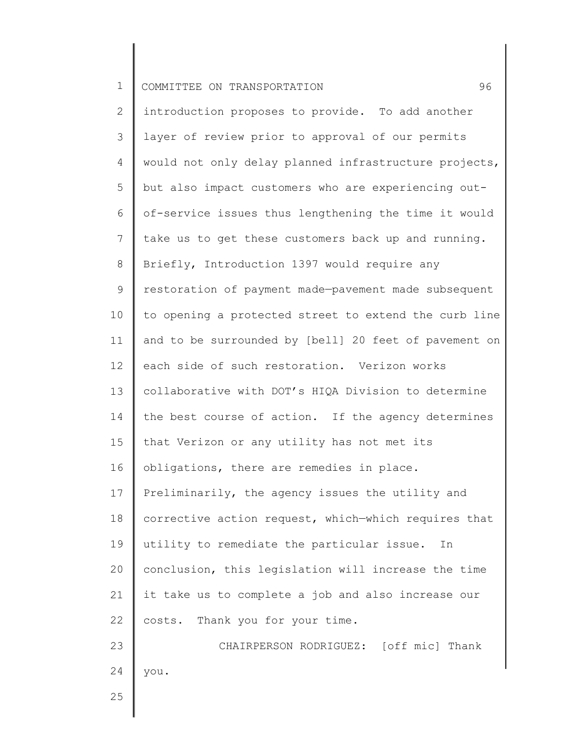2 3 4 5 6 7 8 9 10 11 12 13 14 15 16 17 18 19 20 21 22 23 24 introduction proposes to provide. To add another layer of review prior to approval of our permits would not only delay planned infrastructure projects, but also impact customers who are experiencing outof-service issues thus lengthening the time it would take us to get these customers back up and running. Briefly, Introduction 1397 would require any restoration of payment made—pavement made subsequent to opening a protected street to extend the curb line and to be surrounded by [bell] 20 feet of pavement on each side of such restoration. Verizon works collaborative with DOT's HIQA Division to determine the best course of action. If the agency determines that Verizon or any utility has not met its obligations, there are remedies in place. Preliminarily, the agency issues the utility and corrective action request, which—which requires that utility to remediate the particular issue. In conclusion, this legislation will increase the time it take us to complete a job and also increase our costs. Thank you for your time. CHAIRPERSON RODRIGUEZ: [off mic] Thank you.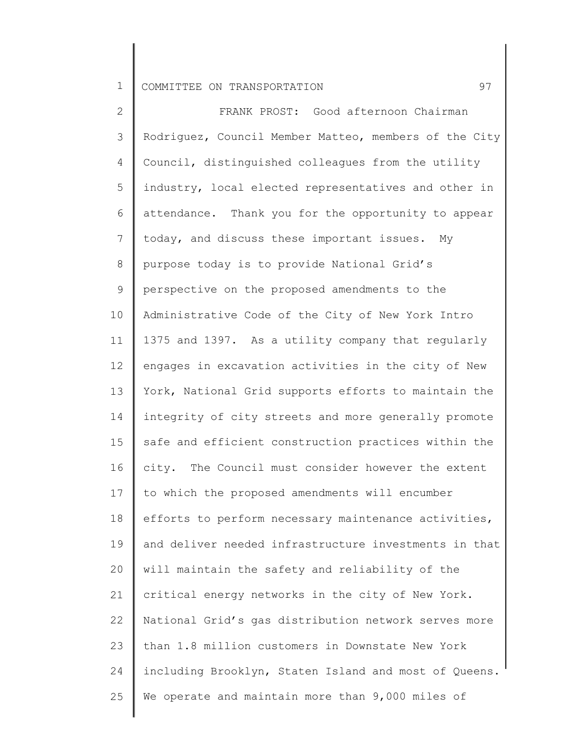2 3 4 5 6 7 8 9 10 11 12 13 14 15 16 17 18 19 20 21 22 23 24 25 FRANK PROST: Good afternoon Chairman Rodriguez, Council Member Matteo, members of the City Council, distinguished colleagues from the utility industry, local elected representatives and other in attendance. Thank you for the opportunity to appear today, and discuss these important issues. My purpose today is to provide National Grid's perspective on the proposed amendments to the Administrative Code of the City of New York Intro 1375 and 1397. As a utility company that regularly engages in excavation activities in the city of New York, National Grid supports efforts to maintain the integrity of city streets and more generally promote safe and efficient construction practices within the city. The Council must consider however the extent to which the proposed amendments will encumber efforts to perform necessary maintenance activities, and deliver needed infrastructure investments in that will maintain the safety and reliability of the critical energy networks in the city of New York. National Grid's gas distribution network serves more than 1.8 million customers in Downstate New York including Brooklyn, Staten Island and most of Queens. We operate and maintain more than 9,000 miles of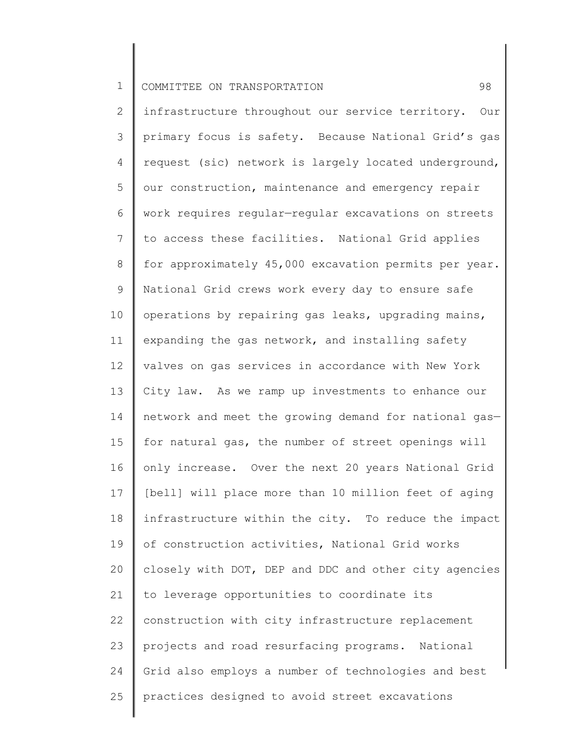2 3 4 5 6 7 8 9 10 11 12 13 14 15 16 17 18 19 20 21 22 23 24 25 infrastructure throughout our service territory. Our primary focus is safety. Because National Grid's gas request (sic) network is largely located underground, our construction, maintenance and emergency repair work requires regular—regular excavations on streets to access these facilities. National Grid applies for approximately 45,000 excavation permits per year. National Grid crews work every day to ensure safe operations by repairing gas leaks, upgrading mains, expanding the gas network, and installing safety valves on gas services in accordance with New York City law. As we ramp up investments to enhance our network and meet the growing demand for national gas for natural gas, the number of street openings will only increase. Over the next 20 years National Grid [bell] will place more than 10 million feet of aging infrastructure within the city. To reduce the impact of construction activities, National Grid works closely with DOT, DEP and DDC and other city agencies to leverage opportunities to coordinate its construction with city infrastructure replacement projects and road resurfacing programs. National Grid also employs a number of technologies and best practices designed to avoid street excavations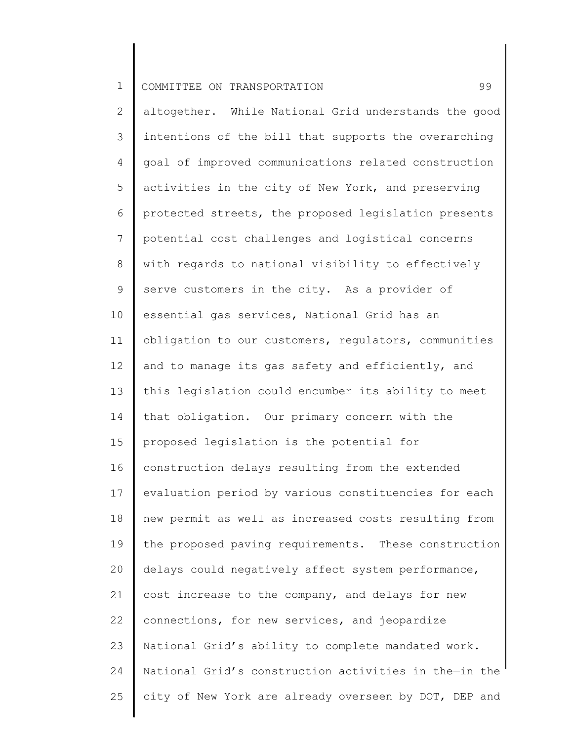2 3 4 5 6 7 8 9 10 11 12 13 14 15 16 17 18 19 20 21 22 23 24 25 altogether. While National Grid understands the good intentions of the bill that supports the overarching goal of improved communications related construction activities in the city of New York, and preserving protected streets, the proposed legislation presents potential cost challenges and logistical concerns with regards to national visibility to effectively serve customers in the city. As a provider of essential gas services, National Grid has an obligation to our customers, regulators, communities and to manage its gas safety and efficiently, and this legislation could encumber its ability to meet that obligation. Our primary concern with the proposed legislation is the potential for construction delays resulting from the extended evaluation period by various constituencies for each new permit as well as increased costs resulting from the proposed paving requirements. These construction delays could negatively affect system performance, cost increase to the company, and delays for new connections, for new services, and jeopardize National Grid's ability to complete mandated work. National Grid's construction activities in the—in the city of New York are already overseen by DOT, DEP and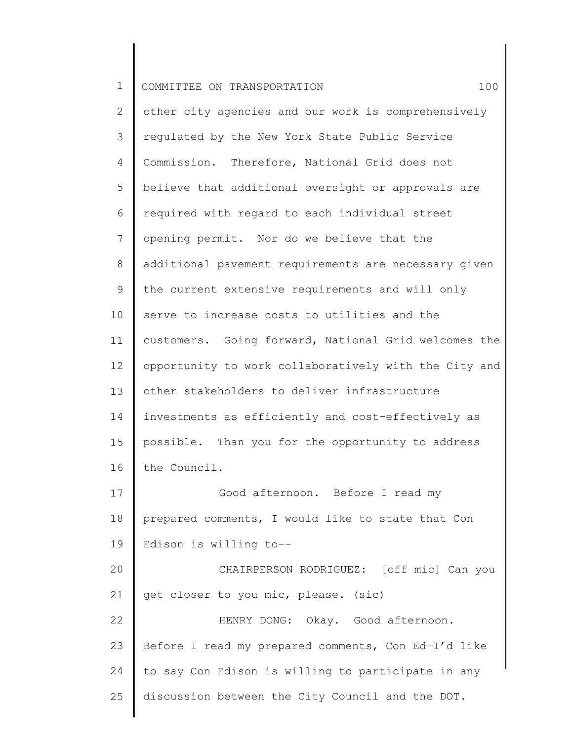2 3 4 5 6 7 8 9 10 11 12 13 14 15 16 17 18 19 20 21 22 23 24 25 other city agencies and our work is comprehensively regulated by the New York State Public Service Commission. Therefore, National Grid does not believe that additional oversight or approvals are required with regard to each individual street opening permit. Nor do we believe that the additional pavement requirements are necessary given the current extensive requirements and will only serve to increase costs to utilities and the customers. Going forward, National Grid welcomes the opportunity to work collaboratively with the City and other stakeholders to deliver infrastructure investments as efficiently and cost-effectively as possible. Than you for the opportunity to address the Council. Good afternoon. Before I read my prepared comments, I would like to state that Con Edison is willing to-- CHAIRPERSON RODRIGUEZ: [off mic] Can you get closer to you mic, please. (sic) HENRY DONG: Okay. Good afternoon. Before I read my prepared comments, Con Ed—I'd like to say Con Edison is willing to participate in any discussion between the City Council and the DOT.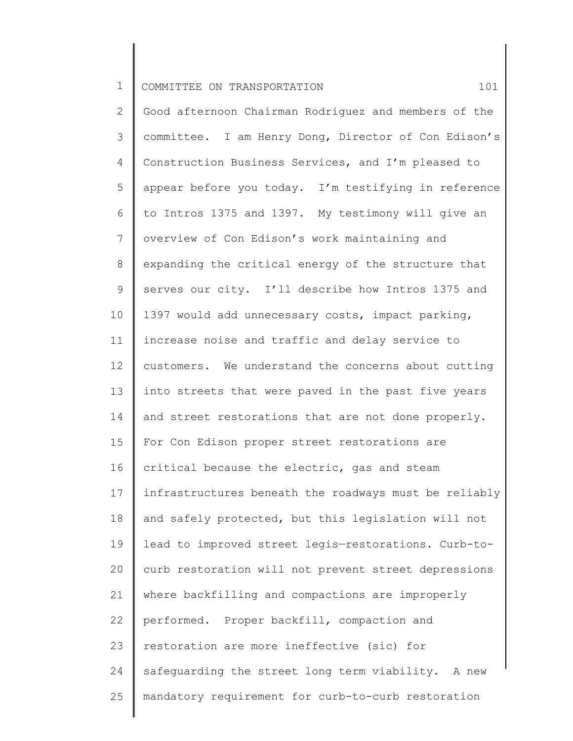2 3 4 5 6 7 8 9 10 11 12 13 14 15 16 17 18 19 20 21 22 23 24 25 Good afternoon Chairman Rodriguez and members of the committee. I am Henry Dong, Director of Con Edison's Construction Business Services, and I'm pleased to appear before you today. I'm testifying in reference to Intros 1375 and 1397. My testimony will give an overview of Con Edison's work maintaining and expanding the critical energy of the structure that serves our city. I'll describe how Intros 1375 and 1397 would add unnecessary costs, impact parking, increase noise and traffic and delay service to customers. We understand the concerns about cutting into streets that were paved in the past five years and street restorations that are not done properly. For Con Edison proper street restorations are critical because the electric, gas and steam infrastructures beneath the roadways must be reliably and safely protected, but this legislation will not lead to improved street legis—restorations. Curb-tocurb restoration will not prevent street depressions where backfilling and compactions are improperly performed. Proper backfill, compaction and restoration are more ineffective (sic) for safeguarding the street long term viability. A new mandatory requirement for curb-to-curb restoration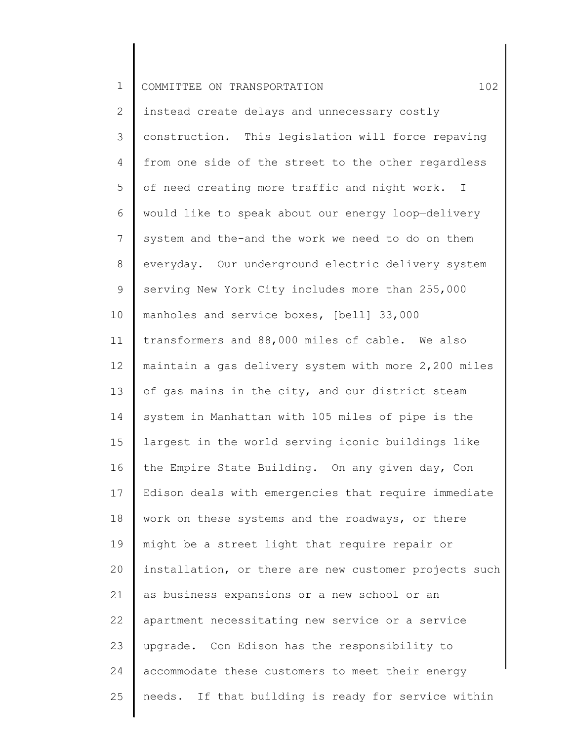2 3 4 5 6 7 8 9 10 11 12 13 14 15 16 17 18 19 20 21 22 23 24 25 instead create delays and unnecessary costly construction. This legislation will force repaving from one side of the street to the other regardless of need creating more traffic and night work. I would like to speak about our energy loop—delivery system and the-and the work we need to do on them everyday. Our underground electric delivery system serving New York City includes more than 255,000 manholes and service boxes, [bell] 33,000 transformers and 88,000 miles of cable. We also maintain a gas delivery system with more 2,200 miles of gas mains in the city, and our district steam system in Manhattan with 105 miles of pipe is the largest in the world serving iconic buildings like the Empire State Building. On any given day, Con Edison deals with emergencies that require immediate work on these systems and the roadways, or there might be a street light that require repair or installation, or there are new customer projects such as business expansions or a new school or an apartment necessitating new service or a service upgrade. Con Edison has the responsibility to accommodate these customers to meet their energy needs. If that building is ready for service within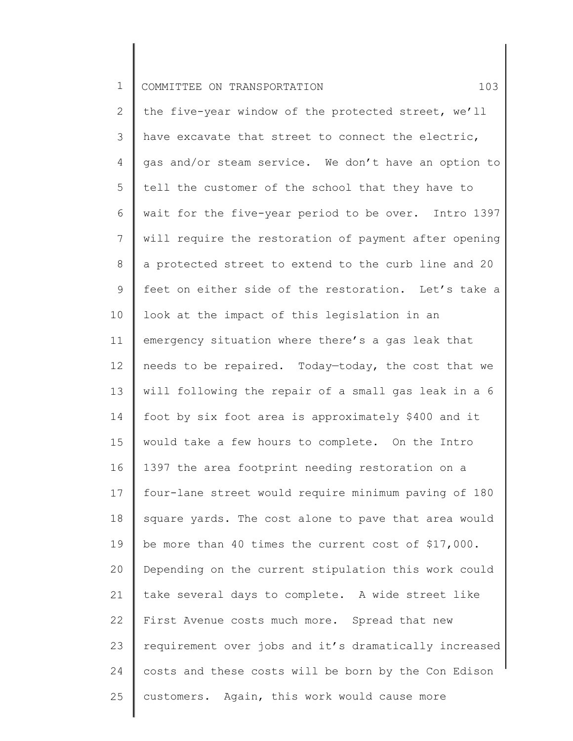2 3 4 5 6 7 8 9 10 11 12 13 14 15 16 17 18 19 20 21 22 23 24 25 the five-year window of the protected street, we'll have excavate that street to connect the electric, gas and/or steam service. We don't have an option to tell the customer of the school that they have to wait for the five-year period to be over. Intro 1397 will require the restoration of payment after opening a protected street to extend to the curb line and 20 feet on either side of the restoration. Let's take a look at the impact of this legislation in an emergency situation where there's a gas leak that needs to be repaired. Today—today, the cost that we will following the repair of a small gas leak in a 6 foot by six foot area is approximately \$400 and it would take a few hours to complete. On the Intro 1397 the area footprint needing restoration on a four-lane street would require minimum paving of 180 square yards. The cost alone to pave that area would be more than 40 times the current cost of \$17,000. Depending on the current stipulation this work could take several days to complete. A wide street like First Avenue costs much more. Spread that new requirement over jobs and it's dramatically increased costs and these costs will be born by the Con Edison customers. Again, this work would cause more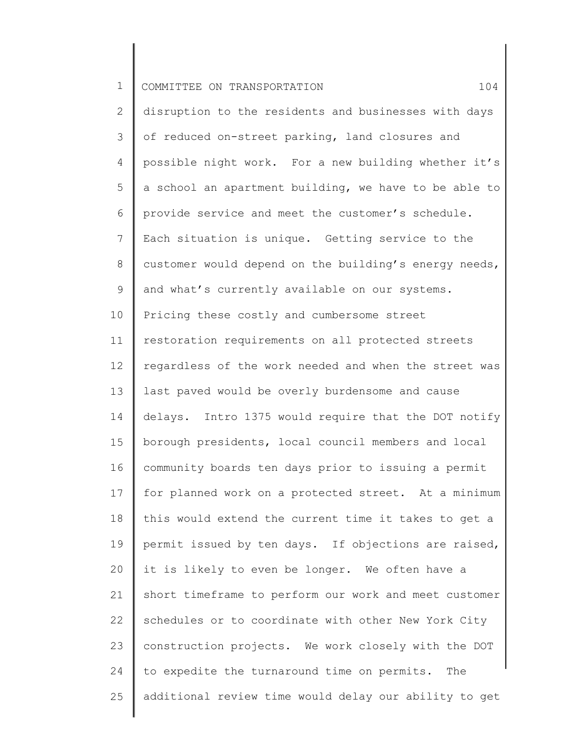2 3 4 5 6 7 8 9 10 11 12 13 14 15 16 17 18 19 20 21 22 23 24 25 disruption to the residents and businesses with days of reduced on-street parking, land closures and possible night work. For a new building whether it's a school an apartment building, we have to be able to provide service and meet the customer's schedule. Each situation is unique. Getting service to the customer would depend on the building's energy needs, and what's currently available on our systems. Pricing these costly and cumbersome street restoration requirements on all protected streets regardless of the work needed and when the street was last paved would be overly burdensome and cause delays. Intro 1375 would require that the DOT notify borough presidents, local council members and local community boards ten days prior to issuing a permit for planned work on a protected street. At a minimum this would extend the current time it takes to get a permit issued by ten days. If objections are raised, it is likely to even be longer. We often have a short timeframe to perform our work and meet customer schedules or to coordinate with other New York City construction projects. We work closely with the DOT to expedite the turnaround time on permits. The additional review time would delay our ability to get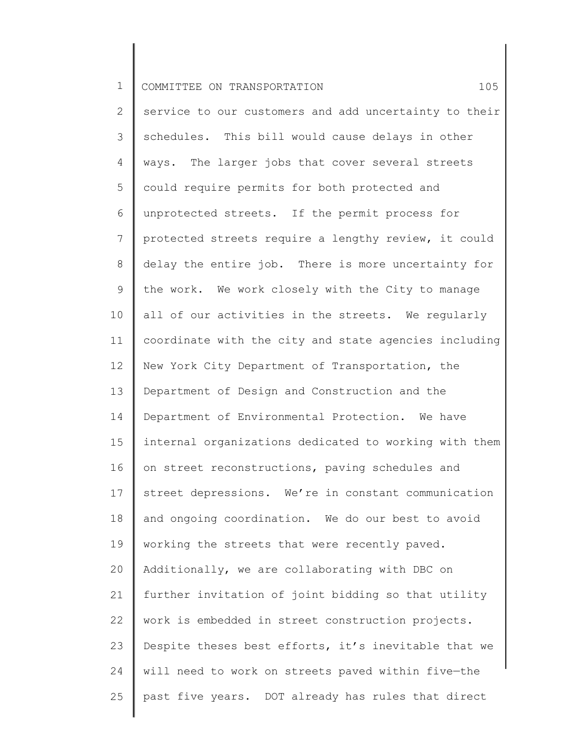2 3 4 5 6 7 8 9 10 11 12 13 14 15 16 17 18 19 20 21 22 23 24 25 service to our customers and add uncertainty to their schedules. This bill would cause delays in other ways. The larger jobs that cover several streets could require permits for both protected and unprotected streets. If the permit process for protected streets require a lengthy review, it could delay the entire job. There is more uncertainty for the work. We work closely with the City to manage all of our activities in the streets. We regularly coordinate with the city and state agencies including New York City Department of Transportation, the Department of Design and Construction and the Department of Environmental Protection. We have internal organizations dedicated to working with them on street reconstructions, paving schedules and street depressions. We're in constant communication and ongoing coordination. We do our best to avoid working the streets that were recently paved. Additionally, we are collaborating with DBC on further invitation of joint bidding so that utility work is embedded in street construction projects. Despite theses best efforts, it's inevitable that we will need to work on streets paved within five—the past five years. DOT already has rules that direct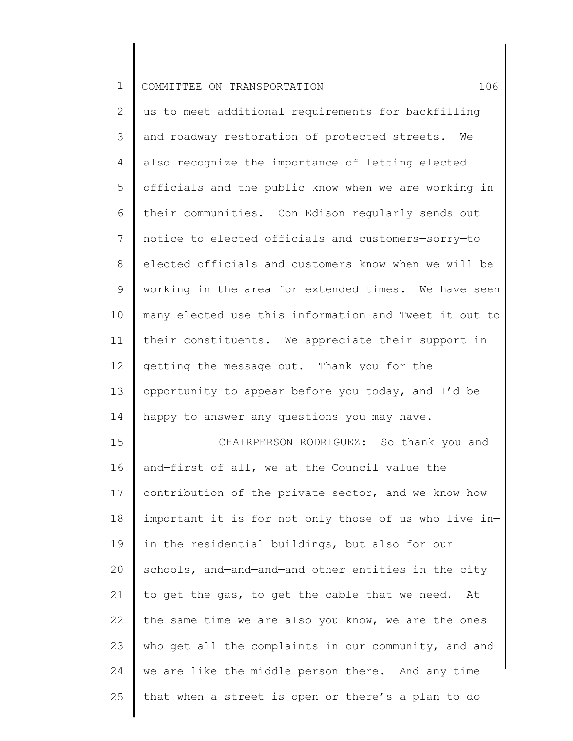22

23

24

25

2 3 4 5 6 7 8 9 10 11 12 13 14 15 16 17 18 19 20 21 us to meet additional requirements for backfilling and roadway restoration of protected streets. We also recognize the importance of letting elected officials and the public know when we are working in their communities. Con Edison regularly sends out notice to elected officials and customers—sorry—to elected officials and customers know when we will be working in the area for extended times. We have seen many elected use this information and Tweet it out to their constituents. We appreciate their support in getting the message out. Thank you for the opportunity to appear before you today, and I'd be happy to answer any questions you may have. CHAIRPERSON RODRIGUEZ: So thank you and and—first of all, we at the Council value the contribution of the private sector, and we know how important it is for not only those of us who live in in the residential buildings, but also for our schools, and—and—and—and other entities in the city to get the gas, to get the cable that we need. At

the same time we are also—you know, we are the ones

who get all the complaints in our community, and—and

we are like the middle person there. And any time

that when a street is open or there's a plan to do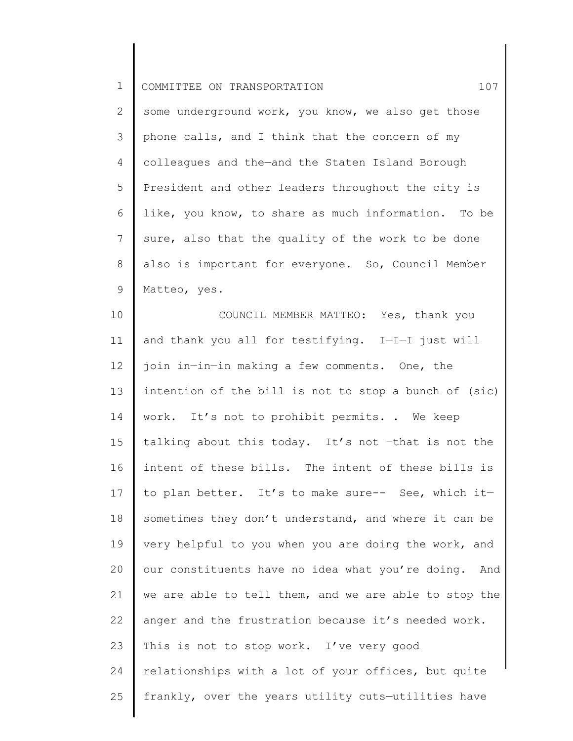2 3 4 5 6 7 8 9 some underground work, you know, we also get those phone calls, and I think that the concern of my colleagues and the—and the Staten Island Borough President and other leaders throughout the city is like, you know, to share as much information. To be sure, also that the quality of the work to be done also is important for everyone. So, Council Member Matteo, yes.

10 11 12 13 14 15 16 17 18 19 20 21 22 23 24 25 COUNCIL MEMBER MATTEO: Yes, thank you and thank you all for testifying. I—I—I just will join in—in—in making a few comments. One, the intention of the bill is not to stop a bunch of (sic) work. It's not to prohibit permits. . We keep talking about this today. It's not –that is not the intent of these bills. The intent of these bills is to plan better. It's to make sure-- See, which it sometimes they don't understand, and where it can be very helpful to you when you are doing the work, and our constituents have no idea what you're doing. And we are able to tell them, and we are able to stop the anger and the frustration because it's needed work. This is not to stop work. I've very good relationships with a lot of your offices, but quite frankly, over the years utility cuts—utilities have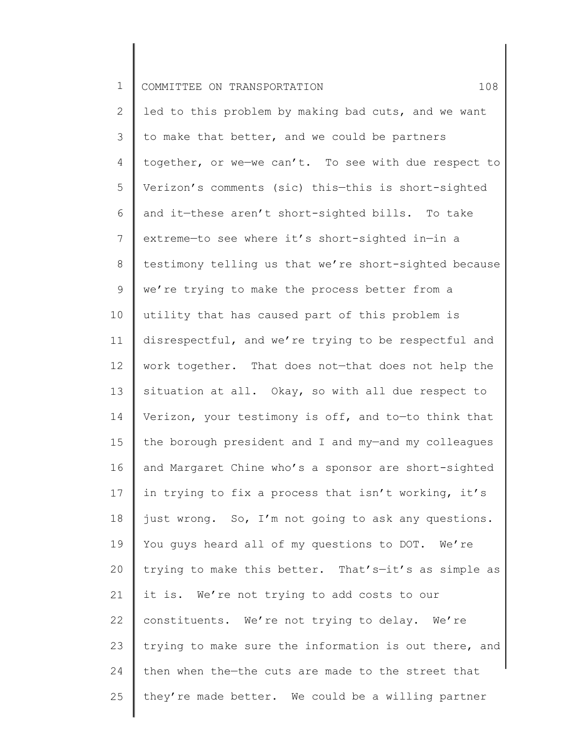2 3 4 5 6 7 8 9 10 11 12 13 14 15 16 17 18 19 20 21 22 23 24 25 led to this problem by making bad cuts, and we want to make that better, and we could be partners together, or we—we can't. To see with due respect to Verizon's comments (sic) this—this is short-sighted and it—these aren't short-sighted bills. To take extreme—to see where it's short-sighted in—in a testimony telling us that we're short-sighted because we're trying to make the process better from a utility that has caused part of this problem is disrespectful, and we're trying to be respectful and work together. That does not—that does not help the situation at all. Okay, so with all due respect to Verizon, your testimony is off, and to—to think that the borough president and I and my—and my colleagues and Margaret Chine who's a sponsor are short-sighted in trying to fix a process that isn't working, it's just wrong. So, I'm not going to ask any questions. You guys heard all of my questions to DOT. We're trying to make this better. That's—it's as simple as it is. We're not trying to add costs to our constituents. We're not trying to delay. We're trying to make sure the information is out there, and then when the—the cuts are made to the street that they're made better. We could be a willing partner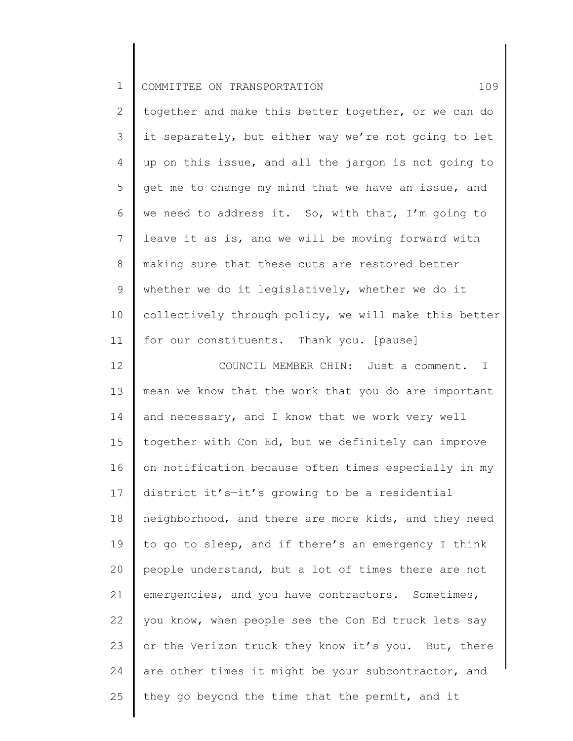1 COMMITTEE ON TRANSPORTATION 109

 $\parallel$ 

| $\mathbf{2}$    | together and make this better together, or we can do  |
|-----------------|-------------------------------------------------------|
| 3               | it separately, but either way we're not going to let  |
| 4               | up on this issue, and all the jargon is not going to  |
| 5               | get me to change my mind that we have an issue, and   |
| 6               | we need to address it. So, with that, I'm going to    |
| 7               | leave it as is, and we will be moving forward with    |
| $8\,$           | making sure that these cuts are restored better       |
| 9               | whether we do it legislatively, whether we do it      |
| 10 <sup>°</sup> | collectively through policy, we will make this better |
| 11              | for our constituents. Thank you. [pause]              |
| 12              | COUNCIL MEMBER CHIN: Just a comment. I                |
| 13              | mean we know that the work that you do are important  |
| 14              | and necessary, and I know that we work very well      |
| 15              | together with Con Ed, but we definitely can improve   |
| 16              | on notification because often times especially in my  |
| 17              | district it's-it's growing to be a residential        |
| 18              | neighborhood, and there are more kids, and they need  |
| 19              | to go to sleep, and if there's an emergency I think   |
| 20              | people understand, but a lot of times there are not   |
| 21              | emergencies, and you have contractors. Sometimes,     |
| 22              | you know, when people see the Con Ed truck lets say   |
| 23              | or the Verizon truck they know it's you. But, there   |
| 24              | are other times it might be your subcontractor, and   |
| 25              | they go beyond the time that the permit, and it       |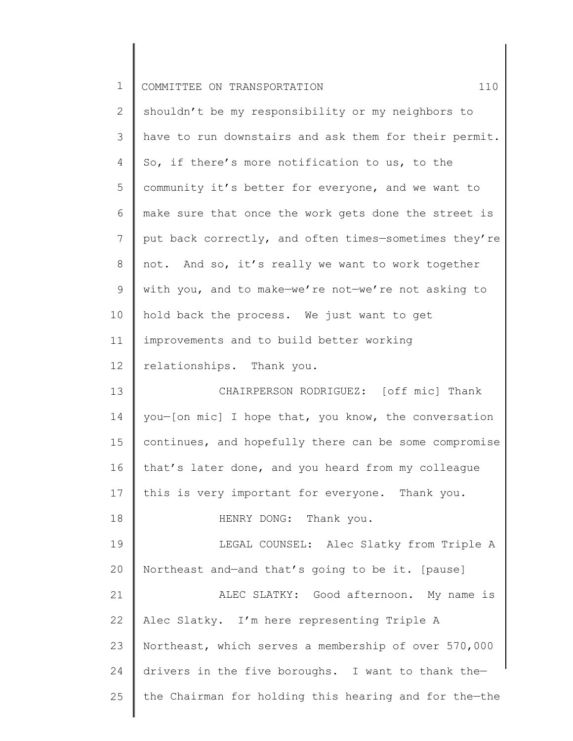| $\mathbf 1$     | 110<br>COMMITTEE ON TRANSPORTATION                    |
|-----------------|-------------------------------------------------------|
| $\mathbf{2}$    | shouldn't be my responsibility or my neighbors to     |
| 3               | have to run downstairs and ask them for their permit. |
| 4               | So, if there's more notification to us, to the        |
| 5               | community it's better for everyone, and we want to    |
| 6               | make sure that once the work gets done the street is  |
| $7\phantom{.0}$ | put back correctly, and often times-sometimes they're |
| $8\,$           | not. And so, it's really we want to work together     |
| 9               | with you, and to make-we're not-we're not asking to   |
| 10              | hold back the process. We just want to get            |
| 11              | improvements and to build better working              |
| 12              | relationships. Thank you.                             |
| 13              | CHAIRPERSON RODRIGUEZ: [off mic] Thank                |
| 14              | you-[on mic] I hope that, you know, the conversation  |
| 15              | continues, and hopefully there can be some compromise |
| 16              | that's later done, and you heard from my colleague    |
| 17              | this is very important for everyone. Thank you.       |
| 18              | HENRY DONG: Thank you.                                |
| 19              | LEGAL COUNSEL: Alec Slatky from Triple A              |
| 20              | Northeast and-and that's going to be it. [pause]      |
| 21              | ALEC SLATKY: Good afternoon. My name is               |
| 22              | Alec Slatky. I'm here representing Triple A           |
| 23              | Northeast, which serves a membership of over 570,000  |
| 24              | drivers in the five boroughs. I want to thank the-    |
| 25              | the Chairman for holding this hearing and for the-the |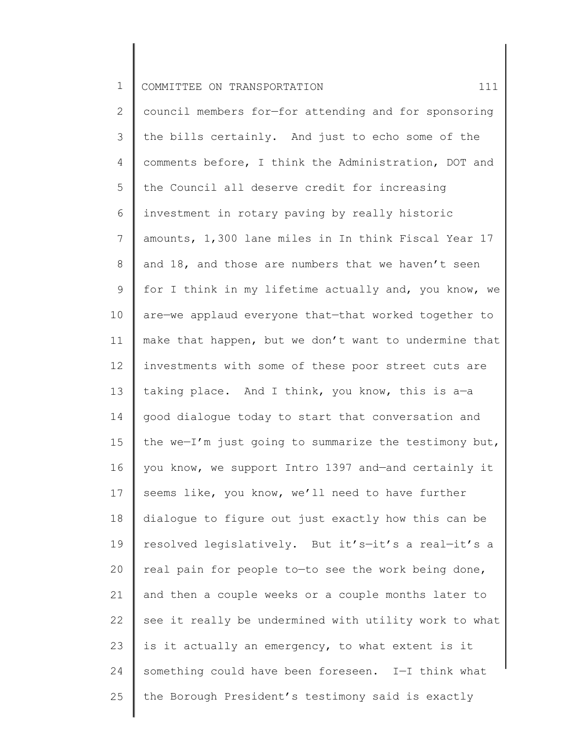1 COMMITTEE ON TRANSPORTATION **111** 

2 3 4 5 6 7 8 9 10 11 12 13 14 15 16 17 18 19 20 21 22 23 24 25 council members for—for attending and for sponsoring the bills certainly. And just to echo some of the comments before, I think the Administration, DOT and the Council all deserve credit for increasing investment in rotary paving by really historic amounts, 1,300 lane miles in In think Fiscal Year 17 and 18, and those are numbers that we haven't seen for I think in my lifetime actually and, you know, we are—we applaud everyone that—that worked together to make that happen, but we don't want to undermine that investments with some of these poor street cuts are taking place. And I think, you know, this is a—a good dialogue today to start that conversation and the we—I'm just going to summarize the testimony but, you know, we support Intro 1397 and—and certainly it seems like, you know, we'll need to have further dialogue to figure out just exactly how this can be resolved legislatively. But it's—it's a real—it's a real pain for people to—to see the work being done, and then a couple weeks or a couple months later to see it really be undermined with utility work to what is it actually an emergency, to what extent is it something could have been foreseen. I—I think what the Borough President's testimony said is exactly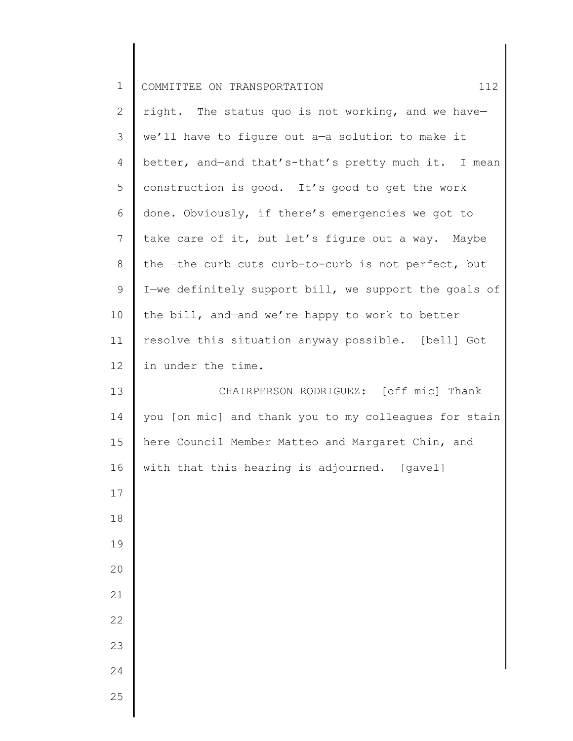| $\mathbf 1$     | 112<br>COMMITTEE ON TRANSPORTATION                    |
|-----------------|-------------------------------------------------------|
| $\mathbf{2}$    | right. The status quo is not working, and we have-    |
| 3               | we'll have to figure out a-a solution to make it      |
| 4               | better, and-and that's-that's pretty much it. I mean  |
| 5               | construction is good. It's good to get the work       |
| 6               | done. Obviously, if there's emergencies we got to     |
| $\overline{7}$  | take care of it, but let's figure out a way. Maybe    |
| 8               | the -the curb cuts curb-to-curb is not perfect, but   |
| 9               | I-we definitely support bill, we support the goals of |
| 10              | the bill, and-and we're happy to work to better       |
| 11              | resolve this situation anyway possible. [bell] Got    |
| 12 <sup>°</sup> | in under the time.                                    |
| 13              | CHAIRPERSON RODRIGUEZ: [off mic] Thank                |
| 14              | you [on mic] and thank you to my colleagues for stain |
| 15              | here Council Member Matteo and Margaret Chin, and     |
| 16              | with that this hearing is adjourned. [gavel]          |
| 17              |                                                       |
| 18              |                                                       |
| 19              |                                                       |
| 20              |                                                       |
| 21              |                                                       |
| 22              |                                                       |
| 23              |                                                       |
| 24              |                                                       |
| 25              |                                                       |

║